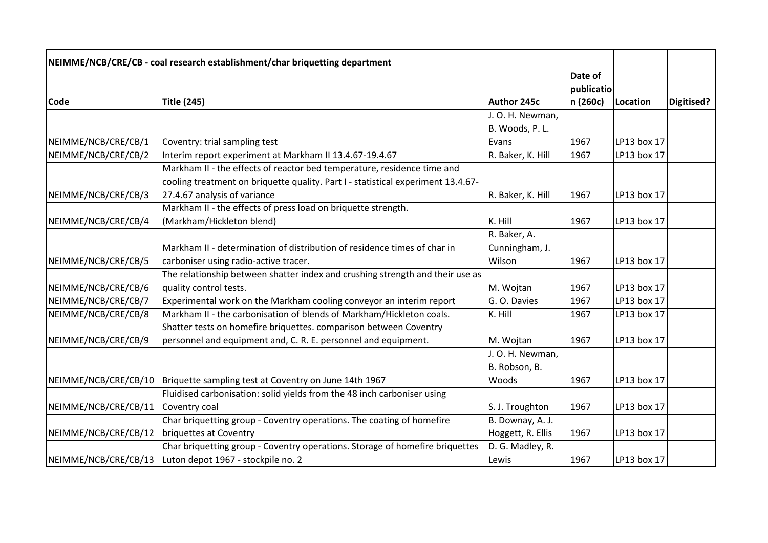|                      | NEIMME/NCB/CRE/CB - coal research establishment/char briquetting department      |                   |            |             |            |
|----------------------|----------------------------------------------------------------------------------|-------------------|------------|-------------|------------|
|                      |                                                                                  |                   | Date of    |             |            |
|                      |                                                                                  |                   | publicatio |             |            |
| <b>Code</b>          | <b>Title (245)</b>                                                               | Author 245c       | n (260c)   | Location    | Digitised? |
|                      |                                                                                  | J. O. H. Newman,  |            |             |            |
|                      |                                                                                  | B. Woods, P.L.    |            |             |            |
| NEIMME/NCB/CRE/CB/1  | Coventry: trial sampling test                                                    | Evans             | 1967       | LP13 box 17 |            |
| NEIMME/NCB/CRE/CB/2  | Interim report experiment at Markham II 13.4.67-19.4.67                          | R. Baker, K. Hill | 1967       | LP13 box 17 |            |
|                      | Markham II - the effects of reactor bed temperature, residence time and          |                   |            |             |            |
|                      | cooling treatment on briquette quality. Part I - statistical experiment 13.4.67- |                   |            |             |            |
| NEIMME/NCB/CRE/CB/3  | 27.4.67 analysis of variance                                                     | R. Baker, K. Hill | 1967       | LP13 box 17 |            |
|                      | Markham II - the effects of press load on briquette strength.                    |                   |            |             |            |
| NEIMME/NCB/CRE/CB/4  | (Markham/Hickleton blend)                                                        | K. Hill           | 1967       | LP13 box 17 |            |
|                      |                                                                                  | R. Baker, A.      |            |             |            |
|                      | Markham II - determination of distribution of residence times of char in         | Cunningham, J.    |            |             |            |
| NEIMME/NCB/CRE/CB/5  | carboniser using radio-active tracer.                                            | Wilson            | 1967       | LP13 box 17 |            |
|                      | The relationship between shatter index and crushing strength and their use as    |                   |            |             |            |
| NEIMME/NCB/CRE/CB/6  | quality control tests.                                                           | M. Wojtan         | 1967       | LP13 box 17 |            |
| NEIMME/NCB/CRE/CB/7  | Experimental work on the Markham cooling conveyor an interim report              | G. O. Davies      | 1967       | LP13 box 17 |            |
| NEIMME/NCB/CRE/CB/8  | Markham II - the carbonisation of blends of Markham/Hickleton coals.             | K. Hill           | 1967       | LP13 box 17 |            |
|                      | Shatter tests on homefire briquettes. comparison between Coventry                |                   |            |             |            |
| NEIMME/NCB/CRE/CB/9  | personnel and equipment and, C. R. E. personnel and equipment.                   | M. Wojtan         | 1967       | LP13 box 17 |            |
|                      |                                                                                  | J. O. H. Newman,  |            |             |            |
|                      |                                                                                  | B. Robson, B.     |            |             |            |
| NEIMME/NCB/CRE/CB/10 | Briquette sampling test at Coventry on June 14th 1967                            | Woods             | 1967       | LP13 box 17 |            |
|                      | Fluidised carbonisation: solid yields from the 48 inch carboniser using          |                   |            |             |            |
| NEIMME/NCB/CRE/CB/11 | Coventry coal                                                                    | S. J. Troughton   | 1967       | LP13 box 17 |            |
|                      | Char briquetting group - Coventry operations. The coating of homefire            | B. Downay, A. J.  |            |             |            |
| NEIMME/NCB/CRE/CB/12 | briquettes at Coventry                                                           | Hoggett, R. Ellis | 1967       | LP13 box 17 |            |
|                      | Char briquetting group - Coventry operations. Storage of homefire briquettes     | D. G. Madley, R.  |            |             |            |
| NEIMME/NCB/CRE/CB/13 | Luton depot 1967 - stockpile no. 2                                               | Lewis             | 1967       | LP13 box 17 |            |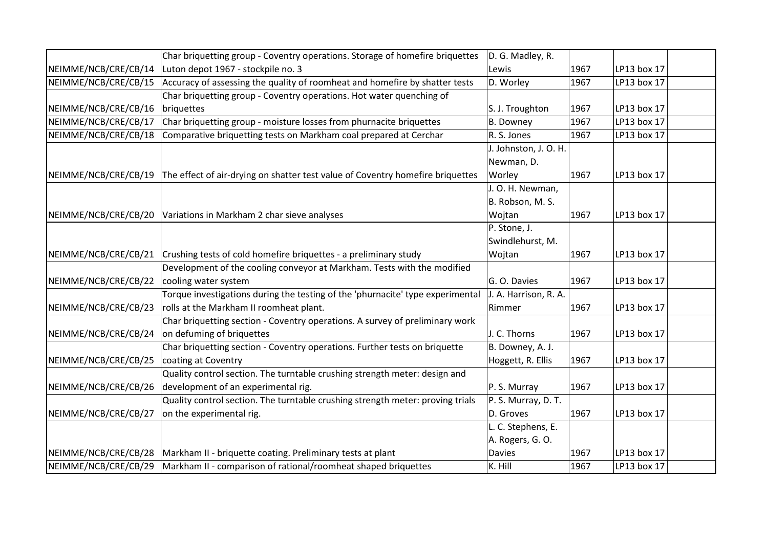|                      | Char briquetting group - Coventry operations. Storage of homefire briquettes   | D. G. Madley, R.      |      |             |  |
|----------------------|--------------------------------------------------------------------------------|-----------------------|------|-------------|--|
| NEIMME/NCB/CRE/CB/14 | Luton depot 1967 - stockpile no. 3                                             | Lewis                 | 1967 | LP13 box 17 |  |
| NEIMME/NCB/CRE/CB/15 | Accuracy of assessing the quality of roomheat and homefire by shatter tests    | D. Worley             | 1967 | LP13 box 17 |  |
|                      | Char briquetting group - Coventry operations. Hot water quenching of           |                       |      |             |  |
| NEIMME/NCB/CRE/CB/16 | briquettes                                                                     | S. J. Troughton       | 1967 | LP13 box 17 |  |
| NEIMME/NCB/CRE/CB/17 | Char briquetting group - moisture losses from phurnacite briquettes            | <b>B.</b> Downey      | 1967 | LP13 box 17 |  |
| NEIMME/NCB/CRE/CB/18 | Comparative briquetting tests on Markham coal prepared at Cerchar              | R. S. Jones           | 1967 | LP13 box 17 |  |
|                      |                                                                                | J. Johnston, J. O. H. |      |             |  |
|                      |                                                                                | Newman, D.            |      |             |  |
| NEIMME/NCB/CRE/CB/19 | The effect of air-drying on shatter test value of Coventry homefire briquettes | Worley                | 1967 | LP13 box 17 |  |
|                      |                                                                                | J.O. H. Newman,       |      |             |  |
|                      |                                                                                | B. Robson, M. S.      |      |             |  |
| NEIMME/NCB/CRE/CB/20 | Variations in Markham 2 char sieve analyses                                    | Wojtan                | 1967 | LP13 box 17 |  |
|                      |                                                                                | P. Stone, J.          |      |             |  |
|                      |                                                                                | Swindlehurst, M.      |      |             |  |
| NEIMME/NCB/CRE/CB/21 | Crushing tests of cold homefire briquettes - a preliminary study               | Wojtan                | 1967 | LP13 box 17 |  |
|                      | Development of the cooling conveyor at Markham. Tests with the modified        |                       |      |             |  |
| NEIMME/NCB/CRE/CB/22 | cooling water system                                                           | G. O. Davies          | 1967 | LP13 box 17 |  |
|                      | Torque investigations during the testing of the 'phurnacite' type experimental | J. A. Harrison, R. A. |      |             |  |
| NEIMME/NCB/CRE/CB/23 | rolls at the Markham II roomheat plant.                                        | Rimmer                | 1967 | LP13 box 17 |  |
|                      | Char briquetting section - Coventry operations. A survey of preliminary work   |                       |      |             |  |
| NEIMME/NCB/CRE/CB/24 | on defuming of briquettes                                                      | J. C. Thorns          | 1967 | LP13 box 17 |  |
|                      | Char briquetting section - Coventry operations. Further tests on briquette     | B. Downey, A. J.      |      |             |  |
| NEIMME/NCB/CRE/CB/25 | coating at Coventry                                                            | Hoggett, R. Ellis     | 1967 | LP13 box 17 |  |
|                      | Quality control section. The turntable crushing strength meter: design and     |                       |      |             |  |
| NEIMME/NCB/CRE/CB/26 | development of an experimental rig.                                            | P. S. Murray          | 1967 | LP13 box 17 |  |
|                      | Quality control section. The turntable crushing strength meter: proving trials | P. S. Murray, D. T.   |      |             |  |
| NEIMME/NCB/CRE/CB/27 | on the experimental rig.                                                       | D. Groves             | 1967 | LP13 box 17 |  |
|                      |                                                                                | L. C. Stephens, E.    |      |             |  |
|                      |                                                                                | A. Rogers, G. O.      |      |             |  |
| NEIMME/NCB/CRE/CB/28 | Markham II - briquette coating. Preliminary tests at plant                     | <b>Davies</b>         | 1967 | LP13 box 17 |  |
| NEIMME/NCB/CRE/CB/29 | Markham II - comparison of rational/roomheat shaped briquettes                 | K. Hill               | 1967 | LP13 box 17 |  |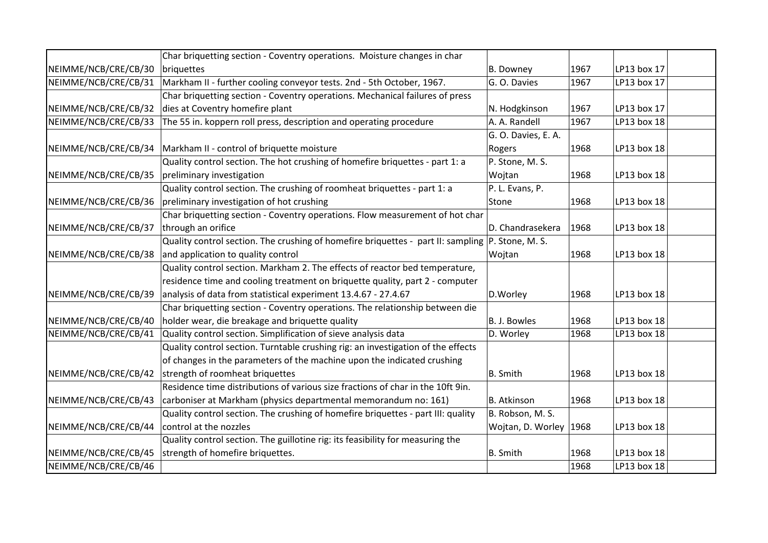|                      | Char briquetting section - Coventry operations. Moisture changes in char                         |                          |      |             |  |
|----------------------|--------------------------------------------------------------------------------------------------|--------------------------|------|-------------|--|
| NEIMME/NCB/CRE/CB/30 | briquettes                                                                                       | B. Downey                | 1967 | LP13 box 17 |  |
| NEIMME/NCB/CRE/CB/31 | Markham II - further cooling conveyor tests. 2nd - 5th October, 1967.                            | G. O. Davies             | 1967 | LP13 box 17 |  |
|                      | Char briquetting section - Coventry operations. Mechanical failures of press                     |                          |      |             |  |
| NEIMME/NCB/CRE/CB/32 | dies at Coventry homefire plant                                                                  | N. Hodgkinson            | 1967 | LP13 box 17 |  |
| NEIMME/NCB/CRE/CB/33 | The 55 in. koppern roll press, description and operating procedure                               | A. A. Randell            | 1967 | LP13 box 18 |  |
|                      |                                                                                                  | G. O. Davies, E. A.      |      |             |  |
| NEIMME/NCB/CRE/CB/34 | Markham II - control of briquette moisture                                                       | Rogers                   | 1968 | LP13 box 18 |  |
|                      | Quality control section. The hot crushing of homefire briquettes - part 1: a                     | P. Stone, M. S.          |      |             |  |
| NEIMME/NCB/CRE/CB/35 | preliminary investigation                                                                        | Wojtan                   | 1968 | LP13 box 18 |  |
|                      | Quality control section. The crushing of roomheat briquettes - part 1: a                         | P. L. Evans, P.          |      |             |  |
| NEIMME/NCB/CRE/CB/36 | preliminary investigation of hot crushing                                                        | Stone                    | 1968 | LP13 box 18 |  |
|                      | Char briquetting section - Coventry operations. Flow measurement of hot char                     |                          |      |             |  |
| NEIMME/NCB/CRE/CB/37 | through an orifice                                                                               | D. Chandrasekera         | 1968 | LP13 box 18 |  |
|                      | Quality control section. The crushing of homefire briquettes - part II: sampling P. Stone, M. S. |                          |      |             |  |
| NEIMME/NCB/CRE/CB/38 | and application to quality control                                                               | Wojtan                   | 1968 | LP13 box 18 |  |
|                      | Quality control section. Markham 2. The effects of reactor bed temperature,                      |                          |      |             |  |
|                      | residence time and cooling treatment on briquette quality, part 2 - computer                     |                          |      |             |  |
| NEIMME/NCB/CRE/CB/39 | analysis of data from statistical experiment 13.4.67 - 27.4.67                                   | D.Worley                 | 1968 | LP13 box 18 |  |
|                      | Char briquetting section - Coventry operations. The relationship between die                     |                          |      |             |  |
| NEIMME/NCB/CRE/CB/40 | holder wear, die breakage and briquette quality                                                  | B. J. Bowles             | 1968 | LP13 box 18 |  |
| NEIMME/NCB/CRE/CB/41 | Quality control section. Simplification of sieve analysis data                                   | D. Worley                | 1968 | LP13 box 18 |  |
|                      | Quality control section. Turntable crushing rig: an investigation of the effects                 |                          |      |             |  |
|                      | of changes in the parameters of the machine upon the indicated crushing                          |                          |      |             |  |
| NEIMME/NCB/CRE/CB/42 | strength of roomheat briquettes                                                                  | B. Smith                 | 1968 | LP13 box 18 |  |
|                      | Residence time distributions of various size fractions of char in the 10ft 9in.                  |                          |      |             |  |
| NEIMME/NCB/CRE/CB/43 | carboniser at Markham (physics departmental memorandum no: 161)                                  | B. Atkinson              | 1968 | LP13 box 18 |  |
|                      | Quality control section. The crushing of homefire briquettes - part III: quality                 | B. Robson, M. S.         |      |             |  |
| NEIMME/NCB/CRE/CB/44 | control at the nozzles                                                                           | Wojtan, D. Worley   1968 |      | LP13 box 18 |  |
|                      | Quality control section. The guillotine rig: its feasibility for measuring the                   |                          |      |             |  |
| NEIMME/NCB/CRE/CB/45 | strength of homefire briquettes.                                                                 | B. Smith                 | 1968 | LP13 box 18 |  |
| NEIMME/NCB/CRE/CB/46 |                                                                                                  |                          | 1968 | LP13 box 18 |  |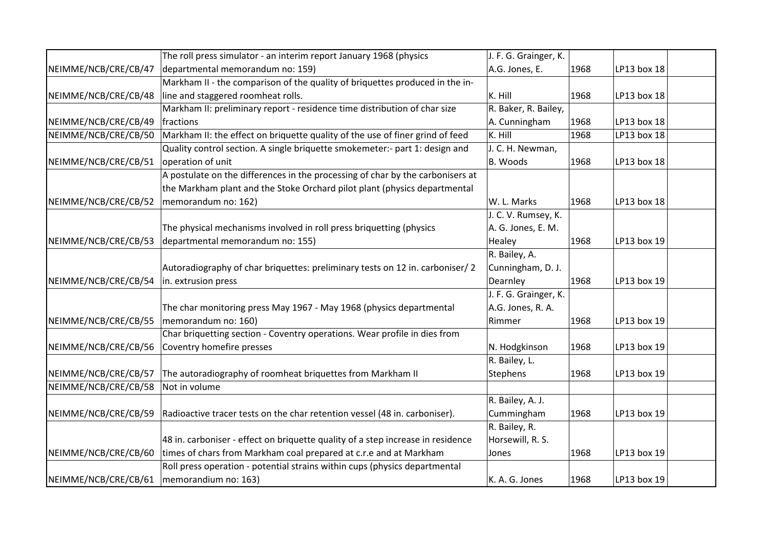|                                             | The roll press simulator - an interim report January 1968 (physics              | J. F. G. Grainger, K. |      |             |  |
|---------------------------------------------|---------------------------------------------------------------------------------|-----------------------|------|-------------|--|
| NEIMME/NCB/CRE/CB/47                        | departmental memorandum no: 159)                                                | A.G. Jones, E.        | 1968 | LP13 box 18 |  |
|                                             | Markham II - the comparison of the quality of briquettes produced in the in-    |                       |      |             |  |
| NEIMME/NCB/CRE/CB/48                        | line and staggered roomheat rolls.                                              | K. Hill               | 1968 | LP13 box 18 |  |
|                                             | Markham II: preliminary report - residence time distribution of char size       | R. Baker, R. Bailey,  |      |             |  |
| NEIMME/NCB/CRE/CB/49                        | fractions                                                                       | A. Cunningham         | 1968 | LP13 box 18 |  |
| NEIMME/NCB/CRE/CB/50                        | Markham II: the effect on briquette quality of the use of finer grind of feed   | K. Hill               | 1968 | LP13 box 18 |  |
|                                             | Quality control section. A single briquette smokemeter:- part 1: design and     | J. C. H. Newman,      |      |             |  |
| NEIMME/NCB/CRE/CB/51                        | operation of unit                                                               | B. Woods              | 1968 | LP13 box 18 |  |
|                                             | A postulate on the differences in the processing of char by the carbonisers at  |                       |      |             |  |
|                                             | the Markham plant and the Stoke Orchard pilot plant (physics departmental       |                       |      |             |  |
| NEIMME/NCB/CRE/CB/52                        | memorandum no: 162)                                                             | W. L. Marks           | 1968 | LP13 box 18 |  |
|                                             |                                                                                 | J. C. V. Rumsey, K.   |      |             |  |
|                                             | The physical mechanisms involved in roll press briquetting (physics             | A. G. Jones, E. M.    |      |             |  |
| NEIMME/NCB/CRE/CB/53                        | departmental memorandum no: 155)                                                | Healey                | 1968 | LP13 box 19 |  |
|                                             |                                                                                 | R. Bailey, A.         |      |             |  |
|                                             | Autoradiography of char briquettes: preliminary tests on 12 in. carboniser/2    | Cunningham, D. J.     |      |             |  |
| NEIMME/NCB/CRE/CB/54                        | in. extrusion press                                                             | Dearnley              | 1968 | LP13 box 19 |  |
|                                             |                                                                                 | J. F. G. Grainger, K. |      |             |  |
|                                             | The char monitoring press May 1967 - May 1968 (physics departmental             | A.G. Jones, R. A.     |      |             |  |
| NEIMME/NCB/CRE/CB/55                        | memorandum no: 160)                                                             | Rimmer                | 1968 | LP13 box 19 |  |
|                                             | Char briquetting section - Coventry operations. Wear profile in dies from       |                       |      |             |  |
| NEIMME/NCB/CRE/CB/56                        | Coventry homefire presses                                                       | N. Hodgkinson         | 1968 | LP13 box 19 |  |
|                                             |                                                                                 | R. Bailey, L.         |      |             |  |
| NEIMME/NCB/CRE/CB/57                        | The autoradiography of roomheat briquettes from Markham II                      | Stephens              | 1968 | LP13 box 19 |  |
| NEIMME/NCB/CRE/CB/58                        | Not in volume                                                                   |                       |      |             |  |
|                                             |                                                                                 | R. Bailey, A. J.      |      |             |  |
| NEIMME/NCB/CRE/CB/59                        | Radioactive tracer tests on the char retention vessel (48 in. carboniser).      | Cummingham            | 1968 | LP13 box 19 |  |
|                                             |                                                                                 | R. Bailey, R.         |      |             |  |
|                                             | 48 in. carboniser - effect on briquette quality of a step increase in residence | Horsewill, R. S.      |      |             |  |
| NEIMME/NCB/CRE/CB/60                        | times of chars from Markham coal prepared at c.r.e and at Markham               | Jones                 | 1968 | LP13 box 19 |  |
|                                             | Roll press operation - potential strains within cups (physics departmental      |                       |      |             |  |
| NEIMME/NCB/CRE/CB/61   memorandium no: 163) |                                                                                 | K. A. G. Jones        | 1968 | LP13 box 19 |  |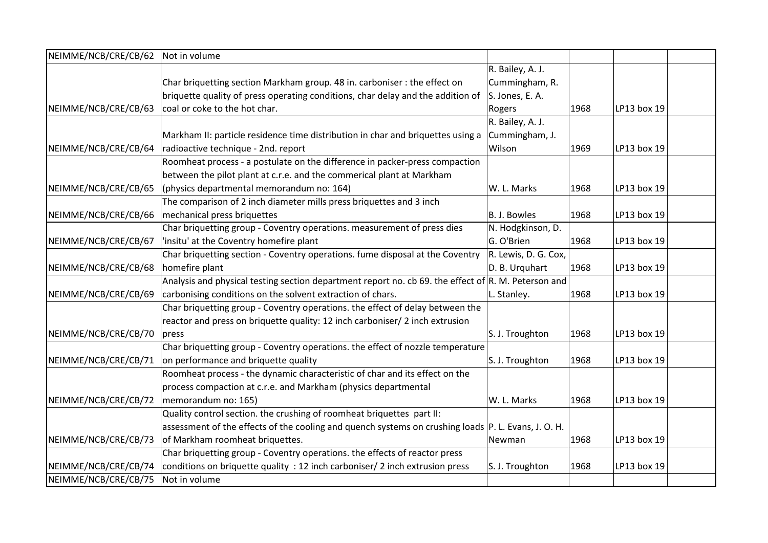| NEIMME/NCB/CRE/CB/62 | Not in volume                                                                                           |                      |      |             |  |
|----------------------|---------------------------------------------------------------------------------------------------------|----------------------|------|-------------|--|
|                      |                                                                                                         | R. Bailey, A. J.     |      |             |  |
|                      | Char briquetting section Markham group. 48 in. carboniser : the effect on                               | Cummingham, R.       |      |             |  |
|                      | briquette quality of press operating conditions, char delay and the addition of                         | S. Jones, E. A.      |      |             |  |
| NEIMME/NCB/CRE/CB/63 | coal or coke to the hot char.                                                                           | Rogers               | 1968 | LP13 box 19 |  |
|                      |                                                                                                         | R. Bailey, A. J.     |      |             |  |
|                      | Markham II: particle residence time distribution in char and briquettes using a                         | Cummingham, J.       |      |             |  |
| NEIMME/NCB/CRE/CB/64 | radioactive technique - 2nd. report                                                                     | Wilson               | 1969 | LP13 box 19 |  |
|                      | Roomheat process - a postulate on the difference in packer-press compaction                             |                      |      |             |  |
|                      | between the pilot plant at c.r.e. and the commerical plant at Markham                                   |                      |      |             |  |
| NEIMME/NCB/CRE/CB/65 | (physics departmental memorandum no: 164)                                                               | W. L. Marks          | 1968 | LP13 box 19 |  |
|                      | The comparison of 2 inch diameter mills press briquettes and 3 inch                                     |                      |      |             |  |
| NEIMME/NCB/CRE/CB/66 | mechanical press briquettes                                                                             | B. J. Bowles         | 1968 | LP13 box 19 |  |
|                      | Char briquetting group - Coventry operations. measurement of press dies                                 | N. Hodgkinson, D.    |      |             |  |
| NEIMME/NCB/CRE/CB/67 | 'insitu' at the Coventry homefire plant                                                                 | G. O'Brien           | 1968 | LP13 box 19 |  |
|                      | Char briquetting section - Coventry operations. fume disposal at the Coventry                           | R. Lewis, D. G. Cox, |      |             |  |
| NEIMME/NCB/CRE/CB/68 | homefire plant                                                                                          | D. B. Urquhart       | 1968 | LP13 box 19 |  |
|                      | Analysis and physical testing section department report no. cb 69. the effect of $ R$ . M. Peterson and |                      |      |             |  |
| NEIMME/NCB/CRE/CB/69 | carbonising conditions on the solvent extraction of chars.                                              | L. Stanley.          | 1968 | LP13 box 19 |  |
|                      | Char briquetting group - Coventry operations. the effect of delay between the                           |                      |      |             |  |
|                      | reactor and press on briquette quality: 12 inch carboniser/ 2 inch extrusion                            |                      |      |             |  |
| NEIMME/NCB/CRE/CB/70 | press                                                                                                   | S. J. Troughton      | 1968 | LP13 box 19 |  |
|                      | Char briquetting group - Coventry operations. the effect of nozzle temperature                          |                      |      |             |  |
| NEIMME/NCB/CRE/CB/71 | on performance and briquette quality                                                                    | S. J. Troughton      | 1968 | LP13 box 19 |  |
|                      | Roomheat process - the dynamic characteristic of char and its effect on the                             |                      |      |             |  |
|                      | process compaction at c.r.e. and Markham (physics departmental                                          |                      |      |             |  |
| NEIMME/NCB/CRE/CB/72 | memorandum no: 165)                                                                                     | W. L. Marks          | 1968 | LP13 box 19 |  |
|                      | Quality control section. the crushing of roomheat briquettes part II:                                   |                      |      |             |  |
|                      | assessment of the effects of the cooling and quench systems on crushing loads P. L. Evans, J. O. H.     |                      |      |             |  |
| NEIMME/NCB/CRE/CB/73 | of Markham roomheat briquettes.                                                                         | Newman               | 1968 | LP13 box 19 |  |
|                      | Char briquetting group - Coventry operations. the effects of reactor press                              |                      |      |             |  |
| NEIMME/NCB/CRE/CB/74 | conditions on briquette quality : 12 inch carboniser/ 2 inch extrusion press                            | S. J. Troughton      | 1968 | LP13 box 19 |  |
| NEIMME/NCB/CRE/CB/75 | Not in volume                                                                                           |                      |      |             |  |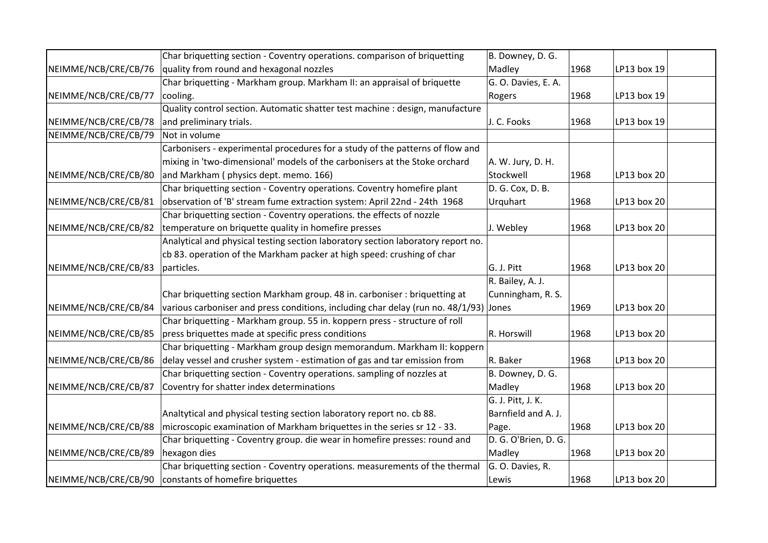|                      | Char briquetting section - Coventry operations. comparison of briquetting                | B. Downey, D. G.     |      |             |  |
|----------------------|------------------------------------------------------------------------------------------|----------------------|------|-------------|--|
| NEIMME/NCB/CRE/CB/76 | quality from round and hexagonal nozzles                                                 | Madley               | 1968 | LP13 box 19 |  |
|                      | Char briquetting - Markham group. Markham II: an appraisal of briquette                  | G. O. Davies, E. A.  |      |             |  |
| NEIMME/NCB/CRE/CB/77 | cooling.                                                                                 | Rogers               | 1968 | LP13 box 19 |  |
|                      | Quality control section. Automatic shatter test machine : design, manufacture            |                      |      |             |  |
| NEIMME/NCB/CRE/CB/78 | and preliminary trials.                                                                  | J. C. Fooks          | 1968 | LP13 box 19 |  |
| NEIMME/NCB/CRE/CB/79 | Not in volume                                                                            |                      |      |             |  |
|                      | Carbonisers - experimental procedures for a study of the patterns of flow and            |                      |      |             |  |
|                      | mixing in 'two-dimensional' models of the carbonisers at the Stoke orchard               | A. W. Jury, D. H.    |      |             |  |
| NEIMME/NCB/CRE/CB/80 | and Markham (physics dept. memo. 166)                                                    | Stockwell            | 1968 | LP13 box 20 |  |
|                      | Char briquetting section - Coventry operations. Coventry homefire plant                  | D. G. Cox, D. B.     |      |             |  |
| NEIMME/NCB/CRE/CB/81 | observation of 'B' stream fume extraction system: April 22nd - 24th 1968                 | Urquhart             | 1968 | LP13 box 20 |  |
|                      | Char briquetting section - Coventry operations. the effects of nozzle                    |                      |      |             |  |
| NEIMME/NCB/CRE/CB/82 | temperature on briquette quality in homefire presses                                     | J. Webley            | 1968 | LP13 box 20 |  |
|                      | Analytical and physical testing section laboratory section laboratory report no.         |                      |      |             |  |
|                      | cb 83. operation of the Markham packer at high speed: crushing of char                   |                      |      |             |  |
| NEIMME/NCB/CRE/CB/83 | particles.                                                                               | G. J. Pitt           | 1968 | LP13 box 20 |  |
|                      |                                                                                          | R. Bailey, A. J.     |      |             |  |
|                      | Char briquetting section Markham group. 48 in. carboniser: briquetting at                | Cunningham, R. S.    |      |             |  |
| NEIMME/NCB/CRE/CB/84 | various carboniser and press conditions, including char delay (run no. $48/1/93$ ) Jones |                      | 1969 | LP13 box 20 |  |
|                      | Char briquetting - Markham group. 55 in. koppern press - structure of roll               |                      |      |             |  |
| NEIMME/NCB/CRE/CB/85 | press briquettes made at specific press conditions                                       | R. Horswill          | 1968 | LP13 box 20 |  |
|                      | Char briquetting - Markham group design memorandum. Markham II: koppern                  |                      |      |             |  |
| NEIMME/NCB/CRE/CB/86 | delay vessel and crusher system - estimation of gas and tar emission from                | R. Baker             | 1968 | LP13 box 20 |  |
|                      | Char briquetting section - Coventry operations. sampling of nozzles at                   | B. Downey, D. G.     |      |             |  |
| NEIMME/NCB/CRE/CB/87 | Coventry for shatter index determinations                                                | Madley               | 1968 | LP13 box 20 |  |
|                      |                                                                                          | G. J. Pitt, J. K.    |      |             |  |
|                      | Analtytical and physical testing section laboratory report no. cb 88.                    | Barnfield and A. J.  |      |             |  |
| NEIMME/NCB/CRE/CB/88 | microscopic examination of Markham briquettes in the series sr 12 - 33.                  | Page.                | 1968 | LP13 box 20 |  |
|                      | Char briquetting - Coventry group. die wear in homefire presses: round and               | D. G. O'Brien, D. G. |      |             |  |
| NEIMME/NCB/CRE/CB/89 | hexagon dies                                                                             | Madley               | 1968 | LP13 box 20 |  |
|                      | Char briquetting section - Coventry operations. measurements of the thermal              | G. O. Davies, R.     |      |             |  |
| NEIMME/NCB/CRE/CB/90 | constants of homefire briquettes                                                         | Lewis                | 1968 | LP13 box 20 |  |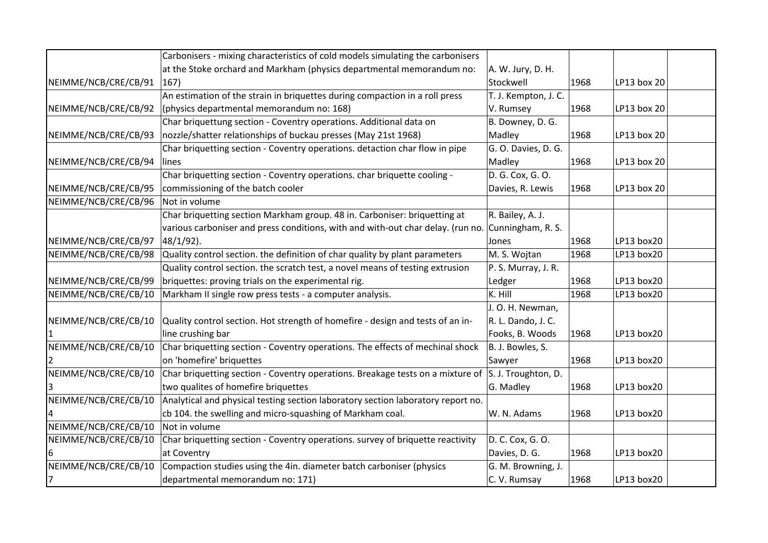|                      | Carbonisers - mixing characteristics of cold models simulating the carbonisers                    |                      |      |             |  |
|----------------------|---------------------------------------------------------------------------------------------------|----------------------|------|-------------|--|
|                      | at the Stoke orchard and Markham (physics departmental memorandum no:                             | A. W. Jury, D. H.    |      |             |  |
| NEIMME/NCB/CRE/CB/91 | $ 167\rangle$                                                                                     | Stockwell            | 1968 | LP13 box 20 |  |
|                      | An estimation of the strain in briquettes during compaction in a roll press                       | T. J. Kempton, J. C. |      |             |  |
| NEIMME/NCB/CRE/CB/92 | (physics departmental memorandum no: 168)                                                         | V. Rumsey            | 1968 | LP13 box 20 |  |
|                      | Char briquettung section - Coventry operations. Additional data on                                | B. Downey, D. G.     |      |             |  |
| NEIMME/NCB/CRE/CB/93 | nozzle/shatter relationships of buckau presses (May 21st 1968)                                    | Madley               | 1968 | LP13 box 20 |  |
|                      | Char briquetting section - Coventry operations. detaction char flow in pipe                       | G. O. Davies, D. G.  |      |             |  |
| NEIMME/NCB/CRE/CB/94 | lines                                                                                             | Madley               | 1968 | LP13 box 20 |  |
|                      | Char briquetting section - Coventry operations. char briquette cooling -                          | D. G. Cox, G. O.     |      |             |  |
| NEIMME/NCB/CRE/CB/95 | commissioning of the batch cooler                                                                 | Davies, R. Lewis     | 1968 | LP13 box 20 |  |
| NEIMME/NCB/CRE/CB/96 | Not in volume                                                                                     |                      |      |             |  |
|                      | Char briquetting section Markham group. 48 in. Carboniser: briquetting at                         | R. Bailey, A. J.     |      |             |  |
|                      | various carboniser and press conditions, with and with-out char delay. (run no. Cunningham, R. S. |                      |      |             |  |
| NEIMME/NCB/CRE/CB/97 | 48/1/92).                                                                                         | Jones                | 1968 | LP13 box20  |  |
| NEIMME/NCB/CRE/CB/98 | Quality control section. the definition of char quality by plant parameters                       | M. S. Wojtan         | 1968 | LP13 box20  |  |
|                      | Quality control section. the scratch test, a novel means of testing extrusion                     | P. S. Murray, J. R.  |      |             |  |
| NEIMME/NCB/CRE/CB/99 | briquettes: proving trials on the experimental rig.                                               | Ledger               | 1968 | LP13 box20  |  |
| NEIMME/NCB/CRE/CB/10 | Markham II single row press tests - a computer analysis.                                          | K. Hill              | 1968 | LP13 box20  |  |
|                      |                                                                                                   | J. O. H. Newman,     |      |             |  |
| NEIMME/NCB/CRE/CB/10 | Quality control section. Hot strength of homefire - design and tests of an in-                    | R. L. Dando, J. C.   |      |             |  |
|                      | line crushing bar                                                                                 | Fooks, B. Woods      | 1968 | LP13 box20  |  |
| NEIMME/NCB/CRE/CB/10 | Char briquetting section - Coventry operations. The effects of mechinal shock                     | B. J. Bowles, S.     |      |             |  |
|                      | on 'homefire' briquettes                                                                          | Sawyer               | 1968 | LP13 box20  |  |
| NEIMME/NCB/CRE/CB/10 | Char briquetting section - Coventry operations. Breakage tests on a mixture of                    | S. J. Troughton, D.  |      |             |  |
|                      | two qualites of homefire briquettes                                                               | G. Madley            | 1968 | LP13 box20  |  |
| NEIMME/NCB/CRE/CB/10 | Analytical and physical testing section laboratory section laboratory report no.                  |                      |      |             |  |
|                      | cb 104. the swelling and micro-squashing of Markham coal.                                         | W. N. Adams          | 1968 | LP13 box20  |  |
| NEIMME/NCB/CRE/CB/10 | Not in volume                                                                                     |                      |      |             |  |
| NEIMME/NCB/CRE/CB/10 | Char briquetting section - Coventry operations. survey of briquette reactivity                    | D. C. Cox, G. O.     |      |             |  |
|                      | at Coventry                                                                                       | Davies, D. G.        | 1968 | LP13 box20  |  |
| NEIMME/NCB/CRE/CB/10 | Compaction studies using the 4in. diameter batch carboniser (physics                              | G. M. Browning, J.   |      |             |  |
| 7                    | departmental memorandum no: 171)                                                                  | C. V. Rumsay         | 1968 | LP13 box20  |  |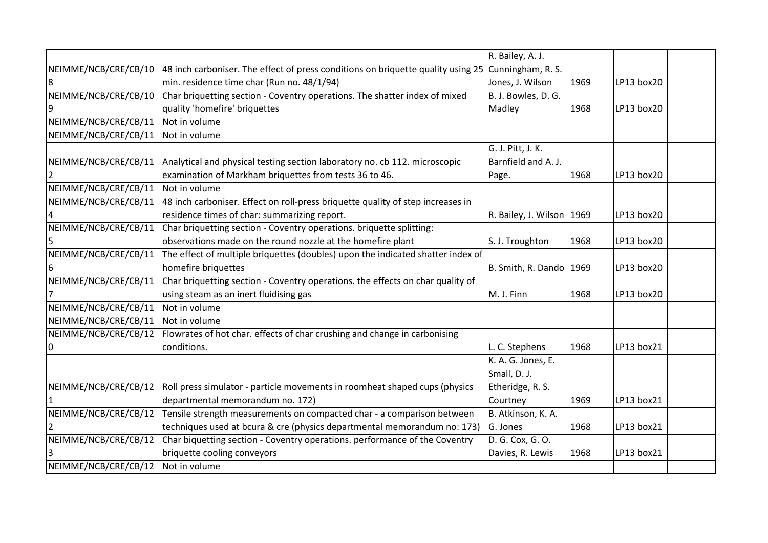|                      |                                                                                  | R. Bailey, A. J.            |      |            |  |
|----------------------|----------------------------------------------------------------------------------|-----------------------------|------|------------|--|
| NEIMME/NCB/CRE/CB/10 | 48 inch carboniser. The effect of press conditions on briquette quality using 25 | Cunningham, R. S.           |      |            |  |
| 8                    | min. residence time char (Run no. 48/1/94)                                       | Jones, J. Wilson            | 1969 | LP13 box20 |  |
| NEIMME/NCB/CRE/CB/10 | Char briquetting section - Coventry operations. The shatter index of mixed       | B. J. Bowles, D. G.         |      |            |  |
| 9                    | quality 'homefire' briquettes                                                    | Madley                      | 1968 | LP13 box20 |  |
| NEIMME/NCB/CRE/CB/11 | Not in volume                                                                    |                             |      |            |  |
| NEIMME/NCB/CRE/CB/11 | Not in volume                                                                    |                             |      |            |  |
|                      |                                                                                  | G. J. Pitt, J. K.           |      |            |  |
| NEIMME/NCB/CRE/CB/11 | Analytical and physical testing section laboratory no. cb 112. microscopic       | Barnfield and A. J.         |      |            |  |
|                      | examination of Markham briquettes from tests 36 to 46.                           | Page.                       | 1968 | LP13 box20 |  |
| NEIMME/NCB/CRE/CB/11 | Not in volume                                                                    |                             |      |            |  |
| NEIMME/NCB/CRE/CB/11 | 48 inch carboniser. Effect on roll-press briquette quality of step increases in  |                             |      |            |  |
|                      | residence times of char: summarizing report.                                     | R. Bailey, J. Wilson   1969 |      | LP13 box20 |  |
| NEIMME/NCB/CRE/CB/11 | Char briquetting section - Coventry operations. briquette splitting:             |                             |      |            |  |
| 5                    | observations made on the round nozzle at the homefire plant                      | S. J. Troughton             | 1968 | LP13 box20 |  |
| NEIMME/NCB/CRE/CB/11 | The effect of multiple briquettes (doubles) upon the indicated shatter index of  |                             |      |            |  |
| 6                    | homefire briquettes                                                              | B. Smith, R. Dando $ 1969 $ |      | LP13 box20 |  |
| NEIMME/NCB/CRE/CB/11 | Char briquetting section - Coventry operations. the effects on char quality of   |                             |      |            |  |
|                      | using steam as an inert fluidising gas                                           | M. J. Finn                  | 1968 | LP13 box20 |  |
| NEIMME/NCB/CRE/CB/11 | Not in volume                                                                    |                             |      |            |  |
| NEIMME/NCB/CRE/CB/11 | Not in volume                                                                    |                             |      |            |  |
| NEIMME/NCB/CRE/CB/12 | Flowrates of hot char. effects of char crushing and change in carbonising        |                             |      |            |  |
| 0                    | conditions.                                                                      | L. C. Stephens              | 1968 | LP13 box21 |  |
|                      |                                                                                  | K. A. G. Jones, E.          |      |            |  |
|                      |                                                                                  | Small, D. J.                |      |            |  |
| NEIMME/NCB/CRE/CB/12 | Roll press simulator - particle movements in roomheat shaped cups (physics       | Etheridge, R. S.            |      |            |  |
|                      | departmental memorandum no. 172)                                                 | Courtney                    | 1969 | LP13 box21 |  |
| NEIMME/NCB/CRE/CB/12 | Tensile strength measurements on compacted char - a comparison between           | B. Atkinson, K. A.          |      |            |  |
|                      | techniques used at bcura & cre (physics departmental memorandum no: 173)         | G. Jones                    | 1968 | LP13 box21 |  |
| NEIMME/NCB/CRE/CB/12 | Char biquetting section - Coventry operations. performance of the Coventry       | D. G. Cox, G. O.            |      |            |  |
|                      | briquette cooling conveyors                                                      | Davies, R. Lewis            | 1968 | LP13 box21 |  |
| NEIMME/NCB/CRE/CB/12 | Not in volume                                                                    |                             |      |            |  |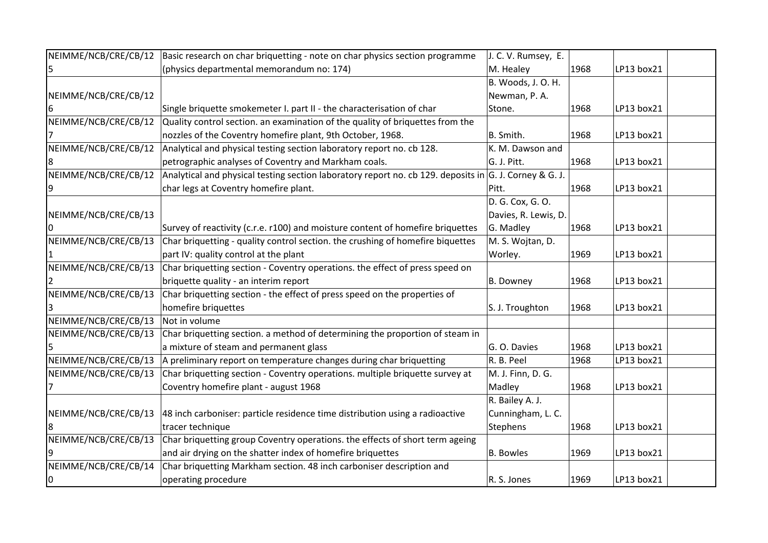| NEIMME/NCB/CRE/CB/12 | Basic research on char briquetting - note on char physics section programme                            | J. C. V. Rumsey, E.  |      |            |
|----------------------|--------------------------------------------------------------------------------------------------------|----------------------|------|------------|
|                      | (physics departmental memorandum no: 174)                                                              | M. Healey            | 1968 | LP13 box21 |
|                      |                                                                                                        | B. Woods, J. O. H.   |      |            |
| NEIMME/NCB/CRE/CB/12 |                                                                                                        | Newman, P.A.         |      |            |
|                      | Single briquette smokemeter I. part II - the characterisation of char                                  | Stone.               | 1968 | LP13 box21 |
| NEIMME/NCB/CRE/CB/12 | Quality control section. an examination of the quality of briquettes from the                          |                      |      |            |
|                      | nozzles of the Coventry homefire plant, 9th October, 1968.                                             | B. Smith.            | 1968 | LP13 box21 |
| NEIMME/NCB/CRE/CB/12 | Analytical and physical testing section laboratory report no. cb 128.                                  | K. M. Dawson and     |      |            |
|                      | petrographic analyses of Coventry and Markham coals.                                                   | G. J. Pitt.          | 1968 | LP13 box21 |
| NEIMME/NCB/CRE/CB/12 | Analytical and physical testing section laboratory report no. cb 129. deposits in G. J. Corney & G. J. |                      |      |            |
|                      | char legs at Coventry homefire plant.                                                                  | Pitt.                | 1968 | LP13 box21 |
|                      |                                                                                                        | D. G. Cox, G. O.     |      |            |
| NEIMME/NCB/CRE/CB/13 |                                                                                                        | Davies, R. Lewis, D. |      |            |
|                      | Survey of reactivity (c.r.e. r100) and moisture content of homefire briquettes                         | G. Madley            | 1968 | LP13 box21 |
| NEIMME/NCB/CRE/CB/13 | Char briquetting - quality control section. the crushing of homefire biquettes                         | M. S. Wojtan, D.     |      |            |
|                      | part IV: quality control at the plant                                                                  | Worley.              | 1969 | LP13 box21 |
| NEIMME/NCB/CRE/CB/13 | Char briquetting section - Coventry operations. the effect of press speed on                           |                      |      |            |
|                      | briquette quality - an interim report                                                                  | B. Downey            | 1968 | LP13 box21 |
| NEIMME/NCB/CRE/CB/13 | Char briquetting section - the effect of press speed on the properties of                              |                      |      |            |
|                      | homefire briquettes                                                                                    | S. J. Troughton      | 1968 | LP13 box21 |
| NEIMME/NCB/CRE/CB/13 | Not in volume                                                                                          |                      |      |            |
| NEIMME/NCB/CRE/CB/13 | Char briquetting section. a method of determining the proportion of steam in                           |                      |      |            |
|                      | a mixture of steam and permanent glass                                                                 | G. O. Davies         | 1968 | LP13 box21 |
| NEIMME/NCB/CRE/CB/13 | A preliminary report on temperature changes during char briquetting                                    | R. B. Peel           | 1968 | LP13 box21 |
| NEIMME/NCB/CRE/CB/13 | Char briquetting section - Coventry operations. multiple briquette survey at                           | M. J. Finn, D. G.    |      |            |
|                      | Coventry homefire plant - august 1968                                                                  | Madley               | 1968 | LP13 box21 |
|                      |                                                                                                        | R. Bailey A. J.      |      |            |
| NEIMME/NCB/CRE/CB/13 | 48 inch carboniser: particle residence time distribution using a radioactive                           | Cunningham, L. C.    |      |            |
|                      | tracer technique                                                                                       | <b>Stephens</b>      | 1968 | LP13 box21 |
|                      | NEIMME/NCB/CRE/CB/13 Char briquetting group Coventry operations. the effects of short term ageing      |                      |      |            |
|                      | and air drying on the shatter index of homefire briquettes                                             | <b>B.</b> Bowles     | 1969 | LP13 box21 |
| NEIMME/NCB/CRE/CB/14 | Char briquetting Markham section. 48 inch carboniser description and                                   |                      |      |            |
| 10                   | operating procedure                                                                                    | R. S. Jones          | 1969 | LP13 box21 |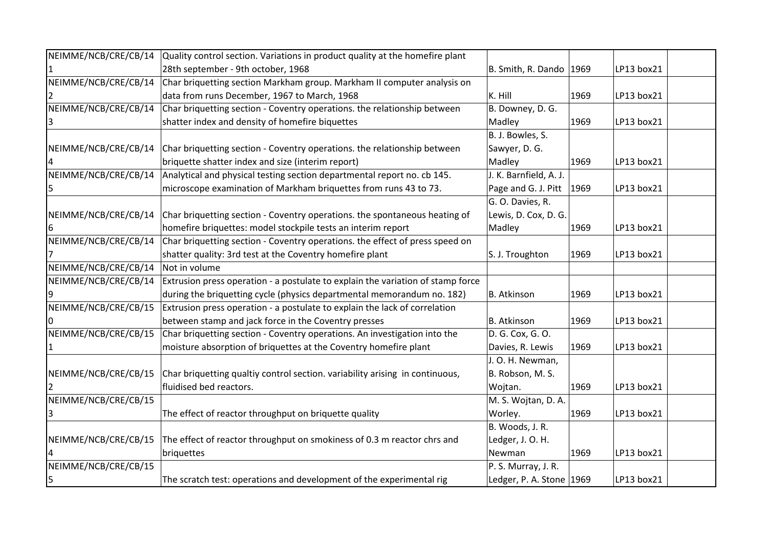| NEIMME/NCB/CRE/CB/14 | Quality control section. Variations in product quality at the homefire plant                 |                             |      |            |  |
|----------------------|----------------------------------------------------------------------------------------------|-----------------------------|------|------------|--|
|                      | 28th september - 9th october, 1968                                                           | B. Smith, R. Dando $ 1969 $ |      | LP13 box21 |  |
| NEIMME/NCB/CRE/CB/14 | Char briquetting section Markham group. Markham II computer analysis on                      |                             |      |            |  |
|                      | data from runs December, 1967 to March, 1968                                                 | K. Hill                     | 1969 | LP13 box21 |  |
| NEIMME/NCB/CRE/CB/14 | Char briquetting section - Coventry operations. the relationship between                     | B. Downey, D. G.            |      |            |  |
|                      | shatter index and density of homefire biquettes                                              | Madley                      | 1969 | LP13 box21 |  |
|                      |                                                                                              | B. J. Bowles, S.            |      |            |  |
| NEIMME/NCB/CRE/CB/14 | Char briquetting section - Coventry operations. the relationship between                     | Sawyer, D. G.               |      |            |  |
|                      | briquette shatter index and size (interim report)                                            | Madley                      | 1969 | LP13 box21 |  |
|                      | NEIMME/NCB/CRE/CB/14 Analytical and physical testing section departmental report no. cb 145. | J. K. Barnfield, A. J.      |      |            |  |
|                      | microscope examination of Markham briquettes from runs 43 to 73.                             | Page and G. J. Pitt         | 1969 | LP13 box21 |  |
|                      |                                                                                              | G. O. Davies, R.            |      |            |  |
| NEIMME/NCB/CRE/CB/14 | Char briquetting section - Coventry operations. the spontaneous heating of                   | Lewis, D. Cox, D. G.        |      |            |  |
|                      | homefire briquettes: model stockpile tests an interim report                                 | Madley                      | 1969 | LP13 box21 |  |
| NEIMME/NCB/CRE/CB/14 | Char briquetting section - Coventry operations. the effect of press speed on                 |                             |      |            |  |
|                      | shatter quality: 3rd test at the Coventry homefire plant                                     | S. J. Troughton             | 1969 | LP13 box21 |  |
| NEIMME/NCB/CRE/CB/14 | Not in volume                                                                                |                             |      |            |  |
| NEIMME/NCB/CRE/CB/14 | Extrusion press operation - a postulate to explain the variation of stamp force              |                             |      |            |  |
|                      | during the briquetting cycle (physics departmental memorandum no. 182)                       | B. Atkinson                 | 1969 | LP13 box21 |  |
| NEIMME/NCB/CRE/CB/15 | Extrusion press operation - a postulate to explain the lack of correlation                   |                             |      |            |  |
|                      | between stamp and jack force in the Coventry presses                                         | B. Atkinson                 | 1969 | LP13 box21 |  |
| NEIMME/NCB/CRE/CB/15 | Char briquetting section - Coventry operations. An investigation into the                    | D. G. Cox, G. O.            |      |            |  |
|                      | moisture absorption of briquettes at the Coventry homefire plant                             | Davies, R. Lewis            | 1969 | LP13 box21 |  |
|                      |                                                                                              | J. O. H. Newman,            |      |            |  |
| NEIMME/NCB/CRE/CB/15 | Char briquetting qualtiy control section. variability arising in continuous,                 | B. Robson, M. S.            |      |            |  |
|                      | fluidised bed reactors.                                                                      | Wojtan.                     | 1969 | LP13 box21 |  |
| NEIMME/NCB/CRE/CB/15 |                                                                                              | M. S. Wojtan, D. A.         |      |            |  |
|                      | The effect of reactor throughput on briquette quality                                        | Worley.                     | 1969 | LP13 box21 |  |
|                      |                                                                                              | B. Woods, J. R.             |      |            |  |
| NEIMME/NCB/CRE/CB/15 | The effect of reactor throughput on smokiness of 0.3 m reactor chrs and                      | Ledger, J. O. H.            |      |            |  |
|                      | briquettes                                                                                   | Newman                      | 1969 | LP13 box21 |  |
| NEIMME/NCB/CRE/CB/15 |                                                                                              | P. S. Murray, J. R.         |      |            |  |
| 5                    | The scratch test: operations and development of the experimental rig                         | Ledger, P. A. Stone $1969$  |      | LP13 box21 |  |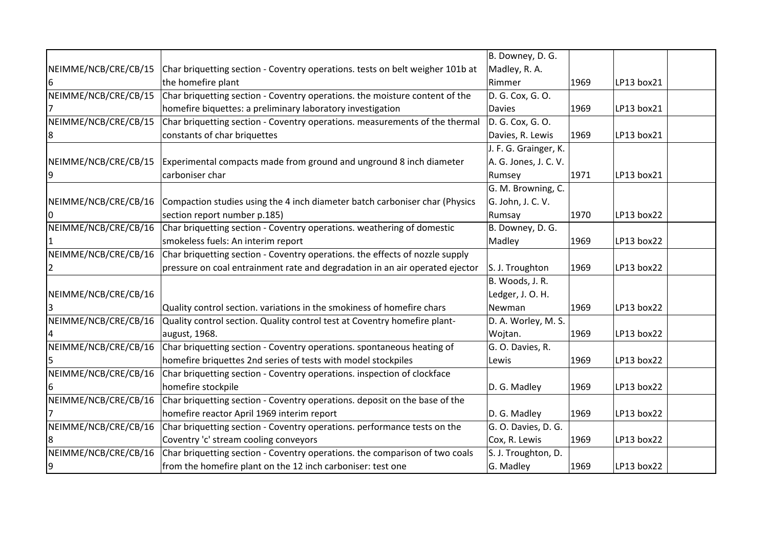|                      |                                                                               | B. Downey, D. G.      |      |            |  |
|----------------------|-------------------------------------------------------------------------------|-----------------------|------|------------|--|
| NEIMME/NCB/CRE/CB/15 | Char briquetting section - Coventry operations. tests on belt weigher 101b at | Madley, R. A.         |      |            |  |
| 6                    | the homefire plant                                                            | Rimmer                | 1969 | LP13 box21 |  |
| NEIMME/NCB/CRE/CB/15 | Char briquetting section - Coventry operations. the moisture content of the   | D. G. Cox, G. O.      |      |            |  |
|                      | homefire biquettes: a preliminary laboratory investigation                    | <b>Davies</b>         | 1969 | LP13 box21 |  |
| NEIMME/NCB/CRE/CB/15 | Char briquetting section - Coventry operations. measurements of the thermal   | D. G. Cox, G. O.      |      |            |  |
| 8                    | constants of char briquettes                                                  | Davies, R. Lewis      | 1969 | LP13 box21 |  |
|                      |                                                                               | J. F. G. Grainger, K. |      |            |  |
| NEIMME/NCB/CRE/CB/15 | Experimental compacts made from ground and unground 8 inch diameter           | A. G. Jones, J. C. V. |      |            |  |
| 19                   | carboniser char                                                               | Rumsey                | 1971 | LP13 box21 |  |
|                      |                                                                               | G. M. Browning, C.    |      |            |  |
| NEIMME/NCB/CRE/CB/16 | Compaction studies using the 4 inch diameter batch carboniser char (Physics   | G. John, J. C. V.     |      |            |  |
|                      | section report number p.185)                                                  | Rumsay                | 1970 | LP13 box22 |  |
| NEIMME/NCB/CRE/CB/16 | Char briquetting section - Coventry operations. weathering of domestic        | B. Downey, D. G.      |      |            |  |
|                      | smokeless fuels: An interim report                                            | Madley                | 1969 | LP13 box22 |  |
| NEIMME/NCB/CRE/CB/16 | Char briquetting section - Coventry operations. the effects of nozzle supply  |                       |      |            |  |
|                      | pressure on coal entrainment rate and degradation in an air operated ejector  | S. J. Troughton       | 1969 | LP13 box22 |  |
|                      |                                                                               | B. Woods, J. R.       |      |            |  |
| NEIMME/NCB/CRE/CB/16 |                                                                               | Ledger, J. O. H.      |      |            |  |
|                      | Quality control section. variations in the smokiness of homefire chars        | Newman                | 1969 | LP13 box22 |  |
| NEIMME/NCB/CRE/CB/16 | Quality control section. Quality control test at Coventry homefire plant-     | D. A. Worley, M. S.   |      |            |  |
|                      | august, 1968.                                                                 | Wojtan.               | 1969 | LP13 box22 |  |
| NEIMME/NCB/CRE/CB/16 | Char briquetting section - Coventry operations. spontaneous heating of        | G. O. Davies, R.      |      |            |  |
|                      | homefire briquettes 2nd series of tests with model stockpiles                 | Lewis                 | 1969 | LP13 box22 |  |
| NEIMME/NCB/CRE/CB/16 | Char briquetting section - Coventry operations. inspection of clockface       |                       |      |            |  |
|                      | homefire stockpile                                                            | D. G. Madley          | 1969 | LP13 box22 |  |
| NEIMME/NCB/CRE/CB/16 | Char briquetting section - Coventry operations. deposit on the base of the    |                       |      |            |  |
|                      | homefire reactor April 1969 interim report                                    | D. G. Madley          | 1969 | LP13 box22 |  |
| NEIMME/NCB/CRE/CB/16 | Char briquetting section - Coventry operations. performance tests on the      | G. O. Davies, D. G.   |      |            |  |
|                      | Coventry 'c' stream cooling conveyors                                         | Cox, R. Lewis         | 1969 | LP13 box22 |  |
| NEIMME/NCB/CRE/CB/16 | Char briquetting section - Coventry operations. the comparison of two coals   | S. J. Troughton, D.   |      |            |  |
| 9                    | from the homefire plant on the 12 inch carboniser: test one                   | G. Madley             | 1969 | LP13 box22 |  |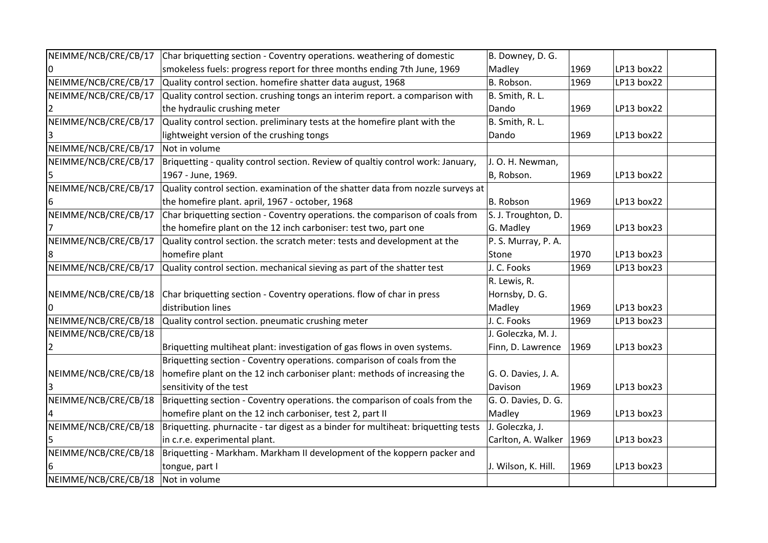| NEIMME/NCB/CRE/CB/17 | Char briquetting section - Coventry operations. weathering of domestic            | B. Downey, D. G.    |      |            |  |
|----------------------|-----------------------------------------------------------------------------------|---------------------|------|------------|--|
|                      | smokeless fuels: progress report for three months ending 7th June, 1969           | Madley              | 1969 | LP13 box22 |  |
| NEIMME/NCB/CRE/CB/17 | Quality control section. homefire shatter data august, 1968                       | B. Robson.          | 1969 | LP13 box22 |  |
| NEIMME/NCB/CRE/CB/17 | Quality control section. crushing tongs an interim report. a comparison with      | B. Smith, R. L.     |      |            |  |
|                      | the hydraulic crushing meter                                                      | Dando               | 1969 | LP13 box22 |  |
| NEIMME/NCB/CRE/CB/17 | Quality control section. preliminary tests at the homefire plant with the         | B. Smith, R. L.     |      |            |  |
|                      | lightweight version of the crushing tongs                                         | Dando               | 1969 | LP13 box22 |  |
| NEIMME/NCB/CRE/CB/17 | Not in volume                                                                     |                     |      |            |  |
| NEIMME/NCB/CRE/CB/17 | Briquetting - quality control section. Review of qualtiy control work: January,   | J. O. H. Newman,    |      |            |  |
|                      | 1967 - June, 1969.                                                                | B, Robson.          | 1969 | LP13 box22 |  |
| NEIMME/NCB/CRE/CB/17 | Quality control section. examination of the shatter data from nozzle surveys at   |                     |      |            |  |
|                      | the homefire plant. april, 1967 - october, 1968                                   | B. Robson           | 1969 | LP13 box22 |  |
| NEIMME/NCB/CRE/CB/17 | Char briquetting section - Coventry operations. the comparison of coals from      | S. J. Troughton, D. |      |            |  |
|                      | the homefire plant on the 12 inch carboniser: test two, part one                  | G. Madley           | 1969 | LP13 box23 |  |
| NEIMME/NCB/CRE/CB/17 | Quality control section. the scratch meter: tests and development at the          | P. S. Murray, P. A. |      |            |  |
|                      | homefire plant                                                                    | Stone               | 1970 | LP13 box23 |  |
| NEIMME/NCB/CRE/CB/17 | Quality control section. mechanical sieving as part of the shatter test           | J. C. Fooks         | 1969 | LP13 box23 |  |
|                      |                                                                                   | R. Lewis, R.        |      |            |  |
| NEIMME/NCB/CRE/CB/18 | Char briquetting section - Coventry operations. flow of char in press             | Hornsby, D. G.      |      |            |  |
|                      | distribution lines                                                                | Madley              | 1969 | LP13 box23 |  |
| NEIMME/NCB/CRE/CB/18 | Quality control section. pneumatic crushing meter                                 | J. C. Fooks         | 1969 | LP13 box23 |  |
| NEIMME/NCB/CRE/CB/18 |                                                                                   | J. Goleczka, M. J.  |      |            |  |
|                      | Briquetting multiheat plant: investigation of gas flows in oven systems.          | Finn, D. Lawrence   | 1969 | LP13 box23 |  |
|                      | Briquetting section - Coventry operations. comparison of coals from the           |                     |      |            |  |
| NEIMME/NCB/CRE/CB/18 | homefire plant on the 12 inch carboniser plant: methods of increasing the         | G. O. Davies, J. A. |      |            |  |
|                      | sensitivity of the test                                                           | Davison             | 1969 | LP13 box23 |  |
| NEIMME/NCB/CRE/CB/18 | Briquetting section - Coventry operations. the comparison of coals from the       | G. O. Davies, D. G. |      |            |  |
|                      | homefire plant on the 12 inch carboniser, test 2, part II                         | Madley              | 1969 | LP13 box23 |  |
| NEIMME/NCB/CRE/CB/18 | Briquetting. phurnacite - tar digest as a binder for multiheat: briquetting tests | J. Goleczka, J.     |      |            |  |
|                      | in c.r.e. experimental plant.                                                     | Carlton, A. Walker  | 1969 | LP13 box23 |  |
| NEIMME/NCB/CRE/CB/18 | Briquetting - Markham. Markham II development of the koppern packer and           |                     |      |            |  |
|                      | tongue, part I                                                                    | J. Wilson, K. Hill. | 1969 | LP13 box23 |  |
| NEIMME/NCB/CRE/CB/18 | Not in volume                                                                     |                     |      |            |  |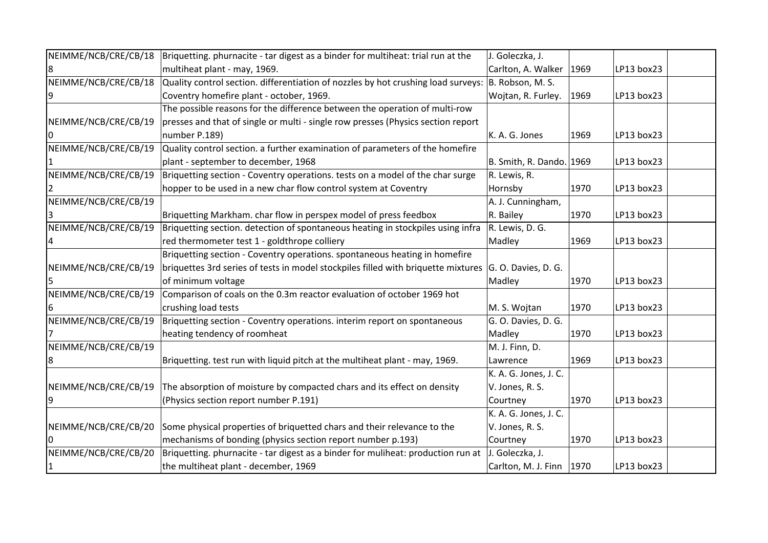| NEIMME/NCB/CRE/CB/18 | Briquetting. phurnacite - tar digest as a binder for multiheat: trial run at the                       | J. Goleczka, J.            |      |            |  |
|----------------------|--------------------------------------------------------------------------------------------------------|----------------------------|------|------------|--|
|                      | multiheat plant - may, 1969.                                                                           | Carlton, A. Walker   1969  |      | LP13 box23 |  |
| NEIMME/NCB/CRE/CB/18 | Quality control section. differentiation of nozzles by hot crushing load surveys: $ B. R$ obson, M. S. |                            |      |            |  |
|                      | Coventry homefire plant - october, 1969.                                                               | Wojtan, R. Furley.         | 1969 | LP13 box23 |  |
|                      | The possible reasons for the difference between the operation of multi-row                             |                            |      |            |  |
| NEIMME/NCB/CRE/CB/19 | presses and that of single or multi - single row presses (Physics section report                       |                            |      |            |  |
|                      | number P.189)                                                                                          | K. A. G. Jones             | 1969 | LP13 box23 |  |
| NEIMME/NCB/CRE/CB/19 | Quality control section. a further examination of parameters of the homefire                           |                            |      |            |  |
|                      | plant - september to december, 1968                                                                    | B. Smith, R. Dando. 1969   |      | LP13 box23 |  |
| NEIMME/NCB/CRE/CB/19 | Briquetting section - Coventry operations. tests on a model of the char surge                          | R. Lewis, R.               |      |            |  |
|                      | hopper to be used in a new char flow control system at Coventry                                        | Hornsby                    | 1970 | LP13 box23 |  |
| NEIMME/NCB/CRE/CB/19 |                                                                                                        | A. J. Cunningham,          |      |            |  |
|                      | Briquetting Markham. char flow in perspex model of press feedbox                                       | R. Bailey                  | 1970 | LP13 box23 |  |
| NEIMME/NCB/CRE/CB/19 | Briquetting section. detection of spontaneous heating in stockpiles using infra                        | R. Lewis, D. G.            |      |            |  |
|                      | red thermometer test 1 - goldthrope colliery                                                           | Madley                     | 1969 | LP13 box23 |  |
|                      | Briquetting section - Coventry operations. spontaneous heating in homefire                             |                            |      |            |  |
| NEIMME/NCB/CRE/CB/19 | briquettes 3rd series of tests in model stockpiles filled with briquette mixtures                      | $ G. O.$ Davies, D. G.     |      |            |  |
|                      | of minimum voltage                                                                                     | Madley                     | 1970 | LP13 box23 |  |
| NEIMME/NCB/CRE/CB/19 | Comparison of coals on the 0.3m reactor evaluation of october 1969 hot                                 |                            |      |            |  |
|                      | crushing load tests                                                                                    | M. S. Wojtan               | 1970 | LP13 box23 |  |
| NEIMME/NCB/CRE/CB/19 | Briquetting section - Coventry operations. interim report on spontaneous                               | G. O. Davies, D. G.        |      |            |  |
|                      | heating tendency of roomheat                                                                           | Madley                     | 1970 | LP13 box23 |  |
| NEIMME/NCB/CRE/CB/19 |                                                                                                        | M. J. Finn, D.             |      |            |  |
|                      | Briquetting. test run with liquid pitch at the multiheat plant - may, 1969.                            | Lawrence                   | 1969 | LP13 box23 |  |
|                      |                                                                                                        | K. A. G. Jones, J. C.      |      |            |  |
| NEIMME/NCB/CRE/CB/19 | The absorption of moisture by compacted chars and its effect on density                                | V. Jones, R. S.            |      |            |  |
|                      | (Physics section report number P.191)                                                                  | Courtney                   | 1970 | LP13 box23 |  |
|                      |                                                                                                        | K. A. G. Jones, J. C.      |      |            |  |
| NEIMME/NCB/CRE/CB/20 | Some physical properties of briquetted chars and their relevance to the                                | V. Jones, R. S.            |      |            |  |
|                      | mechanisms of bonding (physics section report number p.193)                                            | Courtney                   | 1970 | LP13 box23 |  |
| NEIMME/NCB/CRE/CB/20 | Briquetting. phurnacite - tar digest as a binder for muliheat: production run at                       | J. Goleczka, J.            |      |            |  |
|                      | the multiheat plant - december, 1969                                                                   | Carlton, M. J. Finn   1970 |      | LP13 box23 |  |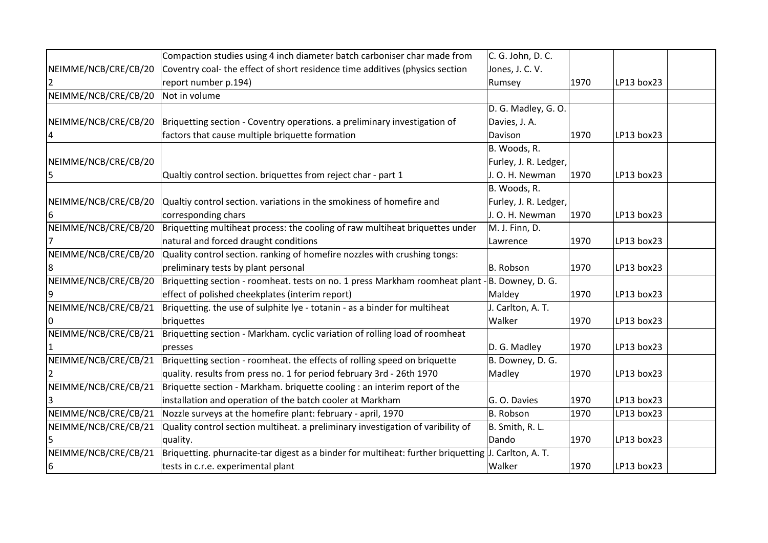|                      | Compaction studies using 4 inch diameter batch carboniser char made from          | C. G. John, D. C.     |      |            |  |
|----------------------|-----------------------------------------------------------------------------------|-----------------------|------|------------|--|
| NEIMME/NCB/CRE/CB/20 | Coventry coal- the effect of short residence time additives (physics section      | Jones, J. C. V.       |      |            |  |
|                      | report number p.194)                                                              | Rumsey                | 1970 | LP13 box23 |  |
| NEIMME/NCB/CRE/CB/20 | Not in volume                                                                     |                       |      |            |  |
|                      |                                                                                   | D. G. Madley, G. O.   |      |            |  |
| NEIMME/NCB/CRE/CB/20 | Briquetting section - Coventry operations. a preliminary investigation of         | Davies, J. A.         |      |            |  |
|                      | factors that cause multiple briquette formation                                   | Davison               | 1970 | LP13 box23 |  |
|                      |                                                                                   | B. Woods, R.          |      |            |  |
| NEIMME/NCB/CRE/CB/20 |                                                                                   | Furley, J. R. Ledger, |      |            |  |
| 5                    | Qualtiy control section. briquettes from reject char - part 1                     | J. O. H. Newman       | 1970 | LP13 box23 |  |
|                      |                                                                                   | B. Woods, R.          |      |            |  |
| NEIMME/NCB/CRE/CB/20 | Qualtiy control section. variations in the smokiness of homefire and              | Furley, J. R. Ledger, |      |            |  |
|                      | corresponding chars                                                               | J. O. H. Newman       | 1970 | LP13 box23 |  |
| NEIMME/NCB/CRE/CB/20 | Briquetting multiheat process: the cooling of raw multiheat briquettes under      | M. J. Finn, D.        |      |            |  |
|                      | natural and forced draught conditions                                             | Lawrence              | 1970 | LP13 box23 |  |
| NEIMME/NCB/CRE/CB/20 | Quality control section. ranking of homefire nozzles with crushing tongs:         |                       |      |            |  |
|                      | preliminary tests by plant personal                                               | B. Robson             | 1970 | LP13 box23 |  |
| NEIMME/NCB/CRE/CB/20 | Briquetting section - roomheat. tests on no. 1 press Markham roomheat plant -     | B. Downey, D. G.      |      |            |  |
|                      | effect of polished cheekplates (interim report)                                   | Maldey                | 1970 | LP13 box23 |  |
| NEIMME/NCB/CRE/CB/21 | Briquetting. the use of sulphite lye - totanin - as a binder for multiheat        | J. Carlton, A. T.     |      |            |  |
|                      | briquettes                                                                        | Walker                | 1970 | LP13 box23 |  |
| NEIMME/NCB/CRE/CB/21 | Briquetting section - Markham. cyclic variation of rolling load of roomheat       |                       |      |            |  |
|                      | presses                                                                           | D. G. Madley          | 1970 | LP13 box23 |  |
| NEIMME/NCB/CRE/CB/21 | Briquetting section - roomheat. the effects of rolling speed on briquette         | B. Downey, D. G.      |      |            |  |
|                      | quality. results from press no. 1 for period february 3rd - 26th 1970             | Madley                | 1970 | LP13 box23 |  |
| NEIMME/NCB/CRE/CB/21 | Briquette section - Markham. briquette cooling : an interim report of the         |                       |      |            |  |
|                      | installation and operation of the batch cooler at Markham                         | G. O. Davies          | 1970 | LP13 box23 |  |
| NEIMME/NCB/CRE/CB/21 | Nozzle surveys at the homefire plant: february - april, 1970                      | B. Robson             | 1970 | LP13 box23 |  |
| NEIMME/NCB/CRE/CB/21 | Quality control section multiheat. a preliminary investigation of varibility of   | B. Smith, R. L.       |      |            |  |
|                      | quality.                                                                          | Dando                 | 1970 | LP13 box23 |  |
| NEIMME/NCB/CRE/CB/21 | Briquetting. phurnacite-tar digest as a binder for multiheat: further briquetting | J. Carlton, A. T.     |      |            |  |
| 6                    | tests in c.r.e. experimental plant                                                | Walker                | 1970 | LP13 box23 |  |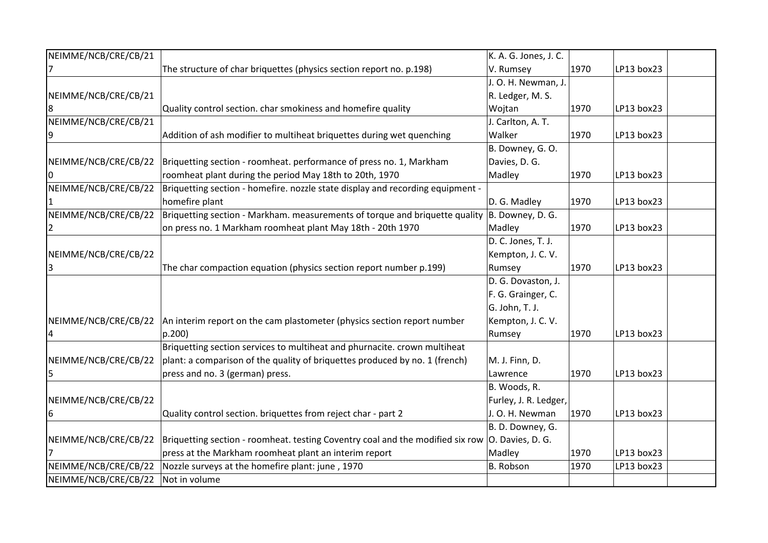| NEIMME/NCB/CRE/CB/21 |                                                                                                    | K. A. G. Jones, J. C. |      |            |  |
|----------------------|----------------------------------------------------------------------------------------------------|-----------------------|------|------------|--|
|                      | The structure of char briquettes (physics section report no. p.198)                                | V. Rumsey             | 1970 | LP13 box23 |  |
|                      |                                                                                                    | J. O. H. Newman, J.   |      |            |  |
| NEIMME/NCB/CRE/CB/21 |                                                                                                    | R. Ledger, M. S.      |      |            |  |
| 8                    | Quality control section. char smokiness and homefire quality                                       | Wojtan                | 1970 | LP13 box23 |  |
| NEIMME/NCB/CRE/CB/21 |                                                                                                    | J. Carlton, A. T.     |      |            |  |
|                      | Addition of ash modifier to multiheat briquettes during wet quenching                              | Walker                | 1970 | LP13 box23 |  |
|                      |                                                                                                    | B. Downey, G. O.      |      |            |  |
| NEIMME/NCB/CRE/CB/22 | Briquetting section - roomheat. performance of press no. 1, Markham                                | Davies, D. G.         |      |            |  |
|                      | roomheat plant during the period May 18th to 20th, 1970                                            | Madley                | 1970 | LP13 box23 |  |
| NEIMME/NCB/CRE/CB/22 | Briquetting section - homefire. nozzle state display and recording equipment -                     |                       |      |            |  |
|                      | homefire plant                                                                                     | D. G. Madley          | 1970 | LP13 box23 |  |
| NEIMME/NCB/CRE/CB/22 | Briquetting section - Markham. measurements of torque and briquette quality                        | B. Downey, D. G.      |      |            |  |
|                      | on press no. 1 Markham roomheat plant May 18th - 20th 1970                                         | Madley                | 1970 | LP13 box23 |  |
|                      |                                                                                                    | D. C. Jones, T. J.    |      |            |  |
| NEIMME/NCB/CRE/CB/22 |                                                                                                    | Kempton, J. C. V.     |      |            |  |
|                      | The char compaction equation (physics section report number p.199)                                 | Rumsey                | 1970 | LP13 box23 |  |
|                      |                                                                                                    | D. G. Dovaston, J.    |      |            |  |
|                      |                                                                                                    | F. G. Grainger, C.    |      |            |  |
|                      |                                                                                                    | G. John, T. J.        |      |            |  |
| NEIMME/NCB/CRE/CB/22 | An interim report on the cam plastometer (physics section report number                            | Kempton, J. C. V.     |      |            |  |
|                      | p.200                                                                                              | Rumsey                | 1970 | LP13 box23 |  |
|                      | Briquetting section services to multiheat and phurnacite. crown multiheat                          |                       |      |            |  |
| NEIMME/NCB/CRE/CB/22 | plant: a comparison of the quality of briquettes produced by no. 1 (french)                        | M. J. Finn, D.        |      |            |  |
| 5                    | press and no. 3 (german) press.                                                                    | Lawrence              | 1970 | LP13 box23 |  |
|                      |                                                                                                    | B. Woods, R.          |      |            |  |
| NEIMME/NCB/CRE/CB/22 |                                                                                                    | Furley, J. R. Ledger, |      |            |  |
| 6                    | Quality control section. briquettes from reject char - part 2                                      | J. O. H. Newman       | 1970 | LP13 box23 |  |
|                      |                                                                                                    | B. D. Downey, G.      |      |            |  |
| NEIMME/NCB/CRE/CB/22 | Briquetting section - roomheat. testing Coventry coal and the modified six row $ 0.$ Davies, D. G. |                       |      |            |  |
|                      | press at the Markham roomheat plant an interim report                                              | Madley                | 1970 | LP13 box23 |  |
| NEIMME/NCB/CRE/CB/22 | Nozzle surveys at the homefire plant: june, 1970                                                   | B. Robson             | 1970 | LP13 box23 |  |
| NEIMME/NCB/CRE/CB/22 | Not in volume                                                                                      |                       |      |            |  |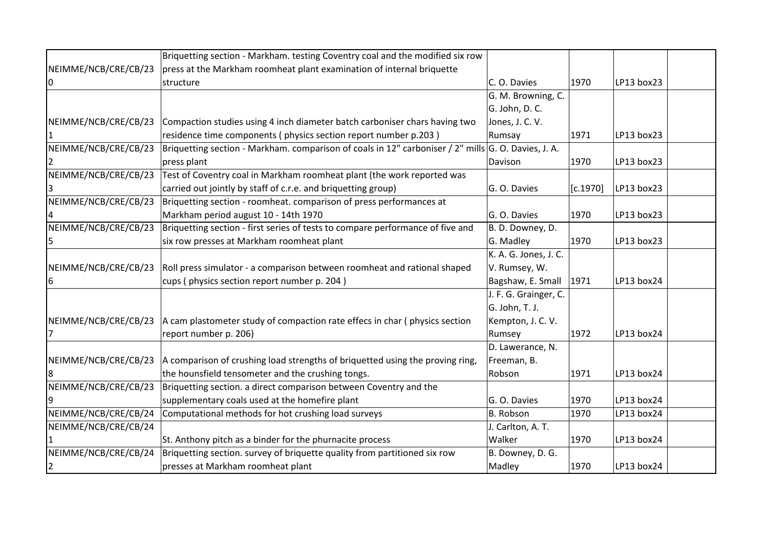|                      | Briquetting section - Markham. testing Coventry coal and the modified six row                       |                       |          |            |  |
|----------------------|-----------------------------------------------------------------------------------------------------|-----------------------|----------|------------|--|
| NEIMME/NCB/CRE/CB/23 | press at the Markham roomheat plant examination of internal briquette                               |                       |          |            |  |
| 0                    | structure                                                                                           | C. O. Davies          | 1970     | LP13 box23 |  |
|                      |                                                                                                     | G. M. Browning, C.    |          |            |  |
|                      |                                                                                                     | G. John, D. C.        |          |            |  |
| NEIMME/NCB/CRE/CB/23 | Compaction studies using 4 inch diameter batch carboniser chars having two                          | Jones, J. C. V.       |          |            |  |
|                      | residence time components (physics section report number p.203)                                     | Rumsay                | 1971     | LP13 box23 |  |
| NEIMME/NCB/CRE/CB/23 | Briquetting section - Markham. comparison of coals in 12" carboniser / 2" mills G. O. Davies, J. A. |                       |          |            |  |
|                      | press plant                                                                                         | Davison               | 1970     | LP13 box23 |  |
| NEIMME/NCB/CRE/CB/23 | Test of Coventry coal in Markham roomheat plant (the work reported was                              |                       |          |            |  |
|                      | carried out jointly by staff of c.r.e. and briquetting group)                                       | G. O. Davies          | [c.1970] | LP13 box23 |  |
| NEIMME/NCB/CRE/CB/23 | Briquetting section - roomheat. comparison of press performances at                                 |                       |          |            |  |
|                      | Markham period august 10 - 14th 1970                                                                | G. O. Davies          | 1970     | LP13 box23 |  |
| NEIMME/NCB/CRE/CB/23 | Briquetting section - first series of tests to compare performance of five and                      | B. D. Downey, D.      |          |            |  |
| 5                    | six row presses at Markham roomheat plant                                                           | G. Madley             | 1970     | LP13 box23 |  |
|                      |                                                                                                     | K. A. G. Jones, J. C. |          |            |  |
| NEIMME/NCB/CRE/CB/23 | Roll press simulator - a comparison between roomheat and rational shaped                            | V. Rumsey, W.         |          |            |  |
| 6                    | cups (physics section report number p. 204)                                                         | Bagshaw, E. Small     | 1971     | LP13 box24 |  |
|                      |                                                                                                     | J. F. G. Grainger, C. |          |            |  |
|                      |                                                                                                     | G. John, T. J.        |          |            |  |
| NEIMME/NCB/CRE/CB/23 | A cam plastometer study of compaction rate effecs in char (physics section                          | Kempton, J. C. V.     |          |            |  |
|                      | report number p. 206)                                                                               | Rumsey                | 1972     | LP13 box24 |  |
|                      |                                                                                                     | D. Lawerance, N.      |          |            |  |
| NEIMME/NCB/CRE/CB/23 | A comparison of crushing load strengths of briquetted using the proving ring,                       | Freeman, B.           |          |            |  |
|                      | the hounsfield tensometer and the crushing tongs.                                                   | Robson                | 1971     | LP13 box24 |  |
| NEIMME/NCB/CRE/CB/23 | Briquetting section. a direct comparison between Coventry and the                                   |                       |          |            |  |
|                      | supplementary coals used at the homefire plant                                                      | G. O. Davies          | 1970     | LP13 box24 |  |
| NEIMME/NCB/CRE/CB/24 | Computational methods for hot crushing load surveys                                                 | B. Robson             | 1970     | LP13 box24 |  |
| NEIMME/NCB/CRE/CB/24 |                                                                                                     | J. Carlton, A. T.     |          |            |  |
|                      | St. Anthony pitch as a binder for the phurnacite process                                            | Walker                | 1970     | LP13 box24 |  |
| NEIMME/NCB/CRE/CB/24 | Briquetting section. survey of briquette quality from partitioned six row                           | B. Downey, D. G.      |          |            |  |
| $\overline{2}$       | presses at Markham roomheat plant                                                                   | Madley                | 1970     | LP13 box24 |  |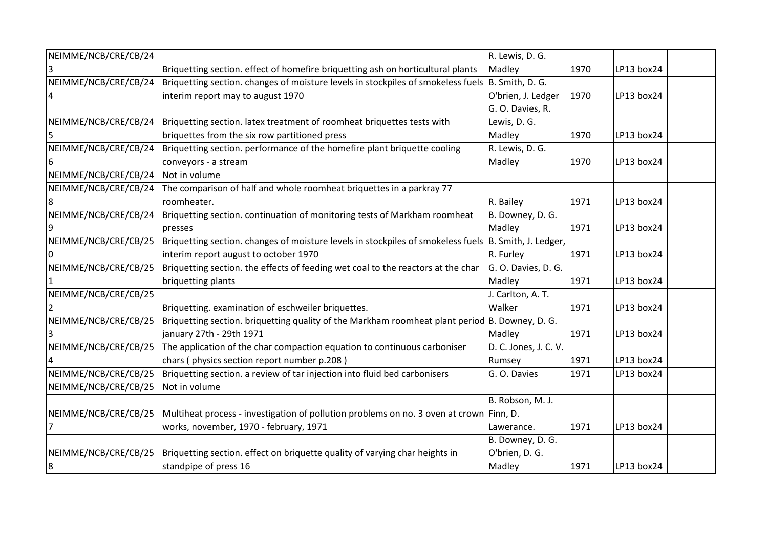| NEIMME/NCB/CRE/CB/24 |                                                                                                        | R. Lewis, D. G.       |      |            |  |
|----------------------|--------------------------------------------------------------------------------------------------------|-----------------------|------|------------|--|
|                      | Briquetting section. effect of homefire briquetting ash on horticultural plants                        | Madley                | 1970 | LP13 box24 |  |
| NEIMME/NCB/CRE/CB/24 | Briquetting section. changes of moisture levels in stockpiles of smokeless fuels B. Smith, D. G.       |                       |      |            |  |
|                      | interim report may to august 1970                                                                      | O'brien, J. Ledger    | 1970 | LP13 box24 |  |
|                      |                                                                                                        | G. O. Davies, R.      |      |            |  |
| NEIMME/NCB/CRE/CB/24 | Briquetting section. latex treatment of roomheat briquettes tests with                                 | Lewis, D. G.          |      |            |  |
|                      | briquettes from the six row partitioned press                                                          | Madley                | 1970 | LP13 box24 |  |
| NEIMME/NCB/CRE/CB/24 | Briquetting section. performance of the homefire plant briquette cooling                               | R. Lewis, D. G.       |      |            |  |
| 6                    | conveyors - a stream                                                                                   | Madley                | 1970 | LP13 box24 |  |
| NEIMME/NCB/CRE/CB/24 | Not in volume                                                                                          |                       |      |            |  |
| NEIMME/NCB/CRE/CB/24 | The comparison of half and whole roomheat briquettes in a parkray 77                                   |                       |      |            |  |
|                      | roomheater.                                                                                            | R. Bailey             | 1971 | LP13 box24 |  |
| NEIMME/NCB/CRE/CB/24 | Briquetting section. continuation of monitoring tests of Markham roomheat                              | B. Downey, D. G.      |      |            |  |
|                      | presses                                                                                                | Madley                | 1971 | LP13 box24 |  |
| NEIMME/NCB/CRE/CB/25 | Briquetting section. changes of moisture levels in stockpiles of smokeless fuels  B. Smith, J. Ledger, |                       |      |            |  |
|                      | interim report august to october 1970                                                                  | R. Furley             | 1971 | LP13 box24 |  |
| NEIMME/NCB/CRE/CB/25 | Briquetting section. the effects of feeding wet coal to the reactors at the char                       | G. O. Davies, D. G.   |      |            |  |
|                      | briquetting plants                                                                                     | Madley                | 1971 | LP13 box24 |  |
| NEIMME/NCB/CRE/CB/25 |                                                                                                        | J. Carlton, A. T.     |      |            |  |
|                      | Briquetting. examination of eschweiler briquettes.                                                     | Walker                | 1971 | LP13 box24 |  |
| NEIMME/NCB/CRE/CB/25 | Briquetting section. briquetting quality of the Markham roomheat plant period B. Downey, D. G.         |                       |      |            |  |
|                      | january 27th - 29th 1971                                                                               | Madley                | 1971 | LP13 box24 |  |
| NEIMME/NCB/CRE/CB/25 | The application of the char compaction equation to continuous carboniser                               | D. C. Jones, J. C. V. |      |            |  |
|                      | chars (physics section report number p.208)                                                            | Rumsey                | 1971 | LP13 box24 |  |
| NEIMME/NCB/CRE/CB/25 | Briquetting section. a review of tar injection into fluid bed carbonisers                              | G. O. Davies          | 1971 | LP13 box24 |  |
| NEIMME/NCB/CRE/CB/25 | Not in volume                                                                                          |                       |      |            |  |
|                      |                                                                                                        | B. Robson, M. J.      |      |            |  |
| NEIMME/NCB/CRE/CB/25 | Multiheat process - investigation of pollution problems on no. 3 oven at crown Finn, D.                |                       |      |            |  |
|                      | works, november, 1970 - february, 1971                                                                 | Lawerance.            | 1971 | LP13 box24 |  |
|                      |                                                                                                        | B. Downey, D. G.      |      |            |  |
| NEIMME/NCB/CRE/CB/25 | Briquetting section. effect on briquette quality of varying char heights in                            | O'brien, D. G.        |      |            |  |
| 8                    | standpipe of press 16                                                                                  | Madley                | 1971 | LP13 box24 |  |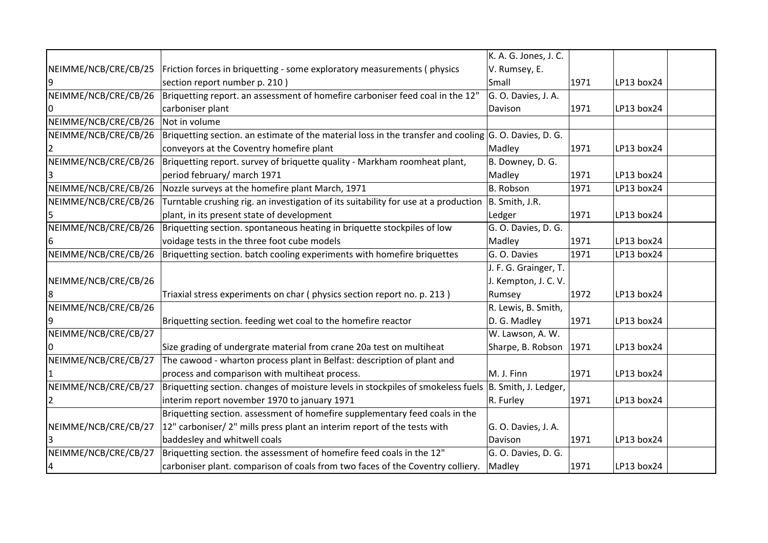|                      |                                                                                                           | K. A. G. Jones, J. C. |      |            |  |
|----------------------|-----------------------------------------------------------------------------------------------------------|-----------------------|------|------------|--|
| NEIMME/NCB/CRE/CB/25 | Friction forces in briquetting - some exploratory measurements (physics                                   | V. Rumsey, E.         |      |            |  |
|                      | section report number p. 210)                                                                             | Small                 | 1971 | LP13 box24 |  |
| NEIMME/NCB/CRE/CB/26 | Briquetting report. an assessment of homefire carboniser feed coal in the 12"                             | G. O. Davies, J. A.   |      |            |  |
|                      |                                                                                                           |                       |      |            |  |
| IO                   | carboniser plant                                                                                          | Davison               | 1971 | LP13 box24 |  |
| NEIMME/NCB/CRE/CB/26 | Not in volume                                                                                             |                       |      |            |  |
| NEIMME/NCB/CRE/CB/26 | Briquetting section. an estimate of the material loss in the transfer and cooling $ G. O. D$ avies, D. G. |                       |      |            |  |
|                      | conveyors at the Coventry homefire plant                                                                  | Madley                | 1971 | LP13 box24 |  |
| NEIMME/NCB/CRE/CB/26 | Briquetting report. survey of briquette quality - Markham roomheat plant,                                 | B. Downey, D. G.      |      |            |  |
|                      | period february/ march 1971                                                                               | Madley                | 1971 | LP13 box24 |  |
| NEIMME/NCB/CRE/CB/26 | Nozzle surveys at the homefire plant March, 1971                                                          | B. Robson             | 1971 | LP13 box24 |  |
| NEIMME/NCB/CRE/CB/26 | Turntable crushing rig. an investigation of its suitability for use at a production                       | B. Smith, J.R.        |      |            |  |
|                      | plant, in its present state of development                                                                | Ledger                | 1971 | LP13 box24 |  |
| NEIMME/NCB/CRE/CB/26 | Briquetting section. spontaneous heating in briquette stockpiles of low                                   | G. O. Davies, D. G.   |      |            |  |
| 6                    | voidage tests in the three foot cube models                                                               | Madley                | 1971 | LP13 box24 |  |
| NEIMME/NCB/CRE/CB/26 | Briquetting section. batch cooling experiments with homefire briquettes                                   | G. O. Davies          | 1971 | LP13 box24 |  |
|                      |                                                                                                           | J. F. G. Grainger, T. |      |            |  |
| NEIMME/NCB/CRE/CB/26 |                                                                                                           | J. Kempton, J. C. V.  |      |            |  |
|                      | Triaxial stress experiments on char (physics section report no. p. 213)                                   | Rumsey                | 1972 | LP13 box24 |  |
| NEIMME/NCB/CRE/CB/26 |                                                                                                           | R. Lewis, B. Smith,   |      |            |  |
|                      | Briquetting section. feeding wet coal to the homefire reactor                                             | D. G. Madley          | 1971 | LP13 box24 |  |
| NEIMME/NCB/CRE/CB/27 |                                                                                                           | W. Lawson, A. W.      |      |            |  |
|                      | Size grading of undergrate material from crane 20a test on multiheat                                      | Sharpe, B. Robson     | 1971 | LP13 box24 |  |
| NEIMME/NCB/CRE/CB/27 | The cawood - wharton process plant in Belfast: description of plant and                                   |                       |      |            |  |
|                      | process and comparison with multiheat process.                                                            | M. J. Finn            | 1971 | LP13 box24 |  |
| NEIMME/NCB/CRE/CB/27 | Briquetting section. changes of moisture levels in stockpiles of smokeless fuels  B. Smith, J. Ledger,    |                       |      |            |  |
|                      | interim report november 1970 to january 1971                                                              | R. Furley             | 1971 | LP13 box24 |  |
|                      | Briquetting section. assessment of homefire supplementary feed coals in the                               |                       |      |            |  |
| NEIMME/NCB/CRE/CB/27 | 12" carboniser/ 2" mills press plant an interim report of the tests with                                  | G. O. Davies, J. A.   |      |            |  |
|                      | baddesley and whitwell coals                                                                              | Davison               | 1971 | LP13 box24 |  |
| NEIMME/NCB/CRE/CB/27 | Briquetting section. the assessment of homefire feed coals in the 12"                                     | G. O. Davies, D. G.   |      |            |  |
| 4                    | carboniser plant. comparison of coals from two faces of the Coventry colliery.                            | Madley                | 1971 | LP13 box24 |  |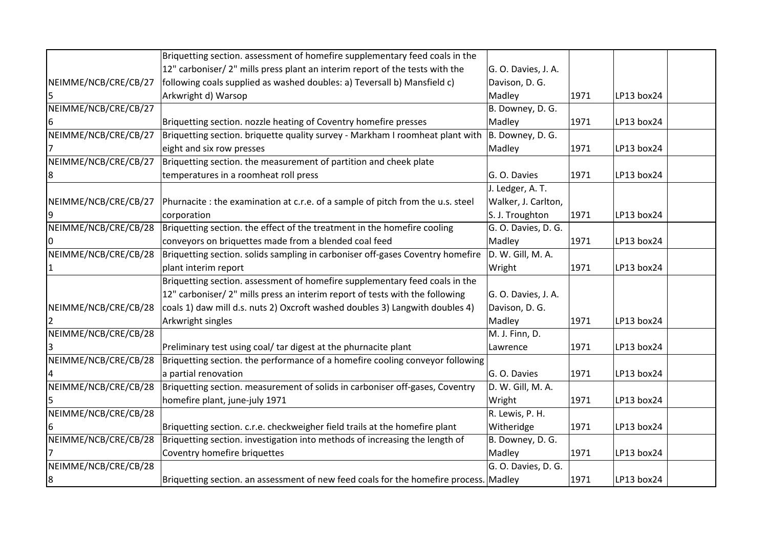|                      | Briquetting section. assessment of homefire supplementary feed coals in the           |                     |      |            |  |
|----------------------|---------------------------------------------------------------------------------------|---------------------|------|------------|--|
|                      | 12" carboniser/ 2" mills press plant an interim report of the tests with the          | G. O. Davies, J. A. |      |            |  |
| NEIMME/NCB/CRE/CB/27 | following coals supplied as washed doubles: a) Teversall b) Mansfield c)              | Davison, D. G.      |      |            |  |
|                      | Arkwright d) Warsop                                                                   | Madley              | 1971 | LP13 box24 |  |
| NEIMME/NCB/CRE/CB/27 |                                                                                       | B. Downey, D. G.    |      |            |  |
|                      | Briquetting section. nozzle heating of Coventry homefire presses                      | Madley              | 1971 | LP13 box24 |  |
| NEIMME/NCB/CRE/CB/27 | Briquetting section. briquette quality survey - Markham I roomheat plant with         | B. Downey, D. G.    |      |            |  |
|                      | eight and six row presses                                                             | Madley              | 1971 | LP13 box24 |  |
| NEIMME/NCB/CRE/CB/27 | Briquetting section. the measurement of partition and cheek plate                     |                     |      |            |  |
|                      | temperatures in a roomheat roll press                                                 | G. O. Davies        | 1971 | LP13 box24 |  |
|                      |                                                                                       | J. Ledger, A. T.    |      |            |  |
| NEIMME/NCB/CRE/CB/27 | Phurnacite : the examination at c.r.e. of a sample of pitch from the u.s. steel       | Walker, J. Carlton, |      |            |  |
|                      | corporation                                                                           | S. J. Troughton     | 1971 | LP13 box24 |  |
| NEIMME/NCB/CRE/CB/28 | Briquetting section. the effect of the treatment in the homefire cooling              | G. O. Davies, D. G. |      |            |  |
|                      | conveyors on briquettes made from a blended coal feed                                 | Madley              | 1971 | LP13 box24 |  |
| NEIMME/NCB/CRE/CB/28 | Briquetting section. solids sampling in carboniser off-gases Coventry homefire        | D. W. Gill, M. A.   |      |            |  |
|                      | plant interim report                                                                  | Wright              | 1971 | LP13 box24 |  |
|                      | Briquetting section. assessment of homefire supplementary feed coals in the           |                     |      |            |  |
|                      | 12" carboniser/ 2" mills press an interim report of tests with the following          | G. O. Davies, J. A. |      |            |  |
| NEIMME/NCB/CRE/CB/28 | coals 1) daw mill d.s. nuts 2) Oxcroft washed doubles 3) Langwith doubles 4)          | Davison, D. G.      |      |            |  |
|                      | Arkwright singles                                                                     | Madley              | 1971 | LP13 box24 |  |
| NEIMME/NCB/CRE/CB/28 |                                                                                       | M. J. Finn, D.      |      |            |  |
|                      | Preliminary test using coal/ tar digest at the phurnacite plant                       | Lawrence            | 1971 | LP13 box24 |  |
| NEIMME/NCB/CRE/CB/28 | Briquetting section. the performance of a homefire cooling conveyor following         |                     |      |            |  |
|                      | a partial renovation                                                                  | G. O. Davies        | 1971 | LP13 box24 |  |
| NEIMME/NCB/CRE/CB/28 | Briquetting section. measurement of solids in carboniser off-gases, Coventry          | D. W. Gill, M. A.   |      |            |  |
|                      | homefire plant, june-july 1971                                                        | Wright              | 1971 | LP13 box24 |  |
| NEIMME/NCB/CRE/CB/28 |                                                                                       | R. Lewis, P. H.     |      |            |  |
|                      | Briquetting section. c.r.e. checkweigher field trails at the homefire plant           | Witheridge          | 1971 | LP13 box24 |  |
| NEIMME/NCB/CRE/CB/28 | Briquetting section. investigation into methods of increasing the length of           | B. Downey, D. G.    |      |            |  |
|                      | Coventry homefire briquettes                                                          | Madley              | 1971 | LP13 box24 |  |
| NEIMME/NCB/CRE/CB/28 |                                                                                       | G. O. Davies, D. G. |      |            |  |
| 18                   | Briquetting section. an assessment of new feed coals for the homefire process. Madley |                     | 1971 | LP13 box24 |  |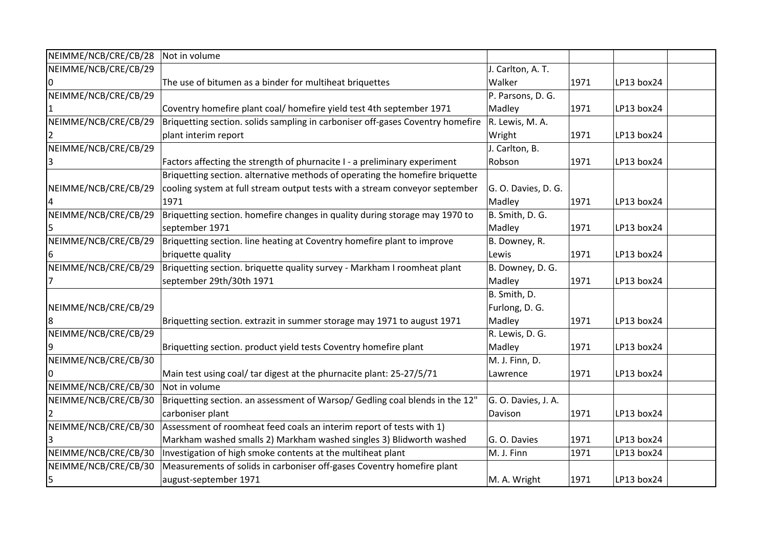| NEIMME/NCB/CRE/CB/28 | Not in volume                                                                  |                     |      |            |  |
|----------------------|--------------------------------------------------------------------------------|---------------------|------|------------|--|
| NEIMME/NCB/CRE/CB/29 |                                                                                | J. Carlton, A. T.   |      |            |  |
|                      | The use of bitumen as a binder for multiheat briquettes                        | Walker              | 1971 | LP13 box24 |  |
| NEIMME/NCB/CRE/CB/29 |                                                                                | P. Parsons, D. G.   |      |            |  |
|                      | Coventry homefire plant coal/ homefire yield test 4th september 1971           | Madley              | 1971 | LP13 box24 |  |
| NEIMME/NCB/CRE/CB/29 | Briquetting section. solids sampling in carboniser off-gases Coventry homefire | R. Lewis, M. A.     |      |            |  |
|                      | plant interim report                                                           | Wright              | 1971 | LP13 box24 |  |
| NEIMME/NCB/CRE/CB/29 |                                                                                | J. Carlton, B.      |      |            |  |
|                      | Factors affecting the strength of phurnacite I - a preliminary experiment      | Robson              | 1971 | LP13 box24 |  |
|                      | Briquetting section. alternative methods of operating the homefire briquette   |                     |      |            |  |
| NEIMME/NCB/CRE/CB/29 | cooling system at full stream output tests with a stream conveyor september    | G. O. Davies, D. G. |      |            |  |
|                      | 1971                                                                           | Madley              | 1971 | LP13 box24 |  |
| NEIMME/NCB/CRE/CB/29 | Briquetting section. homefire changes in quality during storage may 1970 to    | B. Smith, D. G.     |      |            |  |
|                      | september 1971                                                                 | Madley              | 1971 | LP13 box24 |  |
| NEIMME/NCB/CRE/CB/29 | Briquetting section. line heating at Coventry homefire plant to improve        | B. Downey, R.       |      |            |  |
|                      | briquette quality                                                              | Lewis               | 1971 | LP13 box24 |  |
| NEIMME/NCB/CRE/CB/29 | Briquetting section. briquette quality survey - Markham I roomheat plant       | B. Downey, D. G.    |      |            |  |
|                      | september 29th/30th 1971                                                       | Madley              | 1971 | LP13 box24 |  |
|                      |                                                                                | B. Smith, D.        |      |            |  |
| NEIMME/NCB/CRE/CB/29 |                                                                                | Furlong, D. G.      |      |            |  |
| 8                    | Briquetting section. extrazit in summer storage may 1971 to august 1971        | Madley              | 1971 | LP13 box24 |  |
| NEIMME/NCB/CRE/CB/29 |                                                                                | R. Lewis, D. G.     |      |            |  |
|                      | Briquetting section. product yield tests Coventry homefire plant               | Madley              | 1971 | LP13 box24 |  |
| NEIMME/NCB/CRE/CB/30 |                                                                                | M. J. Finn, D.      |      |            |  |
|                      | Main test using coal/ tar digest at the phurnacite plant: 25-27/5/71           | Lawrence            | 1971 | LP13 box24 |  |
| NEIMME/NCB/CRE/CB/30 | Not in volume                                                                  |                     |      |            |  |
| NEIMME/NCB/CRE/CB/30 | Briquetting section. an assessment of Warsop/ Gedling coal blends in the 12"   | G. O. Davies, J. A. |      |            |  |
|                      | carboniser plant                                                               | Davison             | 1971 | LP13 box24 |  |
| NEIMME/NCB/CRE/CB/30 | Assessment of roomheat feed coals an interim report of tests with 1)           |                     |      |            |  |
|                      | Markham washed smalls 2) Markham washed singles 3) Blidworth washed            | G. O. Davies        | 1971 | LP13 box24 |  |
| NEIMME/NCB/CRE/CB/30 | Investigation of high smoke contents at the multiheat plant                    | M. J. Finn          | 1971 | LP13 box24 |  |
| NEIMME/NCB/CRE/CB/30 | Measurements of solids in carboniser off-gases Coventry homefire plant         |                     |      |            |  |
| 5                    | august-september 1971                                                          | M. A. Wright        | 1971 | LP13 box24 |  |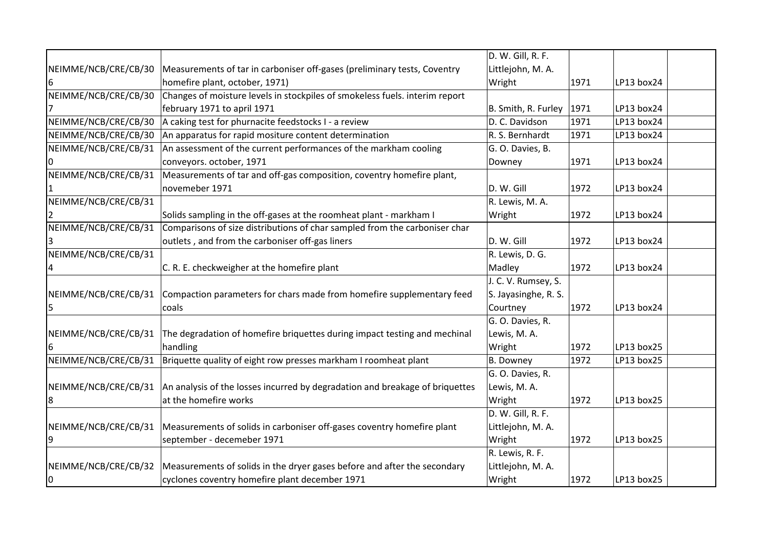|                      |                                                                              | D. W. Gill, R. F.    |      |            |  |
|----------------------|------------------------------------------------------------------------------|----------------------|------|------------|--|
| NEIMME/NCB/CRE/CB/30 | Measurements of tar in carboniser off-gases (preliminary tests, Coventry     | Littlejohn, M. A.    |      |            |  |
| 6                    | homefire plant, october, 1971)                                               | Wright               | 1971 | LP13 box24 |  |
| NEIMME/NCB/CRE/CB/30 | Changes of moisture levels in stockpiles of smokeless fuels. interim report  |                      |      |            |  |
|                      | february 1971 to april 1971                                                  | B. Smith, R. Furley  | 1971 | LP13 box24 |  |
| NEIMME/NCB/CRE/CB/30 | A caking test for phurnacite feedstocks I - a review                         | D. C. Davidson       | 1971 | LP13 box24 |  |
| NEIMME/NCB/CRE/CB/30 | An apparatus for rapid mositure content determination                        | R. S. Bernhardt      | 1971 | LP13 box24 |  |
| NEIMME/NCB/CRE/CB/31 | An assessment of the current performances of the markham cooling             | G. O. Davies, B.     |      |            |  |
|                      | conveyors. october, 1971                                                     | Downey               | 1971 | LP13 box24 |  |
| NEIMME/NCB/CRE/CB/31 | Measurements of tar and off-gas composition, coventry homefire plant,        |                      |      |            |  |
|                      | novemeber 1971                                                               | D. W. Gill           | 1972 | LP13 box24 |  |
| NEIMME/NCB/CRE/CB/31 |                                                                              | R. Lewis, M. A.      |      |            |  |
| 2                    | Solids sampling in the off-gases at the roomheat plant - markham I           | Wright               | 1972 | LP13 box24 |  |
| NEIMME/NCB/CRE/CB/31 | Comparisons of size distributions of char sampled from the carboniser char   |                      |      |            |  |
| 3                    | outlets, and from the carboniser off-gas liners                              | D. W. Gill           | 1972 | LP13 box24 |  |
| NEIMME/NCB/CRE/CB/31 |                                                                              | R. Lewis, D. G.      |      |            |  |
|                      | C. R. E. checkweigher at the homefire plant                                  | Madley               | 1972 | LP13 box24 |  |
|                      |                                                                              | J. C. V. Rumsey, S.  |      |            |  |
| NEIMME/NCB/CRE/CB/31 | Compaction parameters for chars made from homefire supplementary feed        | S. Jayasinghe, R. S. |      |            |  |
| 5                    | coals                                                                        | Courtney             | 1972 | LP13 box24 |  |
|                      |                                                                              | G. O. Davies, R.     |      |            |  |
| NEIMME/NCB/CRE/CB/31 | The degradation of homefire briquettes during impact testing and mechinal    | Lewis, M. A.         |      |            |  |
| 6                    | handling                                                                     | Wright               | 1972 | LP13 box25 |  |
| NEIMME/NCB/CRE/CB/31 | Briquette quality of eight row presses markham I roomheat plant              | <b>B.</b> Downey     | 1972 | LP13 box25 |  |
|                      |                                                                              | G. O. Davies, R.     |      |            |  |
| NEIMME/NCB/CRE/CB/31 | An analysis of the losses incurred by degradation and breakage of briquettes | Lewis, M. A.         |      |            |  |
| 8                    | at the homefire works                                                        | Wright               | 1972 | LP13 box25 |  |
|                      |                                                                              | D. W. Gill, R. F.    |      |            |  |
| NEIMME/NCB/CRE/CB/31 | Measurements of solids in carboniser off-gases coventry homefire plant       | Littlejohn, M. A.    |      |            |  |
| 9                    | september - decemeber 1971                                                   | Wright               | 1972 | LP13 box25 |  |
|                      |                                                                              | R. Lewis, R. F.      |      |            |  |
| NEIMME/NCB/CRE/CB/32 | Measurements of solids in the dryer gases before and after the secondary     | Littlejohn, M. A.    |      |            |  |
| 0                    | cyclones coventry homefire plant december 1971                               | Wright               | 1972 | LP13 box25 |  |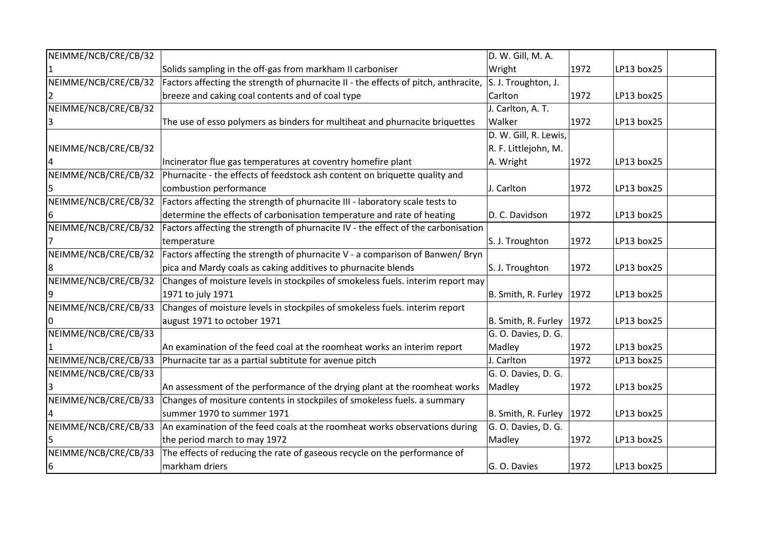| NEIMME/NCB/CRE/CB/32 |                                                                                     | D. W. Gill, M. A.           |      |            |
|----------------------|-------------------------------------------------------------------------------------|-----------------------------|------|------------|
|                      | Solids sampling in the off-gas from markham II carboniser                           | Wright                      | 1972 | LP13 box25 |
| NEIMME/NCB/CRE/CB/32 | Factors affecting the strength of phurnacite II - the effects of pitch, anthracite, | S. J. Troughton, J.         |      |            |
|                      | breeze and caking coal contents and of coal type                                    | Carlton                     | 1972 | LP13 box25 |
| NEIMME/NCB/CRE/CB/32 |                                                                                     | J. Carlton, A. T.           |      |            |
|                      | The use of esso polymers as binders for multiheat and phurnacite briquettes         | Walker                      | 1972 | LP13 box25 |
|                      |                                                                                     | D. W. Gill, R. Lewis,       |      |            |
| NEIMME/NCB/CRE/CB/32 |                                                                                     | R. F. Littlejohn, M.        |      |            |
|                      | Incinerator flue gas temperatures at coventry homefire plant                        | A. Wright                   | 1972 | LP13 box25 |
| NEIMME/NCB/CRE/CB/32 | Phurnacite - the effects of feedstock ash content on briquette quality and          |                             |      |            |
| 5                    | combustion performance                                                              | J. Carlton                  | 1972 | LP13 box25 |
| NEIMME/NCB/CRE/CB/32 | Factors affecting the strength of phurnacite III - laboratory scale tests to        |                             |      |            |
|                      | determine the effects of carbonisation temperature and rate of heating              | D. C. Davidson              | 1972 | LP13 box25 |
| NEIMME/NCB/CRE/CB/32 | Factors affecting the strength of phurnacite IV - the effect of the carbonisation   |                             |      |            |
|                      | temperature                                                                         | S. J. Troughton             | 1972 | LP13 box25 |
| NEIMME/NCB/CRE/CB/32 | Factors affecting the strength of phurnacite V - a comparison of Banwen/ Bryn       |                             |      |            |
| 8                    | pica and Mardy coals as caking additives to phurnacite blends                       | S. J. Troughton             | 1972 | LP13 box25 |
| NEIMME/NCB/CRE/CB/32 | Changes of moisture levels in stockpiles of smokeless fuels. interim report may     |                             |      |            |
|                      | 1971 to july 1971                                                                   | B. Smith, R. Furley $ 1972$ |      | LP13 box25 |
| NEIMME/NCB/CRE/CB/33 | Changes of moisture levels in stockpiles of smokeless fuels. interim report         |                             |      |            |
|                      | august 1971 to october 1971                                                         | B. Smith, R. Furley         | 1972 | LP13 box25 |
| NEIMME/NCB/CRE/CB/33 |                                                                                     | G. O. Davies, D. G.         |      |            |
|                      | An examination of the feed coal at the roomheat works an interim report             | Madley                      | 1972 | LP13 box25 |
| NEIMME/NCB/CRE/CB/33 | Phurnacite tar as a partial subtitute for avenue pitch                              | J. Carlton                  | 1972 | LP13 box25 |
| NEIMME/NCB/CRE/CB/33 |                                                                                     | G. O. Davies, D. G.         |      |            |
|                      | An assessment of the performance of the drying plant at the roomheat works          | Madley                      | 1972 | LP13 box25 |
| NEIMME/NCB/CRE/CB/33 | Changes of mositure contents in stockpiles of smokeless fuels. a summary            |                             |      |            |
|                      | summer 1970 to summer 1971                                                          | B. Smith, R. Furley         | 1972 | LP13 box25 |
| NEIMME/NCB/CRE/CB/33 | An examination of the feed coals at the roomheat works observations during          | G. O. Davies, D. G.         |      |            |
|                      | the period march to may 1972                                                        | Madley                      | 1972 | LP13 box25 |
| NEIMME/NCB/CRE/CB/33 | The effects of reducing the rate of gaseous recycle on the performance of           |                             |      |            |
| 6                    | markham driers                                                                      | G. O. Davies                | 1972 | LP13 box25 |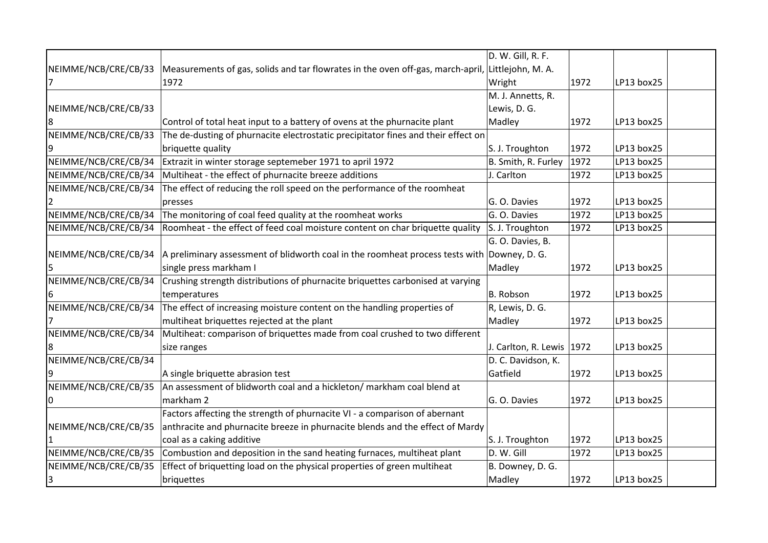|                      |                                                                                             | D. W. Gill, R. F.           |      |            |  |
|----------------------|---------------------------------------------------------------------------------------------|-----------------------------|------|------------|--|
| NEIMME/NCB/CRE/CB/33 | Measurements of gas, solids and tar flowrates in the oven off-gas, march-april,             | Littlejohn, M. A.           |      |            |  |
|                      | 1972                                                                                        | Wright                      | 1972 | LP13 box25 |  |
|                      |                                                                                             | M. J. Annetts, R.           |      |            |  |
| NEIMME/NCB/CRE/CB/33 |                                                                                             | Lewis, D. G.                |      |            |  |
| 18                   | Control of total heat input to a battery of ovens at the phurnacite plant                   | Madley                      | 1972 | LP13 box25 |  |
| NEIMME/NCB/CRE/CB/33 | The de-dusting of phurnacite electrostatic precipitator fines and their effect on           |                             |      |            |  |
|                      | briquette quality                                                                           | S. J. Troughton             | 1972 | LP13 box25 |  |
| NEIMME/NCB/CRE/CB/34 | Extrazit in winter storage septemeber 1971 to april 1972                                    | B. Smith, R. Furley         | 1972 | LP13 box25 |  |
| NEIMME/NCB/CRE/CB/34 | Multiheat - the effect of phurnacite breeze additions                                       | J. Carlton                  | 1972 | LP13 box25 |  |
| NEIMME/NCB/CRE/CB/34 | The effect of reducing the roll speed on the performance of the roomheat                    |                             |      |            |  |
|                      | presses                                                                                     | G. O. Davies                | 1972 | LP13 box25 |  |
| NEIMME/NCB/CRE/CB/34 | The monitoring of coal feed quality at the roomheat works                                   | G. O. Davies                | 1972 | LP13 box25 |  |
| NEIMME/NCB/CRE/CB/34 | Roomheat - the effect of feed coal moisture content on char briquette quality               | S. J. Troughton             | 1972 | LP13 box25 |  |
|                      |                                                                                             | G. O. Davies, B.            |      |            |  |
| NEIMME/NCB/CRE/CB/34 | A preliminary assessment of blidworth coal in the roomheat process tests with Downey, D. G. |                             |      |            |  |
|                      | single press markham I                                                                      | Madley                      | 1972 | LP13 box25 |  |
| NEIMME/NCB/CRE/CB/34 | Crushing strength distributions of phurnacite briquettes carbonised at varying              |                             |      |            |  |
| 16                   | temperatures                                                                                | B. Robson                   | 1972 | LP13 box25 |  |
| NEIMME/NCB/CRE/CB/34 | The effect of increasing moisture content on the handling properties of                     | R, Lewis, D. G.             |      |            |  |
|                      | multiheat briquettes rejected at the plant                                                  | Madley                      | 1972 | LP13 box25 |  |
| NEIMME/NCB/CRE/CB/34 | Multiheat: comparison of briquettes made from coal crushed to two different                 |                             |      |            |  |
| 8                    | size ranges                                                                                 | J. Carlton, R. Lewis   1972 |      | LP13 box25 |  |
| NEIMME/NCB/CRE/CB/34 |                                                                                             | D. C. Davidson, K.          |      |            |  |
|                      | A single briquette abrasion test                                                            | Gatfield                    | 1972 | LP13 box25 |  |
| NEIMME/NCB/CRE/CB/35 | An assessment of blidworth coal and a hickleton/ markham coal blend at                      |                             |      |            |  |
| 10                   | markham 2                                                                                   | G. O. Davies                | 1972 | LP13 box25 |  |
|                      | Factors affecting the strength of phurnacite VI - a comparison of abernant                  |                             |      |            |  |
| NEIMME/NCB/CRE/CB/35 | anthracite and phurnacite breeze in phurnacite blends and the effect of Mardy               |                             |      |            |  |
|                      | coal as a caking additive                                                                   | S. J. Troughton             | 1972 | LP13 box25 |  |
| NEIMME/NCB/CRE/CB/35 | Combustion and deposition in the sand heating furnaces, multiheat plant                     | D. W. Gill                  | 1972 | LP13 box25 |  |
| NEIMME/NCB/CRE/CB/35 | Effect of briquetting load on the physical properties of green multiheat                    | B. Downey, D. G.            |      |            |  |
| 3                    | briquettes                                                                                  | Madley                      | 1972 | LP13 box25 |  |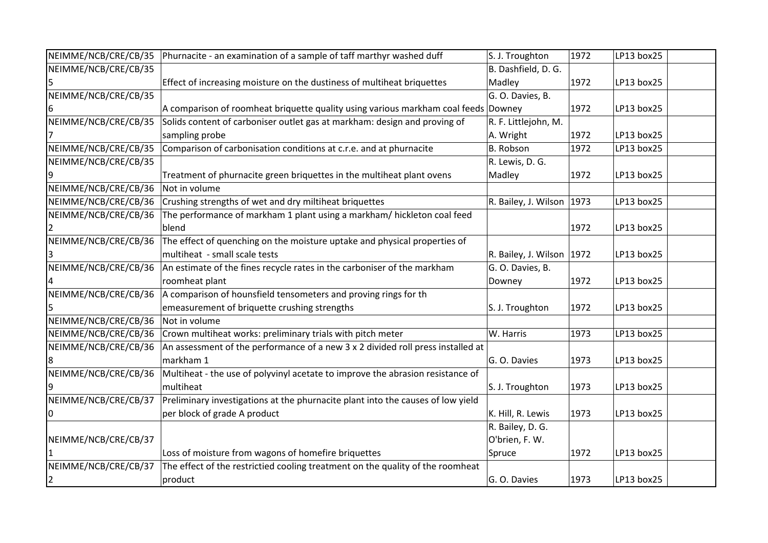| NEIMME/NCB/CRE/CB/35 | Phurnacite - an examination of a sample of taff marthyr washed duff                | S. J. Troughton             | 1972 | LP13 box25 |
|----------------------|------------------------------------------------------------------------------------|-----------------------------|------|------------|
| NEIMME/NCB/CRE/CB/35 |                                                                                    | B. Dashfield, D. G.         |      |            |
|                      | Effect of increasing moisture on the dustiness of multiheat briquettes             | Madley                      | 1972 | LP13 box25 |
| NEIMME/NCB/CRE/CB/35 |                                                                                    | G. O. Davies, B.            |      |            |
| ь                    | A comparison of roomheat briquette quality using various markham coal feeds Downey |                             | 1972 | LP13 box25 |
| NEIMME/NCB/CRE/CB/35 | Solids content of carboniser outlet gas at markham: design and proving of          | R. F. Littlejohn, M.        |      |            |
|                      | sampling probe                                                                     | A. Wright                   | 1972 | LP13 box25 |
| NEIMME/NCB/CRE/CB/35 | Comparison of carbonisation conditions at c.r.e. and at phurnacite                 | B. Robson                   | 1972 | LP13 box25 |
| NEIMME/NCB/CRE/CB/35 |                                                                                    | R. Lewis, D. G.             |      |            |
|                      | Treatment of phurnacite green briquettes in the multiheat plant ovens              | Madley                      | 1972 | LP13 box25 |
| NEIMME/NCB/CRE/CB/36 | Not in volume                                                                      |                             |      |            |
| NEIMME/NCB/CRE/CB/36 | Crushing strengths of wet and dry miltiheat briquettes                             | R. Bailey, J. Wilson   1973 |      | LP13 box25 |
| NEIMME/NCB/CRE/CB/36 | The performance of markham 1 plant using a markham/ hickleton coal feed            |                             |      |            |
|                      | blend                                                                              |                             | 1972 | LP13 box25 |
| NEIMME/NCB/CRE/CB/36 | The effect of quenching on the moisture uptake and physical properties of          |                             |      |            |
|                      | multiheat - small scale tests                                                      | R. Bailey, J. Wilson   1972 |      | LP13 box25 |
| NEIMME/NCB/CRE/CB/36 | An estimate of the fines recycle rates in the carboniser of the markham            | G. O. Davies, B.            |      |            |
|                      | roomheat plant                                                                     | Downey                      | 1972 | LP13 box25 |
| NEIMME/NCB/CRE/CB/36 | A comparison of hounsfield tensometers and proving rings for th                    |                             |      |            |
|                      | emeasurement of briquette crushing strengths                                       | S. J. Troughton             | 1972 | LP13 box25 |
| NEIMME/NCB/CRE/CB/36 | Not in volume                                                                      |                             |      |            |
| NEIMME/NCB/CRE/CB/36 | Crown multiheat works: preliminary trials with pitch meter                         | W. Harris                   | 1973 | LP13 box25 |
| NEIMME/NCB/CRE/CB/36 | An assessment of the performance of a new 3 x 2 divided roll press installed at    |                             |      |            |
|                      | markham 1                                                                          | G. O. Davies                | 1973 | LP13 box25 |
| NEIMME/NCB/CRE/CB/36 | Multiheat - the use of polyvinyl acetate to improve the abrasion resistance of     |                             |      |            |
|                      | multiheat                                                                          | S. J. Troughton             | 1973 | LP13 box25 |
| NEIMME/NCB/CRE/CB/37 | Preliminary investigations at the phurnacite plant into the causes of low yield    |                             |      |            |
| 0                    | per block of grade A product                                                       | K. Hill, R. Lewis           | 1973 | LP13 box25 |
|                      |                                                                                    | R. Bailey, D. G.            |      |            |
| NEIMME/NCB/CRE/CB/37 |                                                                                    | O'brien, F. W.              |      |            |
|                      | Loss of moisture from wagons of homefire briquettes                                | Spruce                      | 1972 | LP13 box25 |
| NEIMME/NCB/CRE/CB/37 | The effect of the restrictied cooling treatment on the quality of the roomheat     |                             |      |            |
| 2                    | product                                                                            | G. O. Davies                | 1973 | LP13 box25 |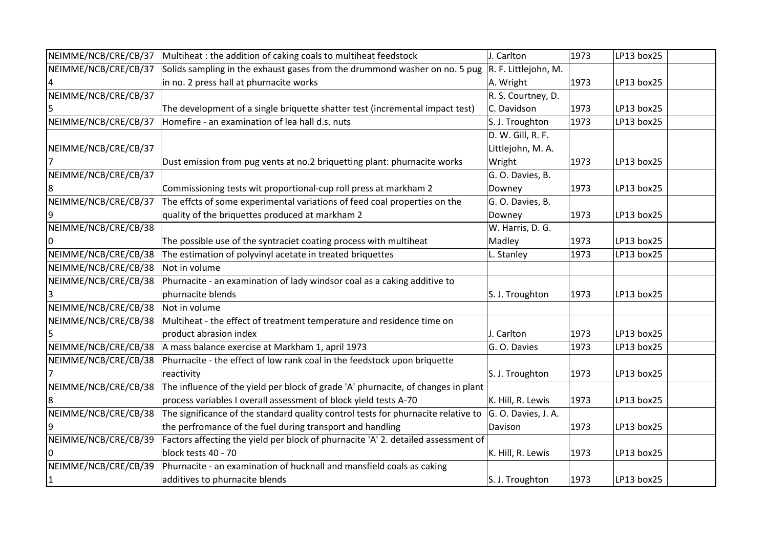| NEIMME/NCB/CRE/CB/37 | Multiheat : the addition of caking coals to multiheat feedstock                   | J. Carlton           | 1973 | LP13 box25 |  |
|----------------------|-----------------------------------------------------------------------------------|----------------------|------|------------|--|
| NEIMME/NCB/CRE/CB/37 | Solids sampling in the exhaust gases from the drummond washer on no. 5 pug        | R. F. Littlejohn, M. |      |            |  |
|                      | in no. 2 press hall at phurnacite works                                           | A. Wright            | 1973 | LP13 box25 |  |
| NEIMME/NCB/CRE/CB/37 |                                                                                   | R. S. Courtney, D.   |      |            |  |
|                      | The development of a single briquette shatter test (incremental impact test)      | C. Davidson          | 1973 | LP13 box25 |  |
| NEIMME/NCB/CRE/CB/37 | Homefire - an examination of lea hall d.s. nuts                                   | S. J. Troughton      | 1973 | LP13 box25 |  |
|                      |                                                                                   | D. W. Gill, R. F.    |      |            |  |
| NEIMME/NCB/CRE/CB/37 |                                                                                   | Littlejohn, M. A.    |      |            |  |
|                      | Dust emission from pug vents at no.2 briquetting plant: phurnacite works          | Wright               | 1973 | LP13 box25 |  |
| NEIMME/NCB/CRE/CB/37 |                                                                                   | G. O. Davies, B.     |      |            |  |
|                      | Commissioning tests wit proportional-cup roll press at markham 2                  | Downey               | 1973 | LP13 box25 |  |
| NEIMME/NCB/CRE/CB/37 | The effcts of some experimental variations of feed coal properties on the         | G. O. Davies, B.     |      |            |  |
|                      | quality of the briquettes produced at markham 2                                   | Downey               | 1973 | LP13 box25 |  |
| NEIMME/NCB/CRE/CB/38 |                                                                                   | W. Harris, D. G.     |      |            |  |
|                      | The possible use of the syntraciet coating process with multiheat                 | Madley               | 1973 | LP13 box25 |  |
| NEIMME/NCB/CRE/CB/38 | The estimation of polyvinyl acetate in treated briquettes                         | L. Stanley           | 1973 | LP13 box25 |  |
| NEIMME/NCB/CRE/CB/38 | Not in volume                                                                     |                      |      |            |  |
| NEIMME/NCB/CRE/CB/38 | Phurnacite - an examination of lady windsor coal as a caking additive to          |                      |      |            |  |
|                      | phurnacite blends                                                                 | S. J. Troughton      | 1973 | LP13 box25 |  |
| NEIMME/NCB/CRE/CB/38 | Not in volume                                                                     |                      |      |            |  |
| NEIMME/NCB/CRE/CB/38 | Multiheat - the effect of treatment temperature and residence time on             |                      |      |            |  |
|                      | product abrasion index                                                            | J. Carlton           | 1973 | LP13 box25 |  |
| NEIMME/NCB/CRE/CB/38 | A mass balance exercise at Markham 1, april 1973                                  | G. O. Davies         | 1973 | LP13 box25 |  |
| NEIMME/NCB/CRE/CB/38 | Phurnacite - the effect of low rank coal in the feedstock upon briquette          |                      |      |            |  |
|                      | reactivity                                                                        | S. J. Troughton      | 1973 | LP13 box25 |  |
| NEIMME/NCB/CRE/CB/38 | The influence of the yield per block of grade 'A' phurnacite, of changes in plant |                      |      |            |  |
|                      | process variables I overall assessment of block yield tests A-70                  | K. Hill, R. Lewis    | 1973 | LP13 box25 |  |
| NEIMME/NCB/CRE/CB/38 | The significance of the standard quality control tests for phurnacite relative to | G. O. Davies, J. A.  |      |            |  |
|                      | the perfromance of the fuel during transport and handling                         | Davison              | 1973 | LP13 box25 |  |
| NEIMME/NCB/CRE/CB/39 | Factors affecting the yield per block of phurnacite 'A' 2. detailed assessment of |                      |      |            |  |
|                      | block tests 40 - 70                                                               | K. Hill, R. Lewis    | 1973 | LP13 box25 |  |
| NEIMME/NCB/CRE/CB/39 | Phurnacite - an examination of hucknall and mansfield coals as caking             |                      |      |            |  |
| 1                    | additives to phurnacite blends                                                    | S. J. Troughton      | 1973 | LP13 box25 |  |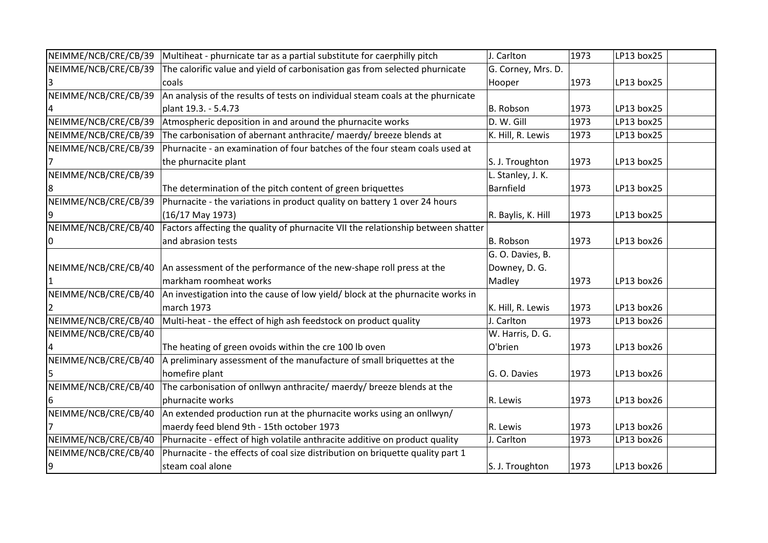| NEIMME/NCB/CRE/CB/39 | Multiheat - phurnicate tar as a partial substitute for caerphilly pitch          | J. Carlton         | 1973 | LP13 box25 |  |
|----------------------|----------------------------------------------------------------------------------|--------------------|------|------------|--|
| NEIMME/NCB/CRE/CB/39 | The calorific value and yield of carbonisation gas from selected phurnicate      | G. Corney, Mrs. D. |      |            |  |
|                      | coals                                                                            | Hooper             | 1973 | LP13 box25 |  |
| NEIMME/NCB/CRE/CB/39 | An analysis of the results of tests on individual steam coals at the phurnicate  |                    |      |            |  |
|                      | plant 19.3. - 5.4.73                                                             | B. Robson          | 1973 | LP13 box25 |  |
| NEIMME/NCB/CRE/CB/39 | Atmospheric deposition in and around the phurnacite works                        | D. W. Gill         | 1973 | LP13 box25 |  |
| NEIMME/NCB/CRE/CB/39 | The carbonisation of abernant anthracite/ maerdy/ breeze blends at               | K. Hill, R. Lewis  | 1973 | LP13 box25 |  |
| NEIMME/NCB/CRE/CB/39 | Phurnacite - an examination of four batches of the four steam coals used at      |                    |      |            |  |
|                      | the phurnacite plant                                                             | S. J. Troughton    | 1973 | LP13 box25 |  |
| NEIMME/NCB/CRE/CB/39 |                                                                                  | L. Stanley, J. K.  |      |            |  |
| 8                    | The determination of the pitch content of green briquettes                       | Barnfield          | 1973 | LP13 box25 |  |
| NEIMME/NCB/CRE/CB/39 | Phurnacite - the variations in product quality on battery 1 over 24 hours        |                    |      |            |  |
|                      | $(16/17$ May 1973)                                                               | R. Baylis, K. Hill | 1973 | LP13 box25 |  |
| NEIMME/NCB/CRE/CB/40 | Factors affecting the quality of phurnacite VII the relationship between shatter |                    |      |            |  |
| 10                   | and abrasion tests                                                               | B. Robson          | 1973 | LP13 box26 |  |
|                      |                                                                                  | G. O. Davies, B.   |      |            |  |
| NEIMME/NCB/CRE/CB/40 | An assessment of the performance of the new-shape roll press at the              | Downey, D. G.      |      |            |  |
|                      | markham roomheat works                                                           | Madley             | 1973 | LP13 box26 |  |
| NEIMME/NCB/CRE/CB/40 | An investigation into the cause of low yield/ block at the phurnacite works in   |                    |      |            |  |
|                      | march 1973                                                                       | K. Hill, R. Lewis  | 1973 | LP13 box26 |  |
| NEIMME/NCB/CRE/CB/40 | Multi-heat - the effect of high ash feedstock on product quality                 | J. Carlton         | 1973 | LP13 box26 |  |
| NEIMME/NCB/CRE/CB/40 |                                                                                  | W. Harris, D. G.   |      |            |  |
|                      | The heating of green ovoids within the cre 100 lb oven                           | O'brien            | 1973 | LP13 box26 |  |
| NEIMME/NCB/CRE/CB/40 | A preliminary assessment of the manufacture of small briquettes at the           |                    |      |            |  |
|                      | homefire plant                                                                   | G. O. Davies       | 1973 | LP13 box26 |  |
| NEIMME/NCB/CRE/CB/40 | The carbonisation of onllwyn anthracite/ maerdy/ breeze blends at the            |                    |      |            |  |
| 16                   | phurnacite works                                                                 | R. Lewis           | 1973 | LP13 box26 |  |
| NEIMME/NCB/CRE/CB/40 | An extended production run at the phurnacite works using an onllwyn/             |                    |      |            |  |
|                      | maerdy feed blend 9th - 15th october 1973                                        | R. Lewis           | 1973 | LP13 box26 |  |
| NEIMME/NCB/CRE/CB/40 | Phurnacite - effect of high volatile anthracite additive on product quality      | J. Carlton         | 1973 | LP13 box26 |  |
| NEIMME/NCB/CRE/CB/40 | Phurnacite - the effects of coal size distribution on briquette quality part 1   |                    |      |            |  |
| 9                    | steam coal alone                                                                 | S. J. Troughton    | 1973 | LP13 box26 |  |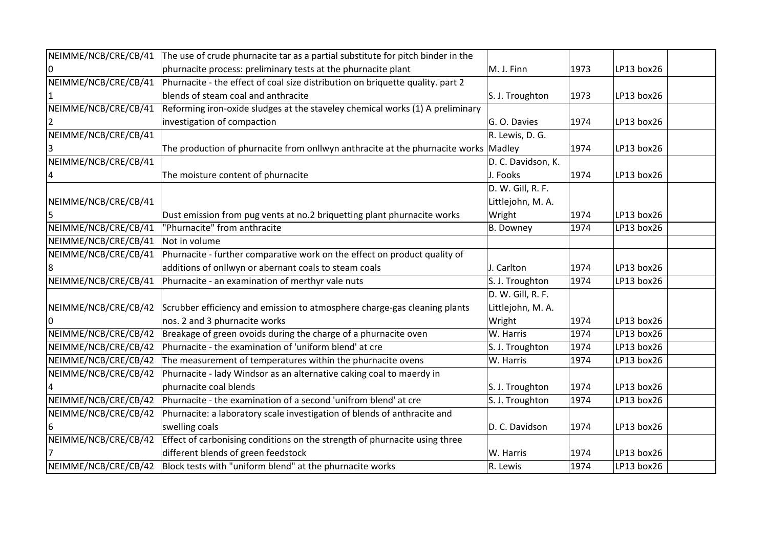| NEIMME/NCB/CRE/CB/41 | The use of crude phurnacite tar as a partial substitute for pitch binder in the     |                    |      |            |  |
|----------------------|-------------------------------------------------------------------------------------|--------------------|------|------------|--|
|                      | phurnacite process: preliminary tests at the phurnacite plant                       | M. J. Finn         | 1973 | LP13 box26 |  |
| NEIMME/NCB/CRE/CB/41 | Phurnacite - the effect of coal size distribution on briquette quality. part 2      |                    |      |            |  |
|                      | blends of steam coal and anthracite                                                 | S. J. Troughton    | 1973 | LP13 box26 |  |
| NEIMME/NCB/CRE/CB/41 | Reforming iron-oxide sludges at the staveley chemical works (1) A preliminary       |                    |      |            |  |
|                      | investigation of compaction                                                         | G. O. Davies       | 1974 | LP13 box26 |  |
| NEIMME/NCB/CRE/CB/41 |                                                                                     | R. Lewis, D. G.    |      |            |  |
|                      | The production of phurnacite from onllwyn anthracite at the phurnacite works Madley |                    | 1974 | LP13 box26 |  |
| NEIMME/NCB/CRE/CB/41 |                                                                                     | D. C. Davidson, K. |      |            |  |
|                      | The moisture content of phurnacite                                                  | J. Fooks           | 1974 | LP13 box26 |  |
|                      |                                                                                     | D. W. Gill, R. F.  |      |            |  |
| NEIMME/NCB/CRE/CB/41 |                                                                                     | Littlejohn, M. A.  |      |            |  |
|                      | Dust emission from pug vents at no.2 briquetting plant phurnacite works             | Wright             | 1974 | LP13 box26 |  |
| NEIMME/NCB/CRE/CB/41 | "Phurnacite" from anthracite                                                        | B. Downey          | 1974 | LP13 box26 |  |
| NEIMME/NCB/CRE/CB/41 | Not in volume                                                                       |                    |      |            |  |
| NEIMME/NCB/CRE/CB/41 | Phurnacite - further comparative work on the effect on product quality of           |                    |      |            |  |
| 8                    | additions of onllwyn or abernant coals to steam coals                               | J. Carlton         | 1974 | LP13 box26 |  |
| NEIMME/NCB/CRE/CB/41 | Phurnacite - an examination of merthyr vale nuts                                    | S. J. Troughton    | 1974 | LP13 box26 |  |
|                      |                                                                                     | D. W. Gill, R. F.  |      |            |  |
| NEIMME/NCB/CRE/CB/42 | Scrubber efficiency and emission to atmosphere charge-gas cleaning plants           | Littlejohn, M. A.  |      |            |  |
| 0                    | nos. 2 and 3 phurnacite works                                                       | Wright             | 1974 | LP13 box26 |  |
| NEIMME/NCB/CRE/CB/42 | Breakage of green ovoids during the charge of a phurnacite oven                     | W. Harris          | 1974 | LP13 box26 |  |
| NEIMME/NCB/CRE/CB/42 | Phurnacite - the examination of 'uniform blend' at cre                              | S. J. Troughton    | 1974 | LP13 box26 |  |
| NEIMME/NCB/CRE/CB/42 | The measurement of temperatures within the phurnacite ovens                         | W. Harris          | 1974 | LP13 box26 |  |
| NEIMME/NCB/CRE/CB/42 | Phurnacite - lady Windsor as an alternative caking coal to maerdy in                |                    |      |            |  |
|                      | phurnacite coal blends                                                              | S. J. Troughton    | 1974 | LP13 box26 |  |
| NEIMME/NCB/CRE/CB/42 | Phurnacite - the examination of a second 'unifrom blend' at cre                     | S. J. Troughton    | 1974 | LP13 box26 |  |
| NEIMME/NCB/CRE/CB/42 | Phurnacite: a laboratory scale investigation of blends of anthracite and            |                    |      |            |  |
| 6                    | swelling coals                                                                      | D. C. Davidson     | 1974 | LP13 box26 |  |
| NEIMME/NCB/CRE/CB/42 | Effect of carbonising conditions on the strength of phurnacite using three          |                    |      |            |  |
|                      | different blends of green feedstock                                                 | W. Harris          | 1974 | LP13 box26 |  |
| NEIMME/NCB/CRE/CB/42 | Block tests with "uniform blend" at the phurnacite works                            | R. Lewis           | 1974 | LP13 box26 |  |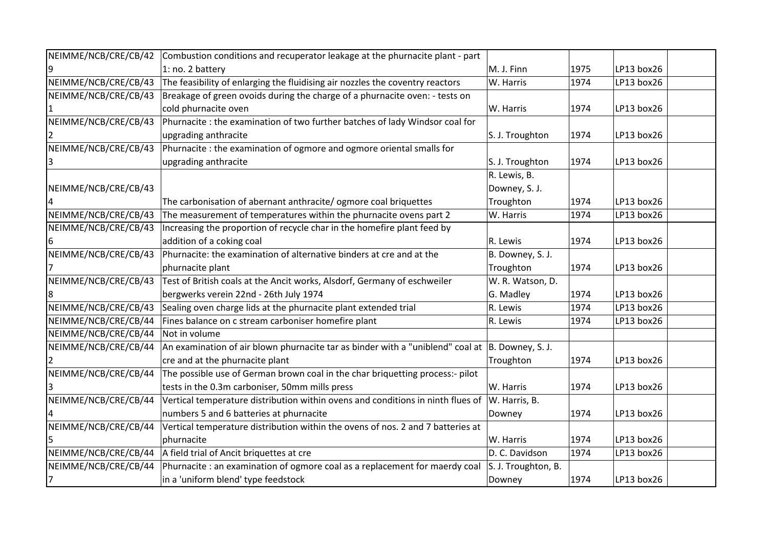| NEIMME/NCB/CRE/CB/42 | Combustion conditions and recuperator leakage at the phurnacite plant - part                        |                     |      |            |  |
|----------------------|-----------------------------------------------------------------------------------------------------|---------------------|------|------------|--|
|                      | 1: no. 2 battery                                                                                    | M. J. Finn          | 1975 | LP13 box26 |  |
| NEIMME/NCB/CRE/CB/43 | The feasibility of enlarging the fluidising air nozzles the coventry reactors                       | W. Harris           | 1974 | LP13 box26 |  |
| NEIMME/NCB/CRE/CB/43 | Breakage of green ovoids during the charge of a phurnacite oven: - tests on                         |                     |      |            |  |
|                      | cold phurnacite oven                                                                                | W. Harris           | 1974 | LP13 box26 |  |
| NEIMME/NCB/CRE/CB/43 | Phurnacite : the examination of two further batches of lady Windsor coal for                        |                     |      |            |  |
|                      | upgrading anthracite                                                                                | S. J. Troughton     | 1974 | LP13 box26 |  |
| NEIMME/NCB/CRE/CB/43 | Phurnacite : the examination of ogmore and ogmore oriental smalls for                               |                     |      |            |  |
|                      | upgrading anthracite                                                                                | S. J. Troughton     | 1974 | LP13 box26 |  |
|                      |                                                                                                     | R. Lewis, B.        |      |            |  |
| NEIMME/NCB/CRE/CB/43 |                                                                                                     | Downey, S. J.       |      |            |  |
|                      | The carbonisation of abernant anthracite/ ogmore coal briquettes                                    | Troughton           | 1974 | LP13 box26 |  |
| NEIMME/NCB/CRE/CB/43 | The measurement of temperatures within the phurnacite ovens part 2                                  | W. Harris           | 1974 | LP13 box26 |  |
| NEIMME/NCB/CRE/CB/43 | Increasing the proportion of recycle char in the homefire plant feed by                             |                     |      |            |  |
|                      | addition of a coking coal                                                                           | R. Lewis            | 1974 | LP13 box26 |  |
| NEIMME/NCB/CRE/CB/43 | Phurnacite: the examination of alternative binders at cre and at the                                | B. Downey, S. J.    |      |            |  |
|                      | phurnacite plant                                                                                    | Troughton           | 1974 | LP13 box26 |  |
| NEIMME/NCB/CRE/CB/43 | Test of British coals at the Ancit works, Alsdorf, Germany of eschweiler                            | W. R. Watson, D.    |      |            |  |
|                      | bergwerks verein 22nd - 26th July 1974                                                              | G. Madley           | 1974 | LP13 box26 |  |
| NEIMME/NCB/CRE/CB/43 | Sealing oven charge lids at the phurnacite plant extended trial                                     | R. Lewis            | 1974 | LP13 box26 |  |
| NEIMME/NCB/CRE/CB/44 | Fines balance on c stream carboniser homefire plant                                                 | R. Lewis            | 1974 | LP13 box26 |  |
| NEIMME/NCB/CRE/CB/44 | Not in volume                                                                                       |                     |      |            |  |
| NEIMME/NCB/CRE/CB/44 | An examination of air blown phurnacite tar as binder with a "uniblend" coal at $ B$ . Downey, S. J. |                     |      |            |  |
|                      | cre and at the phurnacite plant                                                                     | Troughton           | 1974 | LP13 box26 |  |
| NEIMME/NCB/CRE/CB/44 | The possible use of German brown coal in the char briquetting process:- pilot                       |                     |      |            |  |
|                      | tests in the 0.3m carboniser, 50mm mills press                                                      | W. Harris           | 1974 | LP13 box26 |  |
| NEIMME/NCB/CRE/CB/44 | Vertical temperature distribution within ovens and conditions in ninth flues of                     | W. Harris, B.       |      |            |  |
|                      | numbers 5 and 6 batteries at phurnacite                                                             | Downey              | 1974 | LP13 box26 |  |
| NEIMME/NCB/CRE/CB/44 | Vertical temperature distribution within the ovens of nos. 2 and 7 batteries at                     |                     |      |            |  |
|                      | phurnacite                                                                                          | W. Harris           | 1974 | LP13 box26 |  |
| NEIMME/NCB/CRE/CB/44 | A field trial of Ancit briquettes at cre                                                            | D. C. Davidson      | 1974 | LP13 box26 |  |
| NEIMME/NCB/CRE/CB/44 | Phurnacite : an examination of ogmore coal as a replacement for maerdy coal                         | S. J. Troughton, B. |      |            |  |
| 7                    | in a 'uniform blend' type feedstock                                                                 | Downey              | 1974 | LP13 box26 |  |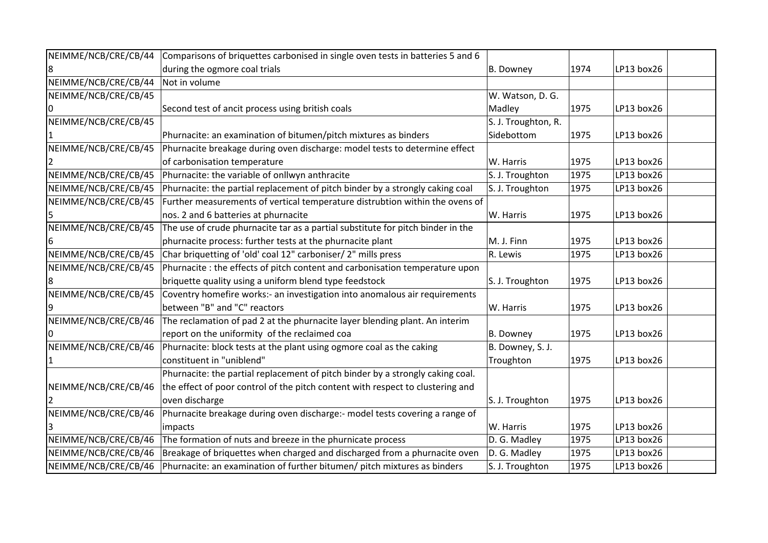| NEIMME/NCB/CRE/CB/44 | Comparisons of briquettes carbonised in single oven tests in batteries 5 and 6  |                     |      |            |  |
|----------------------|---------------------------------------------------------------------------------|---------------------|------|------------|--|
|                      | during the ogmore coal trials                                                   | B. Downey           | 1974 | LP13 box26 |  |
| NEIMME/NCB/CRE/CB/44 | Not in volume                                                                   |                     |      |            |  |
| NEIMME/NCB/CRE/CB/45 |                                                                                 | W. Watson, D. G.    |      |            |  |
|                      | Second test of ancit process using british coals                                | Madley              | 1975 | LP13 box26 |  |
| NEIMME/NCB/CRE/CB/45 |                                                                                 | S. J. Troughton, R. |      |            |  |
|                      | Phurnacite: an examination of bitumen/pitch mixtures as binders                 | Sidebottom          | 1975 | LP13 box26 |  |
| NEIMME/NCB/CRE/CB/45 | Phurnacite breakage during oven discharge: model tests to determine effect      |                     |      |            |  |
|                      | of carbonisation temperature                                                    | W. Harris           | 1975 | LP13 box26 |  |
| NEIMME/NCB/CRE/CB/45 | Phurnacite: the variable of onllwyn anthracite                                  | S. J. Troughton     | 1975 | LP13 box26 |  |
| NEIMME/NCB/CRE/CB/45 | Phurnacite: the partial replacement of pitch binder by a strongly caking coal   | S. J. Troughton     | 1975 | LP13 box26 |  |
| NEIMME/NCB/CRE/CB/45 | Further measurements of vertical temperature distrubtion within the ovens of    |                     |      |            |  |
|                      | nos. 2 and 6 batteries at phurnacite                                            | W. Harris           | 1975 | LP13 box26 |  |
| NEIMME/NCB/CRE/CB/45 | The use of crude phurnacite tar as a partial substitute for pitch binder in the |                     |      |            |  |
|                      | phurnacite process: further tests at the phurnacite plant                       | M. J. Finn          | 1975 | LP13 box26 |  |
| NEIMME/NCB/CRE/CB/45 | Char briquetting of 'old' coal 12" carboniser/ 2" mills press                   | R. Lewis            | 1975 | LP13 box26 |  |
| NEIMME/NCB/CRE/CB/45 | Phurnacite : the effects of pitch content and carbonisation temperature upon    |                     |      |            |  |
|                      | briquette quality using a uniform blend type feedstock                          | S. J. Troughton     | 1975 | LP13 box26 |  |
| NEIMME/NCB/CRE/CB/45 | Coventry homefire works:- an investigation into anomalous air requirements      |                     |      |            |  |
|                      | between "B" and "C" reactors                                                    | W. Harris           | 1975 | LP13 box26 |  |
| NEIMME/NCB/CRE/CB/46 | The reclamation of pad 2 at the phurnacite layer blending plant. An interim     |                     |      |            |  |
|                      | report on the uniformity of the reclaimed coa                                   | B. Downey           | 1975 | LP13 box26 |  |
| NEIMME/NCB/CRE/CB/46 | Phurnacite: block tests at the plant using ogmore coal as the caking            | B. Downey, S. J.    |      |            |  |
|                      | constituent in "uniblend"                                                       | Troughton           | 1975 | LP13 box26 |  |
|                      | Phurnacite: the partial replacement of pitch binder by a strongly caking coal.  |                     |      |            |  |
| NEIMME/NCB/CRE/CB/46 | the effect of poor control of the pitch content with respect to clustering and  |                     |      |            |  |
|                      | oven discharge                                                                  | S. J. Troughton     | 1975 | LP13 box26 |  |
| NEIMME/NCB/CRE/CB/46 | Phurnacite breakage during oven discharge:- model tests covering a range of     |                     |      |            |  |
|                      | impacts                                                                         | W. Harris           | 1975 | LP13 box26 |  |
| NEIMME/NCB/CRE/CB/46 | The formation of nuts and breeze in the phurnicate process                      | D. G. Madley        | 1975 | LP13 box26 |  |
| NEIMME/NCB/CRE/CB/46 | Breakage of briquettes when charged and discharged from a phurnacite oven       | D. G. Madley        | 1975 | LP13 box26 |  |
| NEIMME/NCB/CRE/CB/46 | Phurnacite: an examination of further bitumen/ pitch mixtures as binders        | S. J. Troughton     | 1975 | LP13 box26 |  |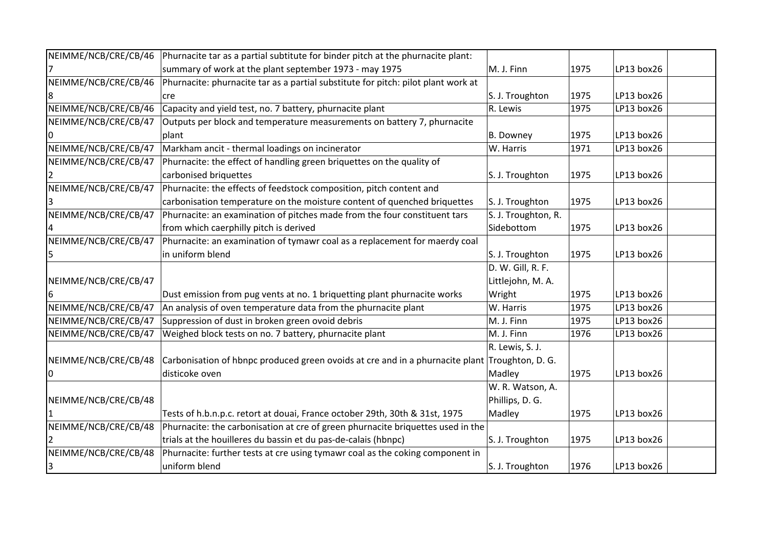| NEIMME/NCB/CRE/CB/46 | Phurnacite tar as a partial subtitute for binder pitch at the phurnacite plant:                |                     |      |            |  |
|----------------------|------------------------------------------------------------------------------------------------|---------------------|------|------------|--|
|                      | summary of work at the plant september 1973 - may 1975                                         | M. J. Finn          | 1975 | LP13 box26 |  |
| NEIMME/NCB/CRE/CB/46 | Phurnacite: phurnacite tar as a partial substitute for pitch: pilot plant work at              |                     |      |            |  |
|                      | cre                                                                                            | S. J. Troughton     | 1975 | LP13 box26 |  |
| NEIMME/NCB/CRE/CB/46 | Capacity and yield test, no. 7 battery, phurnacite plant                                       | R. Lewis            | 1975 | LP13 box26 |  |
| NEIMME/NCB/CRE/CB/47 | Outputs per block and temperature measurements on battery 7, phurnacite                        |                     |      |            |  |
|                      | plant                                                                                          | B. Downey           | 1975 | LP13 box26 |  |
| NEIMME/NCB/CRE/CB/47 | Markham ancit - thermal loadings on incinerator                                                | W. Harris           | 1971 | LP13 box26 |  |
| NEIMME/NCB/CRE/CB/47 | Phurnacite: the effect of handling green briquettes on the quality of                          |                     |      |            |  |
|                      | carbonised briquettes                                                                          | S. J. Troughton     | 1975 | LP13 box26 |  |
| NEIMME/NCB/CRE/CB/47 | Phurnacite: the effects of feedstock composition, pitch content and                            |                     |      |            |  |
|                      | carbonisation temperature on the moisture content of quenched briquettes                       | S. J. Troughton     | 1975 | LP13 box26 |  |
| NEIMME/NCB/CRE/CB/47 | Phurnacite: an examination of pitches made from the four constituent tars                      | S. J. Troughton, R. |      |            |  |
|                      | from which caerphilly pitch is derived                                                         | Sidebottom          | 1975 | LP13 box26 |  |
| NEIMME/NCB/CRE/CB/47 | Phurnacite: an examination of tymawr coal as a replacement for maerdy coal                     |                     |      |            |  |
|                      | in uniform blend                                                                               | S. J. Troughton     | 1975 | LP13 box26 |  |
|                      |                                                                                                | D. W. Gill, R. F.   |      |            |  |
| NEIMME/NCB/CRE/CB/47 |                                                                                                | Littlejohn, M. A.   |      |            |  |
|                      | Dust emission from pug vents at no. 1 briquetting plant phurnacite works                       | Wright              | 1975 | LP13 box26 |  |
| NEIMME/NCB/CRE/CB/47 | An analysis of oven temperature data from the phurnacite plant                                 | W. Harris           | 1975 | LP13 box26 |  |
| NEIMME/NCB/CRE/CB/47 | Suppression of dust in broken green ovoid debris                                               | M. J. Finn          | 1975 | LP13 box26 |  |
| NEIMME/NCB/CRE/CB/47 | Weighed block tests on no. 7 battery, phurnacite plant                                         | M. J. Finn          | 1976 | LP13 box26 |  |
|                      |                                                                                                | R. Lewis, S. J.     |      |            |  |
| NEIMME/NCB/CRE/CB/48 | Carbonisation of hbnpc produced green ovoids at cre and in a phurnacite plant Troughton, D. G. |                     |      |            |  |
| 0                    | disticoke oven                                                                                 | Madley              | 1975 | LP13 box26 |  |
|                      |                                                                                                | W. R. Watson, A.    |      |            |  |
| NEIMME/NCB/CRE/CB/48 |                                                                                                | Phillips, D. G.     |      |            |  |
|                      | Tests of h.b.n.p.c. retort at douai, France october 29th, 30th & 31st, 1975                    | Madley              | 1975 | LP13 box26 |  |
| NEIMME/NCB/CRE/CB/48 | Phurnacite: the carbonisation at cre of green phurnacite briquettes used in the                |                     |      |            |  |
|                      | trials at the houilleres du bassin et du pas-de-calais (hbnpc)                                 | S. J. Troughton     | 1975 | LP13 box26 |  |
| NEIMME/NCB/CRE/CB/48 | Phurnacite: further tests at cre using tymawr coal as the coking component in                  |                     |      |            |  |
| 3                    | uniform blend                                                                                  | S. J. Troughton     | 1976 | LP13 box26 |  |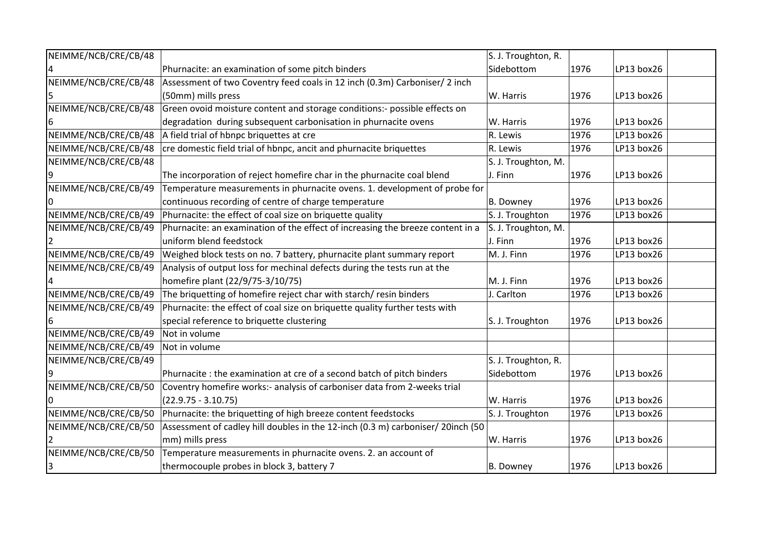| NEIMME/NCB/CRE/CB/48 |                                                                                 | S. J. Troughton, R. |      |            |  |
|----------------------|---------------------------------------------------------------------------------|---------------------|------|------------|--|
|                      | Phurnacite: an examination of some pitch binders                                | Sidebottom          | 1976 | LP13 box26 |  |
| NEIMME/NCB/CRE/CB/48 | Assessment of two Coventry feed coals in 12 inch (0.3m) Carboniser/ 2 inch      |                     |      |            |  |
|                      | (50mm) mills press                                                              | W. Harris           | 1976 | LP13 box26 |  |
| NEIMME/NCB/CRE/CB/48 | Green ovoid moisture content and storage conditions:- possible effects on       |                     |      |            |  |
| 6                    | degradation during subsequent carbonisation in phurnacite ovens                 | W. Harris           | 1976 | LP13 box26 |  |
| NEIMME/NCB/CRE/CB/48 | A field trial of hbnpc briquettes at cre                                        | R. Lewis            | 1976 | LP13 box26 |  |
| NEIMME/NCB/CRE/CB/48 | cre domestic field trial of hbnpc, ancit and phurnacite briquettes              | R. Lewis            | 1976 | LP13 box26 |  |
| NEIMME/NCB/CRE/CB/48 |                                                                                 | S. J. Troughton, M. |      |            |  |
| 9                    | The incorporation of reject homefire char in the phurnacite coal blend          | J. Finn             | 1976 | LP13 box26 |  |
| NEIMME/NCB/CRE/CB/49 | Temperature measurements in phurnacite ovens. 1. development of probe for       |                     |      |            |  |
|                      | continuous recording of centre of charge temperature                            | B. Downey           | 1976 | LP13 box26 |  |
| NEIMME/NCB/CRE/CB/49 | Phurnacite: the effect of coal size on briquette quality                        | S. J. Troughton     | 1976 | LP13 box26 |  |
| NEIMME/NCB/CRE/CB/49 | Phurnacite: an examination of the effect of increasing the breeze content in a  | S. J. Troughton, M. |      |            |  |
|                      | uniform blend feedstock                                                         | J. Finn             | 1976 | LP13 box26 |  |
| NEIMME/NCB/CRE/CB/49 | Weighed block tests on no. 7 battery, phurnacite plant summary report           | M. J. Finn          | 1976 | LP13 box26 |  |
| NEIMME/NCB/CRE/CB/49 | Analysis of output loss for mechinal defects during the tests run at the        |                     |      |            |  |
|                      | homefire plant (22/9/75-3/10/75)                                                | M. J. Finn          | 1976 | LP13 box26 |  |
| NEIMME/NCB/CRE/CB/49 | The briquetting of homefire reject char with starch/resin binders               | J. Carlton          | 1976 | LP13 box26 |  |
| NEIMME/NCB/CRE/CB/49 | Phurnacite: the effect of coal size on briquette quality further tests with     |                     |      |            |  |
| 6                    | special reference to briquette clustering                                       | S. J. Troughton     | 1976 | LP13 box26 |  |
| NEIMME/NCB/CRE/CB/49 | Not in volume                                                                   |                     |      |            |  |
| NEIMME/NCB/CRE/CB/49 | Not in volume                                                                   |                     |      |            |  |
| NEIMME/NCB/CRE/CB/49 |                                                                                 | S. J. Troughton, R. |      |            |  |
|                      | Phurnacite : the examination at cre of a second batch of pitch binders          | Sidebottom          | 1976 | LP13 box26 |  |
| NEIMME/NCB/CRE/CB/50 | Coventry homefire works:- analysis of carboniser data from 2-weeks trial        |                     |      |            |  |
|                      | $(22.9.75 - 3.10.75)$                                                           | W. Harris           | 1976 | LP13 box26 |  |
| NEIMME/NCB/CRE/CB/50 | Phurnacite: the briquetting of high breeze content feedstocks                   | S. J. Troughton     | 1976 | LP13 box26 |  |
| NEIMME/NCB/CRE/CB/50 | Assessment of cadley hill doubles in the 12-inch (0.3 m) carboniser/ 20inch (50 |                     |      |            |  |
|                      | mm) mills press                                                                 | W. Harris           | 1976 | LP13 box26 |  |
| NEIMME/NCB/CRE/CB/50 | Temperature measurements in phurnacite ovens. 2. an account of                  |                     |      |            |  |
| 3                    | thermocouple probes in block 3, battery 7                                       | B. Downey           | 1976 | LP13 box26 |  |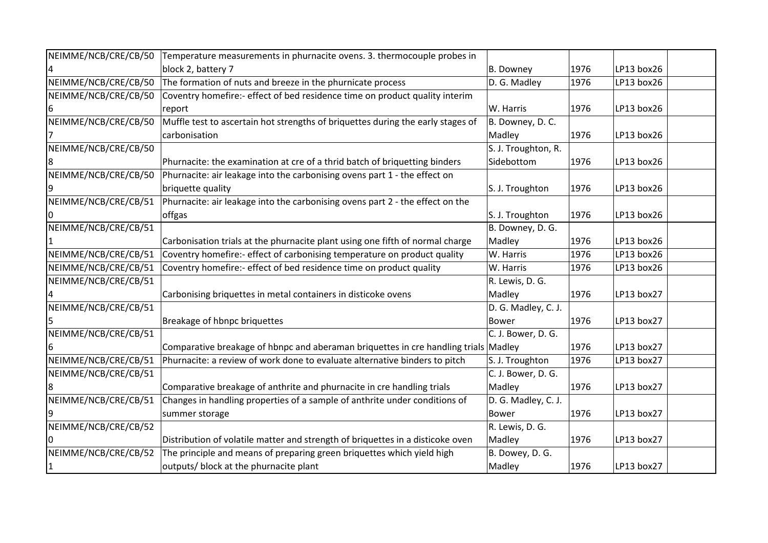| NEIMME/NCB/CRE/CB/50 | Temperature measurements in phurnacite ovens. 3. thermocouple probes in             |                     |      |            |  |
|----------------------|-------------------------------------------------------------------------------------|---------------------|------|------------|--|
|                      | block 2, battery 7                                                                  | B. Downey           | 1976 | LP13 box26 |  |
| NEIMME/NCB/CRE/CB/50 | The formation of nuts and breeze in the phurnicate process                          | D. G. Madley        | 1976 | LP13 box26 |  |
| NEIMME/NCB/CRE/CB/50 | Coventry homefire:- effect of bed residence time on product quality interim         |                     |      |            |  |
| 6                    | report                                                                              | W. Harris           | 1976 | LP13 box26 |  |
| NEIMME/NCB/CRE/CB/50 | Muffle test to ascertain hot strengths of briquettes during the early stages of     | B. Downey, D. C.    |      |            |  |
|                      | carbonisation                                                                       | Madley              | 1976 | LP13 box26 |  |
| NEIMME/NCB/CRE/CB/50 |                                                                                     | S. J. Troughton, R. |      |            |  |
|                      | Phurnacite: the examination at cre of a thrid batch of briquetting binders          | Sidebottom          | 1976 | LP13 box26 |  |
| NEIMME/NCB/CRE/CB/50 | Phurnacite: air leakage into the carbonising ovens part 1 - the effect on           |                     |      |            |  |
|                      | briquette quality                                                                   | S. J. Troughton     | 1976 | LP13 box26 |  |
| NEIMME/NCB/CRE/CB/51 | Phurnacite: air leakage into the carbonising ovens part 2 - the effect on the       |                     |      |            |  |
|                      | offgas                                                                              | S. J. Troughton     | 1976 | LP13 box26 |  |
| NEIMME/NCB/CRE/CB/51 |                                                                                     | B. Downey, D. G.    |      |            |  |
|                      | Carbonisation trials at the phurnacite plant using one fifth of normal charge       | Madley              | 1976 | LP13 box26 |  |
| NEIMME/NCB/CRE/CB/51 | Coventry homefire:- effect of carbonising temperature on product quality            | W. Harris           | 1976 | LP13 box26 |  |
| NEIMME/NCB/CRE/CB/51 | Coventry homefire:- effect of bed residence time on product quality                 | W. Harris           | 1976 | LP13 box26 |  |
| NEIMME/NCB/CRE/CB/51 |                                                                                     | R. Lewis, D. G.     |      |            |  |
|                      | Carbonising briquettes in metal containers in disticoke ovens                       | Madley              | 1976 | LP13 box27 |  |
| NEIMME/NCB/CRE/CB/51 |                                                                                     | D. G. Madley, C. J. |      |            |  |
|                      | Breakage of hbnpc briquettes                                                        | <b>Bower</b>        | 1976 | LP13 box27 |  |
| NEIMME/NCB/CRE/CB/51 |                                                                                     | C. J. Bower, D. G.  |      |            |  |
|                      | Comparative breakage of hbnpc and aberaman briquettes in cre handling trials Madley |                     | 1976 | LP13 box27 |  |
| NEIMME/NCB/CRE/CB/51 | Phurnacite: a review of work done to evaluate alternative binders to pitch          | S. J. Troughton     | 1976 | LP13 box27 |  |
| NEIMME/NCB/CRE/CB/51 |                                                                                     | C. J. Bower, D. G.  |      |            |  |
|                      | Comparative breakage of anthrite and phurnacite in cre handling trials              | Madley              | 1976 | LP13 box27 |  |
| NEIMME/NCB/CRE/CB/51 | Changes in handling properties of a sample of anthrite under conditions of          | D. G. Madley, C. J. |      |            |  |
|                      | summer storage                                                                      | <b>Bower</b>        | 1976 | LP13 box27 |  |
| NEIMME/NCB/CRE/CB/52 |                                                                                     | R. Lewis, D. G.     |      |            |  |
|                      | Distribution of volatile matter and strength of briquettes in a disticoke oven      | Madley              | 1976 | LP13 box27 |  |
| NEIMME/NCB/CRE/CB/52 | The principle and means of preparing green briquettes which yield high              | B. Dowey, D. G.     |      |            |  |
|                      | outputs/ block at the phurnacite plant                                              | Madley              | 1976 | LP13 box27 |  |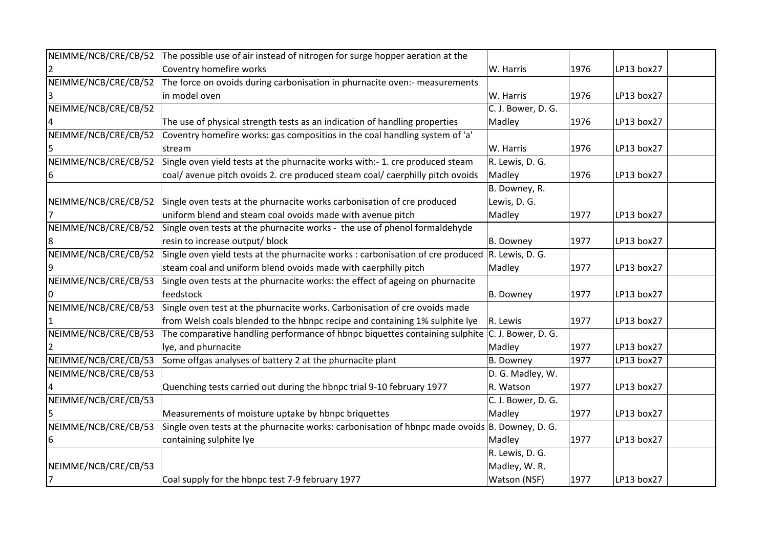| NEIMME/NCB/CRE/CB/52 | The possible use of air instead of nitrogen for surge hopper aeration at the                        |                    |      |            |  |
|----------------------|-----------------------------------------------------------------------------------------------------|--------------------|------|------------|--|
|                      | Coventry homefire works                                                                             | W. Harris          | 1976 | LP13 box27 |  |
| NEIMME/NCB/CRE/CB/52 | The force on ovoids during carbonisation in phurnacite oven:- measurements                          |                    |      |            |  |
|                      | in model oven                                                                                       | W. Harris          | 1976 | LP13 box27 |  |
| NEIMME/NCB/CRE/CB/52 |                                                                                                     | C. J. Bower, D. G. |      |            |  |
|                      | The use of physical strength tests as an indication of handling properties                          | Madley             | 1976 | LP13 box27 |  |
| NEIMME/NCB/CRE/CB/52 | Coventry homefire works: gas compositios in the coal handling system of 'a'                         |                    |      |            |  |
|                      | stream                                                                                              | W. Harris          | 1976 | LP13 box27 |  |
| NEIMME/NCB/CRE/CB/52 | Single oven yield tests at the phurnacite works with:- 1. cre produced steam                        | R. Lewis, D. G.    |      |            |  |
| 6                    | coal/avenue pitch ovoids 2. cre produced steam coal/caerphilly pitch ovoids                         | Madley             | 1976 | LP13 box27 |  |
|                      |                                                                                                     | B. Downey, R.      |      |            |  |
| NEIMME/NCB/CRE/CB/52 | Single oven tests at the phurnacite works carbonisation of cre produced                             | Lewis, D. G.       |      |            |  |
|                      | uniform blend and steam coal ovoids made with avenue pitch                                          | Madley             | 1977 | LP13 box27 |  |
| NEIMME/NCB/CRE/CB/52 | Single oven tests at the phurnacite works - the use of phenol formaldehyde                          |                    |      |            |  |
|                      | resin to increase output/ block                                                                     | B. Downey          | 1977 | LP13 box27 |  |
| NEIMME/NCB/CRE/CB/52 | Single oven yield tests at the phurnacite works : carbonisation of cre produced $ R$ . Lewis, D. G. |                    |      |            |  |
|                      | steam coal and uniform blend ovoids made with caerphilly pitch                                      | Madley             | 1977 | LP13 box27 |  |
| NEIMME/NCB/CRE/CB/53 | Single oven tests at the phurnacite works: the effect of ageing on phurnacite                       |                    |      |            |  |
|                      | feedstock                                                                                           | B. Downey          | 1977 | LP13 box27 |  |
| NEIMME/NCB/CRE/CB/53 | Single oven test at the phurnacite works. Carbonisation of cre ovoids made                          |                    |      |            |  |
|                      | from Welsh coals blended to the hbnpc recipe and containing 1% sulphite lye                         | R. Lewis           | 1977 | LP13 box27 |  |
| NEIMME/NCB/CRE/CB/53 | The comparative handling performance of hbnpc biquettes containing sulphite $ C $ . J. Bower, D. G. |                    |      |            |  |
|                      | lye, and phurnacite                                                                                 | Madley             | 1977 | LP13 box27 |  |
| NEIMME/NCB/CRE/CB/53 | Some offgas analyses of battery 2 at the phurnacite plant                                           | B. Downey          | 1977 | LP13 box27 |  |
| NEIMME/NCB/CRE/CB/53 |                                                                                                     | D. G. Madley, W.   |      |            |  |
|                      | Quenching tests carried out during the hbnpc trial 9-10 february 1977                               | R. Watson          | 1977 | LP13 box27 |  |
| NEIMME/NCB/CRE/CB/53 |                                                                                                     | C. J. Bower, D. G. |      |            |  |
|                      | Measurements of moisture uptake by hbnpc briquettes                                                 | Madley             | 1977 | LP13 box27 |  |
| NEIMME/NCB/CRE/CB/53 | Single oven tests at the phurnacite works: carbonisation of hbnpc made ovoids $ B$ . Downey, D. G.  |                    |      |            |  |
| 6                    | containing sulphite lye                                                                             | Madley             | 1977 | LP13 box27 |  |
|                      |                                                                                                     | R. Lewis, D. G.    |      |            |  |
| NEIMME/NCB/CRE/CB/53 |                                                                                                     | Madley, W. R.      |      |            |  |
| 17                   | Coal supply for the hbnpc test 7-9 february 1977                                                    | Watson (NSF)       | 1977 | LP13 box27 |  |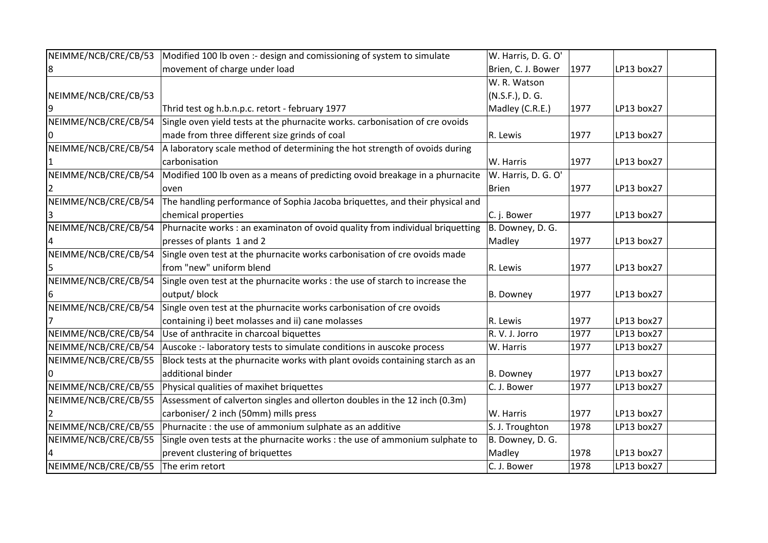| NEIMME/NCB/CRE/CB/53 | Modified 100 lb oven :- design and comissioning of system to simulate         | W. Harris, D. G. O' |      |            |
|----------------------|-------------------------------------------------------------------------------|---------------------|------|------------|
| 8                    | movement of charge under load                                                 | Brien, C. J. Bower  | 1977 | LP13 box27 |
|                      |                                                                               | W. R. Watson        |      |            |
| NEIMME/NCB/CRE/CB/53 |                                                                               | (N.S.F.), D. G.     |      |            |
| 9                    | Thrid test og h.b.n.p.c. retort - february 1977                               | Madley (C.R.E.)     | 1977 | LP13 box27 |
| NEIMME/NCB/CRE/CB/54 | Single oven yield tests at the phurnacite works. carbonisation of cre ovoids  |                     |      |            |
|                      | made from three different size grinds of coal                                 | R. Lewis            | 1977 | LP13 box27 |
| NEIMME/NCB/CRE/CB/54 | A laboratory scale method of determining the hot strength of ovoids during    |                     |      |            |
|                      | carbonisation                                                                 | W. Harris           | 1977 | LP13 box27 |
| NEIMME/NCB/CRE/CB/54 | Modified 100 lb oven as a means of predicting ovoid breakage in a phurnacite  | W. Harris, D. G. O' |      |            |
|                      | oven                                                                          | <b>Brien</b>        | 1977 | LP13 box27 |
| NEIMME/NCB/CRE/CB/54 | The handling performance of Sophia Jacoba briquettes, and their physical and  |                     |      |            |
|                      | chemical properties                                                           | C. j. Bower         | 1977 | LP13 box27 |
| NEIMME/NCB/CRE/CB/54 | Phurnacite works : an examinaton of ovoid quality from individual briquetting | B. Downey, D. G.    |      |            |
|                      | presses of plants 1 and 2                                                     | Madley              | 1977 | LP13 box27 |
| NEIMME/NCB/CRE/CB/54 | Single oven test at the phurnacite works carbonisation of cre ovoids made     |                     |      |            |
|                      | from "new" uniform blend                                                      | R. Lewis            | 1977 | LP13 box27 |
| NEIMME/NCB/CRE/CB/54 | Single oven test at the phurnacite works : the use of starch to increase the  |                     |      |            |
|                      | output/ block                                                                 | B. Downey           | 1977 | LP13 box27 |
| NEIMME/NCB/CRE/CB/54 | Single oven test at the phurnacite works carbonisation of cre ovoids          |                     |      |            |
|                      | containing i) beet molasses and ii) cane molasses                             | R. Lewis            | 1977 | LP13 box27 |
| NEIMME/NCB/CRE/CB/54 | Use of anthracite in charcoal biquettes                                       | R. V. J. Jorro      | 1977 | LP13 box27 |
| NEIMME/NCB/CRE/CB/54 | Auscoke :- laboratory tests to simulate conditions in auscoke process         | W. Harris           | 1977 | LP13 box27 |
| NEIMME/NCB/CRE/CB/55 | Block tests at the phurnacite works with plant ovoids containing starch as an |                     |      |            |
|                      | additional binder                                                             | B. Downey           | 1977 | LP13 box27 |
| NEIMME/NCB/CRE/CB/55 | Physical qualities of maxihet briquettes                                      | C. J. Bower         | 1977 | LP13 box27 |
| NEIMME/NCB/CRE/CB/55 | Assessment of calverton singles and ollerton doubles in the 12 inch (0.3m)    |                     |      |            |
|                      | carboniser/ 2 inch (50mm) mills press                                         | W. Harris           | 1977 | LP13 box27 |
| NEIMME/NCB/CRE/CB/55 | Phurnacite: the use of ammonium sulphate as an additive                       | S. J. Troughton     | 1978 | LP13 box27 |
| NEIMME/NCB/CRE/CB/55 | Single oven tests at the phurnacite works : the use of ammonium sulphate to   | B. Downey, D. G.    |      |            |
|                      | prevent clustering of briquettes                                              | Madley              | 1978 | LP13 box27 |
| NEIMME/NCB/CRE/CB/55 | The erim retort                                                               | C. J. Bower         | 1978 | LP13 box27 |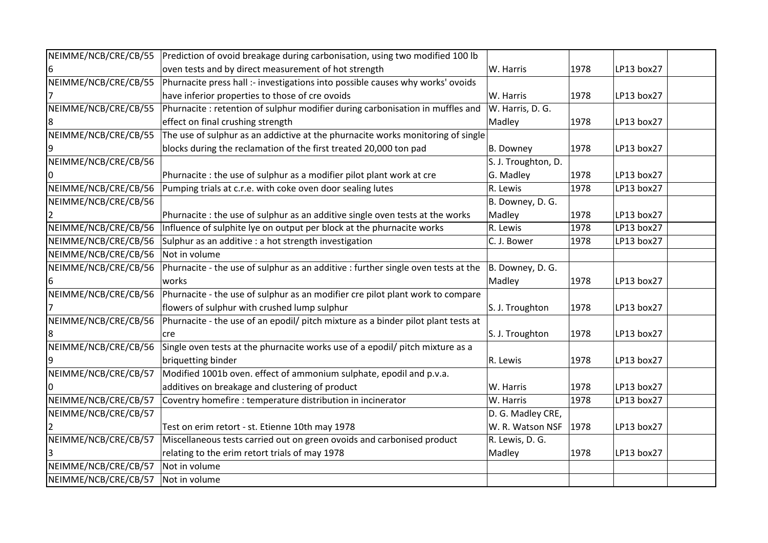| NEIMME/NCB/CRE/CB/55 | Prediction of ovoid breakage during carbonisation, using two modified 100 lb      |                     |      |            |  |
|----------------------|-----------------------------------------------------------------------------------|---------------------|------|------------|--|
|                      | oven tests and by direct measurement of hot strength                              | W. Harris           | 1978 | LP13 box27 |  |
| NEIMME/NCB/CRE/CB/55 | Phurnacite press hall :- investigations into possible causes why works' ovoids    |                     |      |            |  |
|                      | have inferior properties to those of cre ovoids                                   | W. Harris           | 1978 | LP13 box27 |  |
| NEIMME/NCB/CRE/CB/55 | Phurnacite : retention of sulphur modifier during carbonisation in muffles and    | W. Harris, D. G.    |      |            |  |
|                      | effect on final crushing strength                                                 | Madley              | 1978 | LP13 box27 |  |
| NEIMME/NCB/CRE/CB/55 | The use of sulphur as an addictive at the phurnacite works monitoring of single   |                     |      |            |  |
|                      | blocks during the reclamation of the first treated 20,000 ton pad                 | B. Downey           | 1978 | LP13 box27 |  |
| NEIMME/NCB/CRE/CB/56 |                                                                                   | S. J. Troughton, D. |      |            |  |
|                      | Phurnacite : the use of sulphur as a modifier pilot plant work at cre             | G. Madley           | 1978 | LP13 box27 |  |
| NEIMME/NCB/CRE/CB/56 | Pumping trials at c.r.e. with coke oven door sealing lutes                        | R. Lewis            | 1978 | LP13 box27 |  |
| NEIMME/NCB/CRE/CB/56 |                                                                                   | B. Downey, D. G.    |      |            |  |
|                      | Phurnacite: the use of sulphur as an additive single oven tests at the works      | Madley              | 1978 | LP13 box27 |  |
| NEIMME/NCB/CRE/CB/56 | Influence of sulphite lye on output per block at the phurnacite works             | R. Lewis            | 1978 | LP13 box27 |  |
| NEIMME/NCB/CRE/CB/56 | Sulphur as an additive : a hot strength investigation                             | C. J. Bower         | 1978 | LP13 box27 |  |
| NEIMME/NCB/CRE/CB/56 | Not in volume                                                                     |                     |      |            |  |
| NEIMME/NCB/CRE/CB/56 | Phurnacite - the use of sulphur as an additive : further single oven tests at the | B. Downey, D. G.    |      |            |  |
|                      | works                                                                             | Madley              | 1978 | LP13 box27 |  |
| NEIMME/NCB/CRE/CB/56 | Phurnacite - the use of sulphur as an modifier cre pilot plant work to compare    |                     |      |            |  |
|                      | flowers of sulphur with crushed lump sulphur                                      | S. J. Troughton     | 1978 | LP13 box27 |  |
| NEIMME/NCB/CRE/CB/56 | Phurnacite - the use of an epodil/ pitch mixture as a binder pilot plant tests at |                     |      |            |  |
|                      | cre                                                                               | S. J. Troughton     | 1978 | LP13 box27 |  |
| NEIMME/NCB/CRE/CB/56 | Single oven tests at the phurnacite works use of a epodil/ pitch mixture as a     |                     |      |            |  |
|                      | briquetting binder                                                                | R. Lewis            | 1978 | LP13 box27 |  |
| NEIMME/NCB/CRE/CB/57 | Modified 1001b oven. effect of ammonium sulphate, epodil and p.v.a.               |                     |      |            |  |
|                      | additives on breakage and clustering of product                                   | W. Harris           | 1978 | LP13 box27 |  |
| NEIMME/NCB/CRE/CB/57 | Coventry homefire : temperature distribution in incinerator                       | W. Harris           | 1978 | LP13 box27 |  |
| NEIMME/NCB/CRE/CB/57 |                                                                                   | D. G. Madley CRE,   |      |            |  |
|                      | Test on erim retort - st. Etienne 10th may 1978                                   | W. R. Watson NSF    | 1978 | LP13 box27 |  |
| NEIMME/NCB/CRE/CB/57 | Miscellaneous tests carried out on green ovoids and carbonised product            | R. Lewis, D. G.     |      |            |  |
|                      | relating to the erim retort trials of may 1978                                    | Madley              | 1978 | LP13 box27 |  |
| NEIMME/NCB/CRE/CB/57 | Not in volume                                                                     |                     |      |            |  |
| NEIMME/NCB/CRE/CB/57 | Not in volume                                                                     |                     |      |            |  |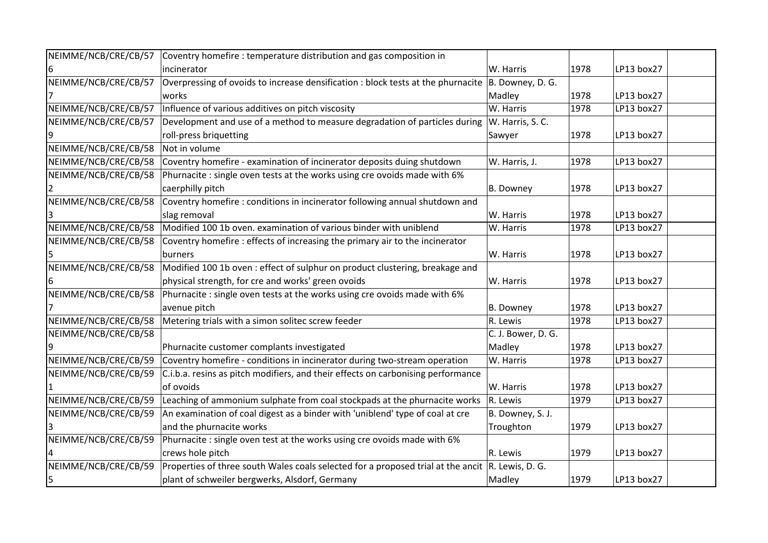| NEIMME/NCB/CRE/CB/57 | Coventry homefire: temperature distribution and gas composition in                                    |                    |      |            |
|----------------------|-------------------------------------------------------------------------------------------------------|--------------------|------|------------|
|                      | incinerator                                                                                           | W. Harris          | 1978 | LP13 box27 |
| NEIMME/NCB/CRE/CB/57 | Overpressing of ovoids to increase densification : block tests at the phurnacite $ B$ . Downey, D. G. |                    |      |            |
|                      | works                                                                                                 | Madley             | 1978 | LP13 box27 |
| NEIMME/NCB/CRE/CB/57 | Influence of various additives on pitch viscosity                                                     | W. Harris          | 1978 | LP13 box27 |
| NEIMME/NCB/CRE/CB/57 | Development and use of a method to measure degradation of particles during                            | W. Harris, S. C.   |      |            |
| 9                    | roll-press briquetting                                                                                | Sawyer             | 1978 | LP13 box27 |
| NEIMME/NCB/CRE/CB/58 | Not in volume                                                                                         |                    |      |            |
| NEIMME/NCB/CRE/CB/58 | Coventry homefire - examination of incinerator deposits duing shutdown                                | W. Harris, J.      | 1978 | LP13 box27 |
| NEIMME/NCB/CRE/CB/58 | Phurnacite : single oven tests at the works using cre ovoids made with 6%                             |                    |      |            |
|                      | caerphilly pitch                                                                                      | B. Downey          | 1978 | LP13 box27 |
| NEIMME/NCB/CRE/CB/58 | Coventry homefire : conditions in incinerator following annual shutdown and                           |                    |      |            |
|                      | slag removal                                                                                          | W. Harris          | 1978 | LP13 box27 |
| NEIMME/NCB/CRE/CB/58 | Modified 100 1b oven. examination of various binder with uniblend                                     | W. Harris          | 1978 | LP13 box27 |
| NEIMME/NCB/CRE/CB/58 | Coventry homefire: effects of increasing the primary air to the incinerator                           |                    |      |            |
|                      | <b>burners</b>                                                                                        | W. Harris          | 1978 | LP13 box27 |
| NEIMME/NCB/CRE/CB/58 | Modified 100 1b oven : effect of sulphur on product clustering, breakage and                          |                    |      |            |
|                      | physical strength, for cre and works' green ovoids                                                    | W. Harris          | 1978 | LP13 box27 |
| NEIMME/NCB/CRE/CB/58 | Phurnacite: single oven tests at the works using cre ovoids made with 6%                              |                    |      |            |
|                      | avenue pitch                                                                                          | B. Downey          | 1978 | LP13 box27 |
| NEIMME/NCB/CRE/CB/58 | Metering trials with a simon solitec screw feeder                                                     | R. Lewis           | 1978 | LP13 box27 |
| NEIMME/NCB/CRE/CB/58 |                                                                                                       | C. J. Bower, D. G. |      |            |
|                      | Phurnacite customer complants investigated                                                            | Madley             | 1978 | LP13 box27 |
| NEIMME/NCB/CRE/CB/59 | Coventry homefire - conditions in incinerator during two-stream operation                             | W. Harris          | 1978 | LP13 box27 |
| NEIMME/NCB/CRE/CB/59 | C.i.b.a. resins as pitch modifiers, and their effects on carbonising performance                      |                    |      |            |
|                      | of ovoids                                                                                             | W. Harris          | 1978 | LP13 box27 |
| NEIMME/NCB/CRE/CB/59 | Leaching of ammonium sulphate from coal stockpads at the phurnacite works                             | R. Lewis           | 1979 | LP13 box27 |
| NEIMME/NCB/CRE/CB/59 | An examination of coal digest as a binder with 'uniblend' type of coal at cre                         | B. Downey, S. J.   |      |            |
|                      | and the phurnacite works                                                                              | Troughton          | 1979 | LP13 box27 |
| NEIMME/NCB/CRE/CB/59 | Phurnacite: single oven test at the works using cre ovoids made with 6%                               |                    |      |            |
|                      | crews hole pitch                                                                                      | R. Lewis           | 1979 | LP13 box27 |
| NEIMME/NCB/CRE/CB/59 | Properties of three south Wales coals selected for a proposed trial at the ancit $ R$ . Lewis, D. G.  |                    |      |            |
| 5                    | plant of schweiler bergwerks, Alsdorf, Germany                                                        | Madley             | 1979 | LP13 box27 |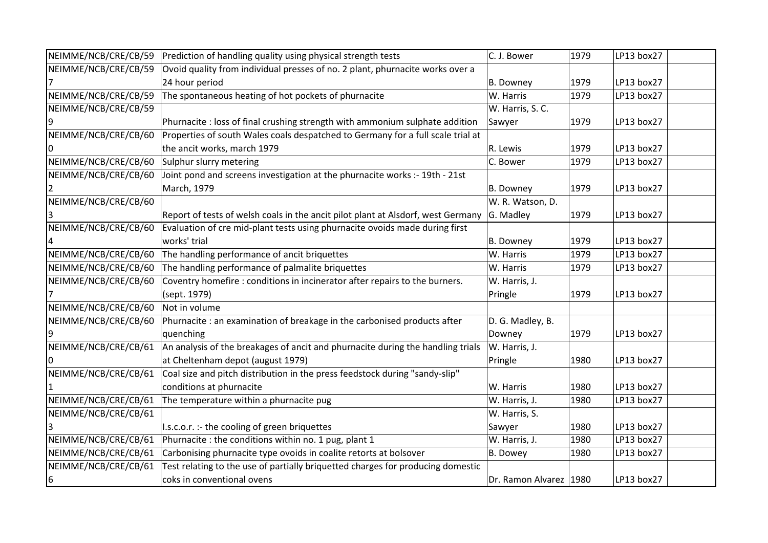| NEIMME/NCB/CRE/CB/59 | Prediction of handling quality using physical strength tests                     | C. J. Bower              | 1979 | LP13 box27 |
|----------------------|----------------------------------------------------------------------------------|--------------------------|------|------------|
| NEIMME/NCB/CRE/CB/59 | Ovoid quality from individual presses of no. 2 plant, phurnacite works over a    |                          |      |            |
|                      | 24 hour period                                                                   | <b>B.</b> Downey         | 1979 | LP13 box27 |
| NEIMME/NCB/CRE/CB/59 | The spontaneous heating of hot pockets of phurnacite                             | W. Harris                | 1979 | LP13 box27 |
| NEIMME/NCB/CRE/CB/59 |                                                                                  | W. Harris, S. C.         |      |            |
|                      | Phurnacite: loss of final crushing strength with ammonium sulphate addition      | Sawyer                   | 1979 | LP13 box27 |
| NEIMME/NCB/CRE/CB/60 | Properties of south Wales coals despatched to Germany for a full scale trial at  |                          |      |            |
|                      | the ancit works, march 1979                                                      | R. Lewis                 | 1979 | LP13 box27 |
| NEIMME/NCB/CRE/CB/60 | Sulphur slurry metering                                                          | C. Bower                 | 1979 | LP13 box27 |
| NEIMME/NCB/CRE/CB/60 | Joint pond and screens investigation at the phurnacite works :- 19th - 21st      |                          |      |            |
|                      | March, 1979                                                                      | <b>B.</b> Downey         | 1979 | LP13 box27 |
| NEIMME/NCB/CRE/CB/60 |                                                                                  | W. R. Watson, D.         |      |            |
|                      | Report of tests of welsh coals in the ancit pilot plant at Alsdorf, west Germany | G. Madley                | 1979 | LP13 box27 |
| NEIMME/NCB/CRE/CB/60 | Evaluation of cre mid-plant tests using phurnacite ovoids made during first      |                          |      |            |
|                      | works' trial                                                                     | <b>B.</b> Downey         | 1979 | LP13 box27 |
| NEIMME/NCB/CRE/CB/60 | The handling performance of ancit briquettes                                     | W. Harris                | 1979 | LP13 box27 |
| NEIMME/NCB/CRE/CB/60 | The handling performance of palmalite briquettes                                 | W. Harris                | 1979 | LP13 box27 |
| NEIMME/NCB/CRE/CB/60 | Coventry homefire : conditions in incinerator after repairs to the burners.      | W. Harris, J.            |      |            |
|                      | (sept. 1979)                                                                     | Pringle                  | 1979 | LP13 box27 |
| NEIMME/NCB/CRE/CB/60 | Not in volume                                                                    |                          |      |            |
| NEIMME/NCB/CRE/CB/60 | Phurnacite : an examination of breakage in the carbonised products after         | D. G. Madley, B.         |      |            |
|                      | quenching                                                                        | Downey                   | 1979 | LP13 box27 |
| NEIMME/NCB/CRE/CB/61 | An analysis of the breakages of ancit and phurnacite during the handling trials  | W. Harris, J.            |      |            |
|                      | at Cheltenham depot (august 1979)                                                | Pringle                  | 1980 | LP13 box27 |
| NEIMME/NCB/CRE/CB/61 | Coal size and pitch distribution in the press feedstock during "sandy-slip"      |                          |      |            |
|                      | conditions at phurnacite                                                         | W. Harris                | 1980 | LP13 box27 |
| NEIMME/NCB/CRE/CB/61 | The temperature within a phurnacite pug                                          | W. Harris, J.            | 1980 | LP13 box27 |
| NEIMME/NCB/CRE/CB/61 |                                                                                  | W. Harris, S.            |      |            |
|                      | I.s.c.o.r. :- the cooling of green briquettes                                    | Sawyer                   | 1980 | LP13 box27 |
| NEIMME/NCB/CRE/CB/61 | Phurnacite : the conditions within no. 1 pug, plant 1                            | W. Harris, J.            | 1980 | LP13 box27 |
| NEIMME/NCB/CRE/CB/61 | Carbonising phurnacite type ovoids in coalite retorts at bolsover                | <b>B.</b> Dowey          | 1980 | LP13 box27 |
| NEIMME/NCB/CRE/CB/61 | Test relating to the use of partially briquetted charges for producing domestic  |                          |      |            |
| 6                    | coks in conventional ovens                                                       | Dr. Ramon Alvarez   1980 |      | LP13 box27 |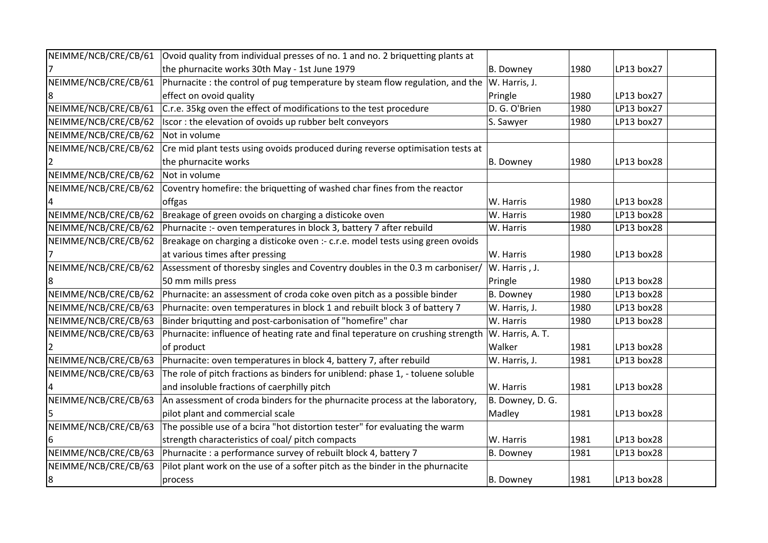| NEIMME/NCB/CRE/CB/61 | Ovoid quality from individual presses of no. 1 and no. 2 briquetting plants at                   |                  |      |            |  |
|----------------------|--------------------------------------------------------------------------------------------------|------------------|------|------------|--|
|                      | the phurnacite works 30th May - 1st June 1979                                                    | B. Downey        | 1980 | LP13 box27 |  |
| NEIMME/NCB/CRE/CB/61 | Phurnacite : the control of pug temperature by steam flow regulation, and the $ W $ . Harris, J. |                  |      |            |  |
|                      | effect on ovoid quality                                                                          | Pringle          | 1980 | LP13 box27 |  |
| NEIMME/NCB/CRE/CB/61 | C.r.e. 35kg oven the effect of modifications to the test procedure                               | D. G. O'Brien    | 1980 | LP13 box27 |  |
| NEIMME/NCB/CRE/CB/62 | Iscor: the elevation of ovoids up rubber belt conveyors                                          | S. Sawyer        | 1980 | LP13 box27 |  |
| NEIMME/NCB/CRE/CB/62 | Not in volume                                                                                    |                  |      |            |  |
| NEIMME/NCB/CRE/CB/62 | Cre mid plant tests using ovoids produced during reverse optimisation tests at                   |                  |      |            |  |
|                      | the phurnacite works                                                                             | B. Downey        | 1980 | LP13 box28 |  |
| NEIMME/NCB/CRE/CB/62 | Not in volume                                                                                    |                  |      |            |  |
| NEIMME/NCB/CRE/CB/62 | Coventry homefire: the briquetting of washed char fines from the reactor                         |                  |      |            |  |
|                      | offgas                                                                                           | W. Harris        | 1980 | LP13 box28 |  |
| NEIMME/NCB/CRE/CB/62 | Breakage of green ovoids on charging a disticoke oven                                            | W. Harris        | 1980 | LP13 box28 |  |
| NEIMME/NCB/CRE/CB/62 | Phurnacite :- oven temperatures in block 3, battery 7 after rebuild                              | W. Harris        | 1980 | LP13 box28 |  |
| NEIMME/NCB/CRE/CB/62 | Breakage on charging a disticoke oven :- c.r.e. model tests using green ovoids                   |                  |      |            |  |
|                      | at various times after pressing                                                                  | W. Harris        | 1980 | LP13 box28 |  |
| NEIMME/NCB/CRE/CB/62 | Assessment of thoresby singles and Coventry doubles in the 0.3 m carboniser/                     | W. Harris, J.    |      |            |  |
|                      | 50 mm mills press                                                                                | Pringle          | 1980 | LP13 box28 |  |
| NEIMME/NCB/CRE/CB/62 | Phurnacite: an assessment of croda coke oven pitch as a possible binder                          | B. Downey        | 1980 | LP13 box28 |  |
| NEIMME/NCB/CRE/CB/63 | Phurnacite: oven temperatures in block 1 and rebuilt block 3 of battery 7                        | W. Harris, J.    | 1980 | LP13 box28 |  |
| NEIMME/NCB/CRE/CB/63 | Binder briqutting and post-carbonisation of "homefire" char                                      | W. Harris        | 1980 | LP13 box28 |  |
| NEIMME/NCB/CRE/CB/63 | Phurnacite: influence of heating rate and final teperature on crushing strength                  | W. Harris, A. T. |      |            |  |
|                      | of product                                                                                       | Walker           | 1981 | LP13 box28 |  |
| NEIMME/NCB/CRE/CB/63 | Phurnacite: oven temperatures in block 4, battery 7, after rebuild                               | W. Harris, J.    | 1981 | LP13 box28 |  |
| NEIMME/NCB/CRE/CB/63 | The role of pitch fractions as binders for uniblend: phase 1, - toluene soluble                  |                  |      |            |  |
|                      | and insoluble fractions of caerphilly pitch                                                      | W. Harris        | 1981 | LP13 box28 |  |
| NEIMME/NCB/CRE/CB/63 | An assessment of croda binders for the phurnacite process at the laboratory,                     | B. Downey, D. G. |      |            |  |
|                      | pilot plant and commercial scale                                                                 | Madley           | 1981 | LP13 box28 |  |
| NEIMME/NCB/CRE/CB/63 | The possible use of a bcira "hot distortion tester" for evaluating the warm                      |                  |      |            |  |
|                      | strength characteristics of coal/ pitch compacts                                                 | W. Harris        | 1981 | LP13 box28 |  |
| NEIMME/NCB/CRE/CB/63 | Phurnacite : a performance survey of rebuilt block 4, battery 7                                  | B. Downey        | 1981 | LP13 box28 |  |
| NEIMME/NCB/CRE/CB/63 | Pilot plant work on the use of a softer pitch as the binder in the phurnacite                    |                  |      |            |  |
| 8                    | process                                                                                          | B. Downey        | 1981 | LP13 box28 |  |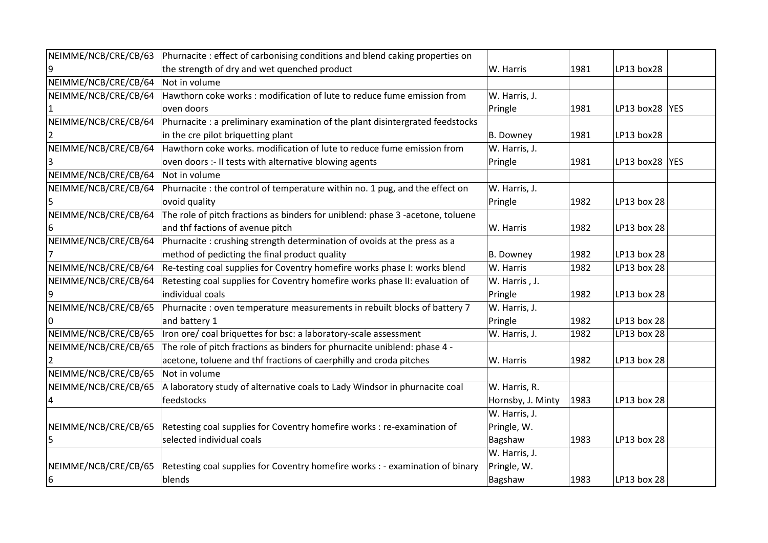| NEIMME/NCB/CRE/CB/63 | Phurnacite: effect of carbonising conditions and blend caking properties on    |                   |      |                 |  |
|----------------------|--------------------------------------------------------------------------------|-------------------|------|-----------------|--|
|                      | the strength of dry and wet quenched product                                   | W. Harris         | 1981 | LP13 box28      |  |
| NEIMME/NCB/CRE/CB/64 | Not in volume                                                                  |                   |      |                 |  |
| NEIMME/NCB/CRE/CB/64 | Hawthorn coke works: modification of lute to reduce fume emission from         | W. Harris, J.     |      |                 |  |
|                      | oven doors                                                                     | Pringle           | 1981 | LP13 box28 YES  |  |
| NEIMME/NCB/CRE/CB/64 | Phurnacite : a preliminary examination of the plant disintergrated feedstocks  |                   |      |                 |  |
|                      | in the cre pilot briquetting plant                                             | B. Downey         | 1981 | LP13 box28      |  |
| NEIMME/NCB/CRE/CB/64 | Hawthorn coke works. modification of lute to reduce fume emission from         | W. Harris, J.     |      |                 |  |
|                      | oven doors :- II tests with alternative blowing agents                         | Pringle           | 1981 | LP13 box28  YES |  |
| NEIMME/NCB/CRE/CB/64 | Not in volume                                                                  |                   |      |                 |  |
| NEIMME/NCB/CRE/CB/64 | Phurnacite : the control of temperature within no. 1 pug, and the effect on    | W. Harris, J.     |      |                 |  |
|                      | ovoid quality                                                                  | Pringle           | 1982 | LP13 box 28     |  |
| NEIMME/NCB/CRE/CB/64 | The role of pitch fractions as binders for uniblend: phase 3 -acetone, toluene |                   |      |                 |  |
| 6                    | and thf factions of avenue pitch                                               | W. Harris         | 1982 | LP13 box 28     |  |
| NEIMME/NCB/CRE/CB/64 | Phurnacite: crushing strength determination of ovoids at the press as a        |                   |      |                 |  |
|                      | method of pedicting the final product quality                                  | B. Downey         | 1982 | LP13 box 28     |  |
| NEIMME/NCB/CRE/CB/64 | Re-testing coal supplies for Coventry homefire works phase I: works blend      | W. Harris         | 1982 | LP13 box 28     |  |
| NEIMME/NCB/CRE/CB/64 | Retesting coal supplies for Coventry homefire works phase II: evaluation of    | W. Harris, J.     |      |                 |  |
|                      | individual coals                                                               | Pringle           | 1982 | LP13 box 28     |  |
| NEIMME/NCB/CRE/CB/65 | Phurnacite : oven temperature measurements in rebuilt blocks of battery 7      | W. Harris, J.     |      |                 |  |
|                      | and battery 1                                                                  | Pringle           | 1982 | LP13 box 28     |  |
| NEIMME/NCB/CRE/CB/65 | Iron ore/ coal briquettes for bsc: a laboratory-scale assessment               | W. Harris, J.     | 1982 | LP13 box 28     |  |
| NEIMME/NCB/CRE/CB/65 | The role of pitch fractions as binders for phurnacite uniblend: phase 4 -      |                   |      |                 |  |
|                      | acetone, toluene and thf fractions of caerphilly and croda pitches             | W. Harris         | 1982 | LP13 box 28     |  |
| NEIMME/NCB/CRE/CB/65 | Not in volume                                                                  |                   |      |                 |  |
| NEIMME/NCB/CRE/CB/65 | A laboratory study of alternative coals to Lady Windsor in phurnacite coal     | W. Harris, R.     |      |                 |  |
| 4                    | feedstocks                                                                     | Hornsby, J. Minty | 1983 | LP13 box 28     |  |
|                      |                                                                                | W. Harris, J.     |      |                 |  |
| NEIMME/NCB/CRE/CB/65 | Retesting coal supplies for Coventry homefire works : re-examination of        | Pringle, W.       |      |                 |  |
| 5                    | selected individual coals                                                      | Bagshaw           | 1983 | LP13 box 28     |  |
|                      |                                                                                | W. Harris, J.     |      |                 |  |
| NEIMME/NCB/CRE/CB/65 | Retesting coal supplies for Coventry homefire works : - examination of binary  | Pringle, W.       |      |                 |  |
| 6                    | blends                                                                         | Bagshaw           | 1983 | LP13 box 28     |  |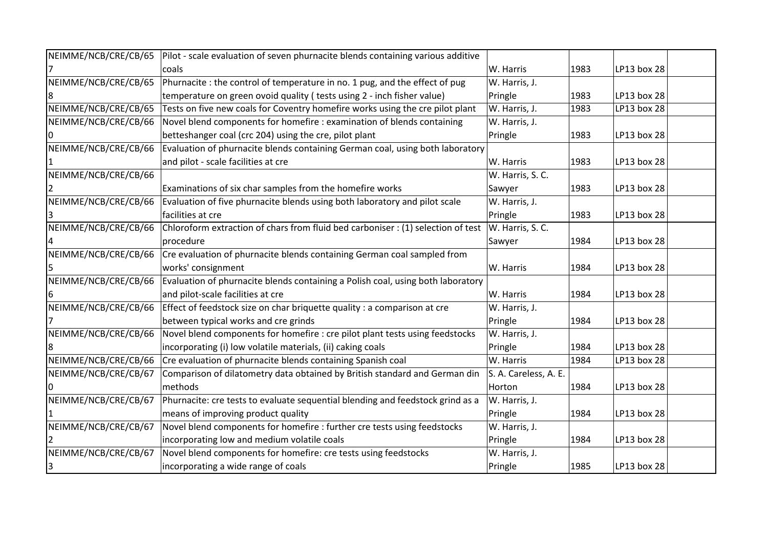| NEIMME/NCB/CRE/CB/65 | Pilot - scale evaluation of seven phurnacite blends containing various additive  |                       |      |             |  |
|----------------------|----------------------------------------------------------------------------------|-----------------------|------|-------------|--|
|                      | coals                                                                            | W. Harris             | 1983 | LP13 box 28 |  |
| NEIMME/NCB/CRE/CB/65 | Phurnacite : the control of temperature in no. 1 pug, and the effect of pug      | W. Harris, J.         |      |             |  |
|                      | temperature on green ovoid quality (tests using 2 - inch fisher value)           | Pringle               | 1983 | LP13 box 28 |  |
| NEIMME/NCB/CRE/CB/65 | Tests on five new coals for Coventry homefire works using the cre pilot plant    | W. Harris, J.         | 1983 | LP13 box 28 |  |
| NEIMME/NCB/CRE/CB/66 | Novel blend components for homefire : examination of blends containing           | W. Harris, J.         |      |             |  |
|                      | betteshanger coal (crc 204) using the cre, pilot plant                           | Pringle               | 1983 | LP13 box 28 |  |
| NEIMME/NCB/CRE/CB/66 | Evaluation of phurnacite blends containing German coal, using both laboratory    |                       |      |             |  |
|                      | and pilot - scale facilities at cre                                              | W. Harris             | 1983 | LP13 box 28 |  |
| NEIMME/NCB/CRE/CB/66 |                                                                                  | W. Harris, S. C.      |      |             |  |
|                      | Examinations of six char samples from the homefire works                         | Sawyer                | 1983 | LP13 box 28 |  |
| NEIMME/NCB/CRE/CB/66 | Evaluation of five phurnacite blends using both laboratory and pilot scale       | W. Harris, J.         |      |             |  |
|                      | facilities at cre                                                                | Pringle               | 1983 | LP13 box 28 |  |
| NEIMME/NCB/CRE/CB/66 | Chloroform extraction of chars from fluid bed carboniser : (1) selection of test | W. Harris, S. C.      |      |             |  |
|                      | procedure                                                                        | Sawyer                | 1984 | LP13 box 28 |  |
| NEIMME/NCB/CRE/CB/66 | Cre evaluation of phurnacite blends containing German coal sampled from          |                       |      |             |  |
|                      | works' consignment                                                               | W. Harris             | 1984 | LP13 box 28 |  |
| NEIMME/NCB/CRE/CB/66 | Evaluation of phurnacite blends containing a Polish coal, using both laboratory  |                       |      |             |  |
|                      | and pilot-scale facilities at cre                                                | W. Harris             | 1984 | LP13 box 28 |  |
| NEIMME/NCB/CRE/CB/66 | Effect of feedstock size on char briquette quality : a comparison at cre         | W. Harris, J.         |      |             |  |
|                      | between typical works and cre grinds                                             | Pringle               | 1984 | LP13 box 28 |  |
| NEIMME/NCB/CRE/CB/66 | Novel blend components for homefire : cre pilot plant tests using feedstocks     | W. Harris, J.         |      |             |  |
|                      | incorporating (i) low volatile materials, (ii) caking coals                      | Pringle               | 1984 | LP13 box 28 |  |
| NEIMME/NCB/CRE/CB/66 | Cre evaluation of phurnacite blends containing Spanish coal                      | W. Harris             | 1984 | LP13 box 28 |  |
| NEIMME/NCB/CRE/CB/67 | Comparison of dilatometry data obtained by British standard and German din       | S. A. Careless, A. E. |      |             |  |
|                      | methods                                                                          | Horton                | 1984 | LP13 box 28 |  |
| NEIMME/NCB/CRE/CB/67 | Phurnacite: cre tests to evaluate sequential blending and feedstock grind as a   | W. Harris, J.         |      |             |  |
|                      | means of improving product quality                                               | Pringle               | 1984 | LP13 box 28 |  |
| NEIMME/NCB/CRE/CB/67 | Novel blend components for homefire : further cre tests using feedstocks         | W. Harris, J.         |      |             |  |
|                      | incorporating low and medium volatile coals                                      | Pringle               | 1984 | LP13 box 28 |  |
| NEIMME/NCB/CRE/CB/67 | Novel blend components for homefire: cre tests using feedstocks                  | W. Harris, J.         |      |             |  |
| $\overline{3}$       | incorporating a wide range of coals                                              | Pringle               | 1985 | LP13 box 28 |  |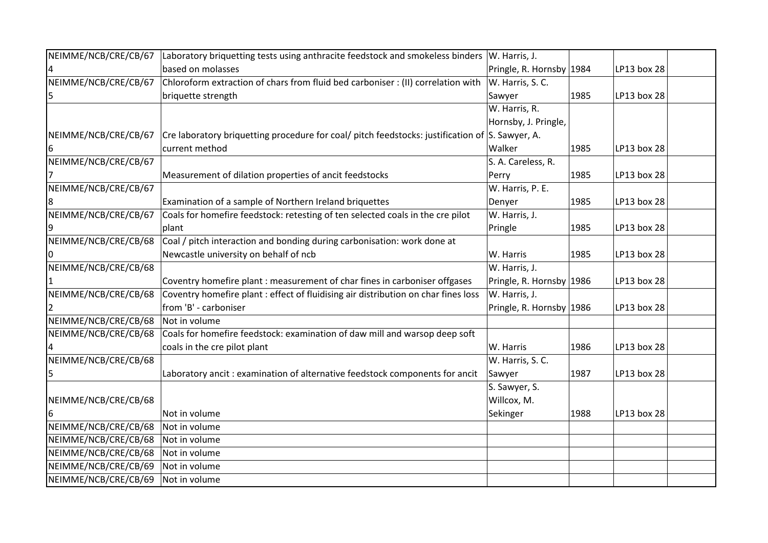| NEIMME/NCB/CRE/CB/67 | Laboratory briquetting tests using anthracite feedstock and smokeless binders                       | W. Harris, J.            |      |             |  |
|----------------------|-----------------------------------------------------------------------------------------------------|--------------------------|------|-------------|--|
|                      | based on molasses                                                                                   | Pringle, R. Hornsby 1984 |      | LP13 box 28 |  |
| NEIMME/NCB/CRE/CB/67 | Chloroform extraction of chars from fluid bed carboniser : (II) correlation with                    | W. Harris, S. C.         |      |             |  |
| 5                    | briquette strength                                                                                  | Sawyer                   | 1985 | LP13 box 28 |  |
|                      |                                                                                                     | W. Harris, R.            |      |             |  |
|                      |                                                                                                     | Hornsby, J. Pringle,     |      |             |  |
| NEIMME/NCB/CRE/CB/67 | Cre laboratory briquetting procedure for coal/ pitch feedstocks: justification of $ S$ . Sawyer, A. |                          |      |             |  |
|                      | current method                                                                                      | Walker                   | 1985 | LP13 box 28 |  |
| NEIMME/NCB/CRE/CB/67 |                                                                                                     | S. A. Careless, R.       |      |             |  |
|                      | Measurement of dilation properties of ancit feedstocks                                              | Perry                    | 1985 | LP13 box 28 |  |
| NEIMME/NCB/CRE/CB/67 |                                                                                                     | W. Harris, P. E.         |      |             |  |
|                      | Examination of a sample of Northern Ireland briquettes                                              | Denyer                   | 1985 | LP13 box 28 |  |
| NEIMME/NCB/CRE/CB/67 | Coals for homefire feedstock: retesting of ten selected coals in the cre pilot                      | W. Harris, J.            |      |             |  |
|                      | plant                                                                                               | Pringle                  | 1985 | LP13 box 28 |  |
| NEIMME/NCB/CRE/CB/68 | Coal / pitch interaction and bonding during carbonisation: work done at                             |                          |      |             |  |
|                      | Newcastle university on behalf of ncb                                                               | W. Harris                | 1985 | LP13 box 28 |  |
| NEIMME/NCB/CRE/CB/68 |                                                                                                     | W. Harris, J.            |      |             |  |
|                      | Coventry homefire plant: measurement of char fines in carboniser offgases                           | Pringle, R. Hornsby 1986 |      | LP13 box 28 |  |
| NEIMME/NCB/CRE/CB/68 | Coventry homefire plant : effect of fluidising air distribution on char fines loss                  | W. Harris, J.            |      |             |  |
|                      | from 'B' - carboniser                                                                               | Pringle, R. Hornsby 1986 |      | LP13 box 28 |  |
| NEIMME/NCB/CRE/CB/68 | Not in volume                                                                                       |                          |      |             |  |
| NEIMME/NCB/CRE/CB/68 | Coals for homefire feedstock: examination of daw mill and warsop deep soft                          |                          |      |             |  |
|                      | coals in the cre pilot plant                                                                        | W. Harris                | 1986 | LP13 box 28 |  |
| NEIMME/NCB/CRE/CB/68 |                                                                                                     | W. Harris, S. C.         |      |             |  |
| 5                    | Laboratory ancit: examination of alternative feedstock components for ancit                         | Sawyer                   | 1987 | LP13 box 28 |  |
|                      |                                                                                                     | S. Sawyer, S.            |      |             |  |
| NEIMME/NCB/CRE/CB/68 |                                                                                                     | Willcox, M.              |      |             |  |
|                      | Not in volume                                                                                       | Sekinger                 | 1988 | LP13 box 28 |  |
| NEIMME/NCB/CRE/CB/68 | Not in volume                                                                                       |                          |      |             |  |
| NEIMME/NCB/CRE/CB/68 | Not in volume                                                                                       |                          |      |             |  |
| NEIMME/NCB/CRE/CB/68 | Not in volume                                                                                       |                          |      |             |  |
| NEIMME/NCB/CRE/CB/69 | Not in volume                                                                                       |                          |      |             |  |
| NEIMME/NCB/CRE/CB/69 | Not in volume                                                                                       |                          |      |             |  |